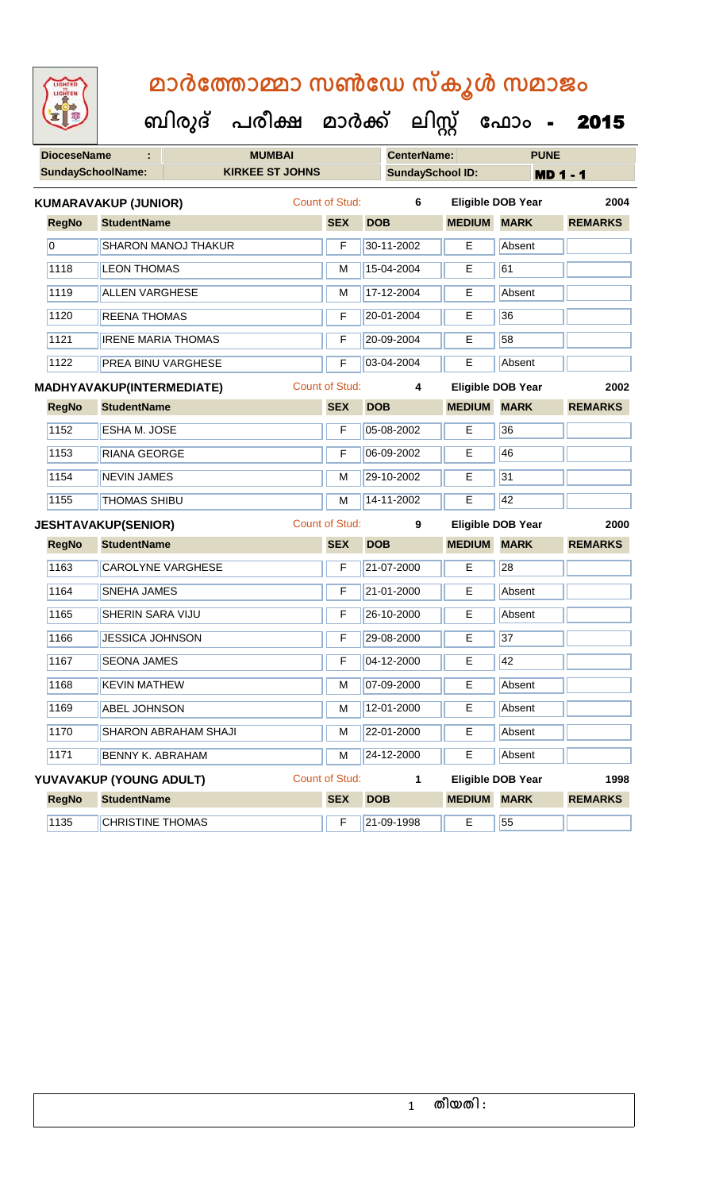|                    |                             | ബിരുദ് പരീക്ഷ മാർക്ക് ലിസ്റ്റ് ഫോം - |                       | മാർത്തോമ്മാ സൺഡേ സ്കൂൾ സമാജം |                    |                          | 2015           |  |
|--------------------|-----------------------------|--------------------------------------|-----------------------|------------------------------|--------------------|--------------------------|----------------|--|
| <b>DioceseName</b> |                             | <b>MUMBAI</b>                        |                       | <b>CenterName:</b>           |                    | <b>PUNE</b>              |                |  |
|                    | <b>SundaySchoolName:</b>    | <b>KIRKEE ST JOHNS</b>               |                       | <b>SundaySchool ID:</b>      |                    | <b>MD 1 - 1</b>          |                |  |
|                    | <b>KUMARAVAKUP (JUNIOR)</b> |                                      | Count of Stud:        | 6                            |                    | <b>Eligible DOB Year</b> | 2004           |  |
| <b>RegNo</b>       | <b>StudentName</b>          |                                      | <b>SEX</b>            | <b>DOB</b>                   | <b>MEDIUM MARK</b> |                          | <b>REMARKS</b> |  |
| $\overline{0}$     | <b>SHARON MANOJ THAKUR</b>  |                                      | F                     | 30-11-2002                   | Е                  | Absent                   |                |  |
| 1118               | <b>LEON THOMAS</b>          |                                      | M                     | 15-04-2004                   | E                  | 61                       |                |  |
| 1119               | <b>ALLEN VARGHESE</b>       |                                      | M                     | 17-12-2004                   | Е                  | Absent                   |                |  |
| 1120               | <b>REENA THOMAS</b>         |                                      | F                     | 20-01-2004                   | E                  | 36                       |                |  |
| 1121               | <b>IRENE MARIA THOMAS</b>   |                                      | F                     | 20-09-2004                   | Е                  | 58                       |                |  |
| 1122               | <b>PREA BINU VARGHESE</b>   |                                      | F                     | 03-04-2004                   | E                  | Absent                   |                |  |
|                    | MADHYAVAKUP(INTERMEDIATE)   |                                      | Count of Stud:        | 4                            |                    | <b>Eligible DOB Year</b> | 2002           |  |
| <b>RegNo</b>       | <b>StudentName</b>          |                                      | <b>SEX</b>            | <b>DOB</b>                   | <b>MEDIUM</b>      | <b>MARK</b>              | <b>REMARKS</b> |  |
| 1152               | <b>ESHA M. JOSE</b>         |                                      | F                     | 05-08-2002                   | Е                  | 36                       |                |  |
| 1153               | <b>RIANA GEORGE</b>         |                                      | F                     | 06-09-2002                   | E                  | 46                       |                |  |
| 1154               | <b>NEVIN JAMES</b>          |                                      | M                     | 29-10-2002                   | Е                  | 31                       |                |  |
| 1155               | <b>THOMAS SHIBU</b>         |                                      | M                     | 14-11-2002                   | E                  | 42                       |                |  |
|                    | <b>JESHTAVAKUP(SENIOR)</b>  |                                      | <b>Count of Stud:</b> | 9                            |                    | Eligible DOB Year        | 2000           |  |
| <b>RegNo</b>       | <b>StudentName</b>          |                                      | <b>SEX</b>            | <b>DOB</b>                   | <b>MEDIUM MARK</b> |                          | <b>REMARKS</b> |  |
| 1163               | <b>CAROLYNE VARGHESE</b>    |                                      | F                     | 21-07-2000                   | E                  | 28                       |                |  |
|                    |                             |                                      |                       |                              |                    |                          |                |  |
| 1164               | <b>SNEHA JAMES</b>          |                                      | F                     | $721 - 01 - 2000$            | E                  | Absent                   |                |  |
| 1165               | SHERIN SARA VIJU            |                                      | F                     | 26-10-2000                   | Е                  | Absent                   |                |  |
| 1166               | <b>JESSICA JOHNSON</b>      |                                      | F                     | 29-08-2000                   | E                  | 37                       |                |  |
| 1167               | <b>SEONA JAMES</b>          |                                      | F                     | 04-12-2000                   | E.                 | 42                       |                |  |
| 1168               | <b>KEVIN MATHEW</b>         |                                      | M                     | 07-09-2000                   | Е                  | Absent                   |                |  |
| 1169               | <b>ABEL JOHNSON</b>         |                                      | M                     | 12-01-2000                   | Е                  | Absent                   |                |  |
| 1170               | SHARON ABRAHAM SHAJI        |                                      | M                     | 22-01-2000                   | E                  | Absent                   |                |  |
| 1171               | <b>BENNY K. ABRAHAM</b>     |                                      | M                     | 24-12-2000                   | E.                 | Absent                   |                |  |
|                    | YUVAVAKUP (YOUNG ADULT)     |                                      | <b>Count of Stud:</b> | $\mathbf{1}$                 |                    | <b>Eligible DOB Year</b> | 1998           |  |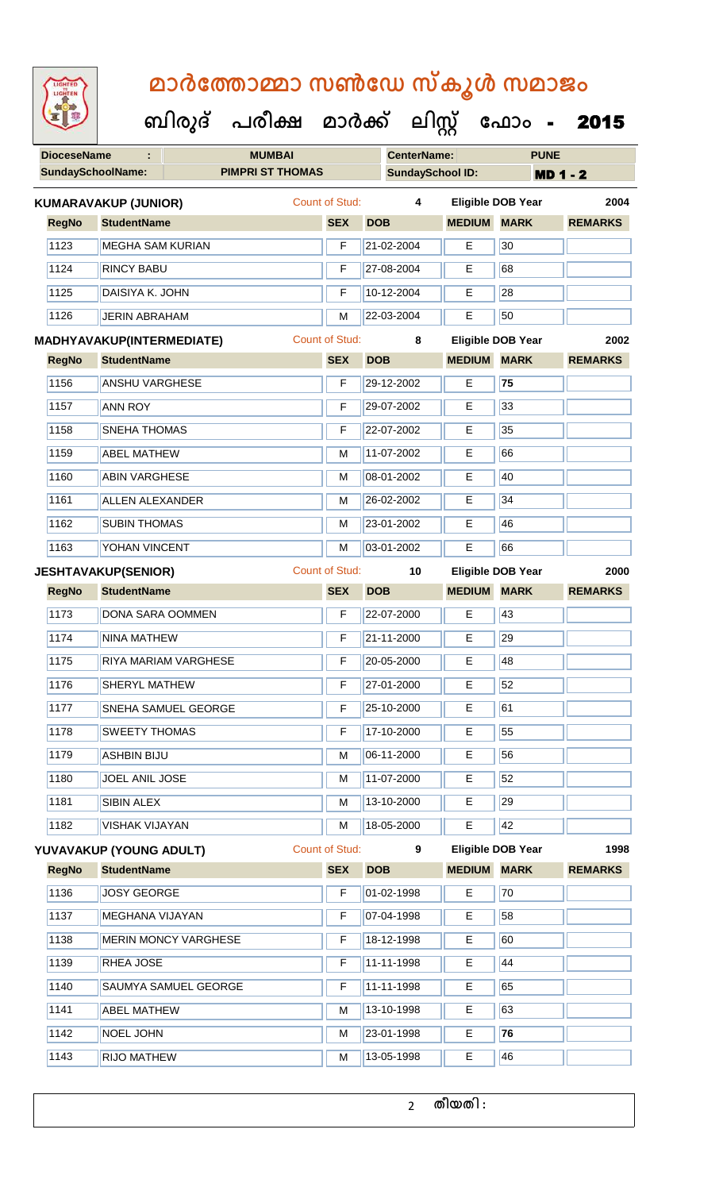|  | <b>IGHTED</b> |  |
|--|---------------|--|
|  |               |  |
|  |               |  |
|  |               |  |
|  |               |  |
|  |               |  |
|  |               |  |
|  |               |  |
|  |               |  |

U

|                    |                                  | ബിരുദ് | പരീക്ഷ                  | മാർക്ക്               |            | <u> ലിസ്റ്റ്</u>        |               | ഫോം                      | 2015            |
|--------------------|----------------------------------|--------|-------------------------|-----------------------|------------|-------------------------|---------------|--------------------------|-----------------|
| <b>DioceseName</b> |                                  |        | <b>MUMBAI</b>           |                       |            | <b>CenterName:</b>      |               | <b>PUNE</b>              |                 |
|                    | <b>SundaySchoolName:</b>         |        | <b>PIMPRI ST THOMAS</b> |                       |            | <b>SundaySchool ID:</b> |               |                          | <b>MD 1 - 2</b> |
|                    | KUMARAVAKUP (JUNIOR)             |        |                         | <b>Count of Stud:</b> |            | 4                       |               | <b>Eligible DOB Year</b> | 2004            |
| <b>RegNo</b>       | <b>StudentName</b>               |        |                         | <b>SEX</b>            | <b>DOB</b> |                         | <b>MEDIUM</b> | <b>MARK</b>              | <b>REMARKS</b>  |
| 1123               | <b>MEGHA SAM KURIAN</b>          |        |                         | F                     |            | 21-02-2004              | Е             | 30                       |                 |
| 1124               | <b>RINCY BABU</b>                |        |                         | F                     |            | 27-08-2004              | E             | 68                       |                 |
| 1125               | DAISIYA K. JOHN                  |        |                         | F                     |            | 10-12-2004              | Е             | 28                       |                 |
| 1126               | <b>JERIN ABRAHAM</b>             |        |                         | М                     |            | 22-03-2004              | E             | 50                       |                 |
|                    | <b>MADHYAVAKUP(INTERMEDIATE)</b> |        |                         | <b>Count of Stud:</b> |            | 8                       |               | <b>Eligible DOB Year</b> | 2002            |
| <b>RegNo</b>       | <b>StudentName</b>               |        |                         | <b>SEX</b>            | <b>DOB</b> |                         | <b>MEDIUM</b> | <b>MARK</b>              | <b>REMARKS</b>  |
| 1156               | <b>ANSHU VARGHESE</b>            |        |                         | F                     |            | 29-12-2002              | E.            | 75                       |                 |
| 1157               | <b>ANN ROY</b>                   |        |                         | F                     |            | 29-07-2002              | Е             | 33                       |                 |
| 1158               | <b>SNEHA THOMAS</b>              |        |                         | F                     |            | 22-07-2002              | Е             | 35                       |                 |
| 1159               | <b>ABEL MATHEW</b>               |        |                         | M                     |            | 11-07-2002              | E             | 66                       |                 |
| 1160               | <b>ABIN VARGHESE</b>             |        |                         | M                     |            | 08-01-2002              | Е             | 40                       |                 |
| 1161               | <b>ALLEN ALEXANDER</b>           |        |                         | М                     |            | 26-02-2002              | Е             | 34                       |                 |
| 1162               | <b>SUBIN THOMAS</b>              |        |                         | М                     |            | 23-01-2002              | E             | 46                       |                 |
| 1163               | YOHAN VINCENT                    |        |                         | M                     |            | 03-01-2002              | Е             | 66                       |                 |
|                    | <b>JESHTAVAKUP(SENIOR)</b>       |        |                         | <b>Count of Stud:</b> |            | 10                      |               | <b>Eligible DOB Year</b> | 2000            |
| <b>RegNo</b>       | <b>StudentName</b>               |        |                         | <b>SEX</b>            | <b>DOB</b> |                         | <b>MEDIUM</b> | <b>MARK</b>              | <b>REMARKS</b>  |
| 1173               | DONA SARA OOMMEN                 |        |                         | F                     |            | 22-07-2000              | Е             | 43                       |                 |
| 1174               | <b>NINA MATHEW</b>               |        |                         | F                     |            | 21-11-2000              | E             | 29                       |                 |
| 1175               | RIYA MARIAM VARGHESE             |        |                         | F                     |            | 20-05-2000              | Е             | 48                       |                 |
| 1176               | <b>SHERYL MATHEW</b>             |        |                         | F                     |            | 27-01-2000              | Е             | 52                       |                 |
| 1177               | SNEHA SAMUEL GEORGE              |        |                         | F                     |            | 25-10-2000              | E             | 61                       |                 |
| 1178               | <b>SWEETY THOMAS</b>             |        |                         | F                     |            | 17-10-2000              | E.            | 55                       |                 |
| 1179               | <b>ASHBIN BIJU</b>               |        |                         | М                     |            | 06-11-2000              | Е             | 56                       |                 |
| 1180               | JOEL ANIL JOSE                   |        |                         | М                     |            | 11-07-2000              | E             | 52                       |                 |
| 1181               | SIBIN ALEX                       |        |                         | М                     |            | 13-10-2000              | Е             | 29                       |                 |
| 1182               | <b>VISHAK VIJAYAN</b>            |        |                         | М                     |            | 18-05-2000              | Е             | 42                       |                 |
|                    | YUVAVAKUP (YOUNG ADULT)          |        |                         | <b>Count of Stud:</b> |            | $\mathbf{9}$            |               | <b>Eligible DOB Year</b> | 1998            |
| <b>RegNo</b>       | <b>StudentName</b>               |        |                         | <b>SEX</b>            | <b>DOB</b> |                         | <b>MEDIUM</b> | <b>MARK</b>              | <b>REMARKS</b>  |
| 1136               | <b>JOSY GEORGE</b>               |        |                         | F                     |            | 01-02-1998              | E             | 70                       |                 |
| 1137               | <b>MEGHANA VIJAYAN</b>           |        |                         | F                     |            | 07-04-1998              | E             | 58                       |                 |
| 1138               | <b>MERIN MONCY VARGHESE</b>      |        |                         | F                     |            | 18-12-1998              | Е             | 60                       |                 |
| 1139               | RHEA JOSE                        |        |                         | F                     |            | 11-11-1998              | E             | 44                       |                 |

1140 SAUMYA SAMUEL GEORGE F 11-11-1998 E 65 1141 | ABEL MATHEW M 13-10-1998 | E 63 NOEL JOHN M 23-01-1998 E **76**

1143 RIJO MATHEW M M 13-05-1998 E 46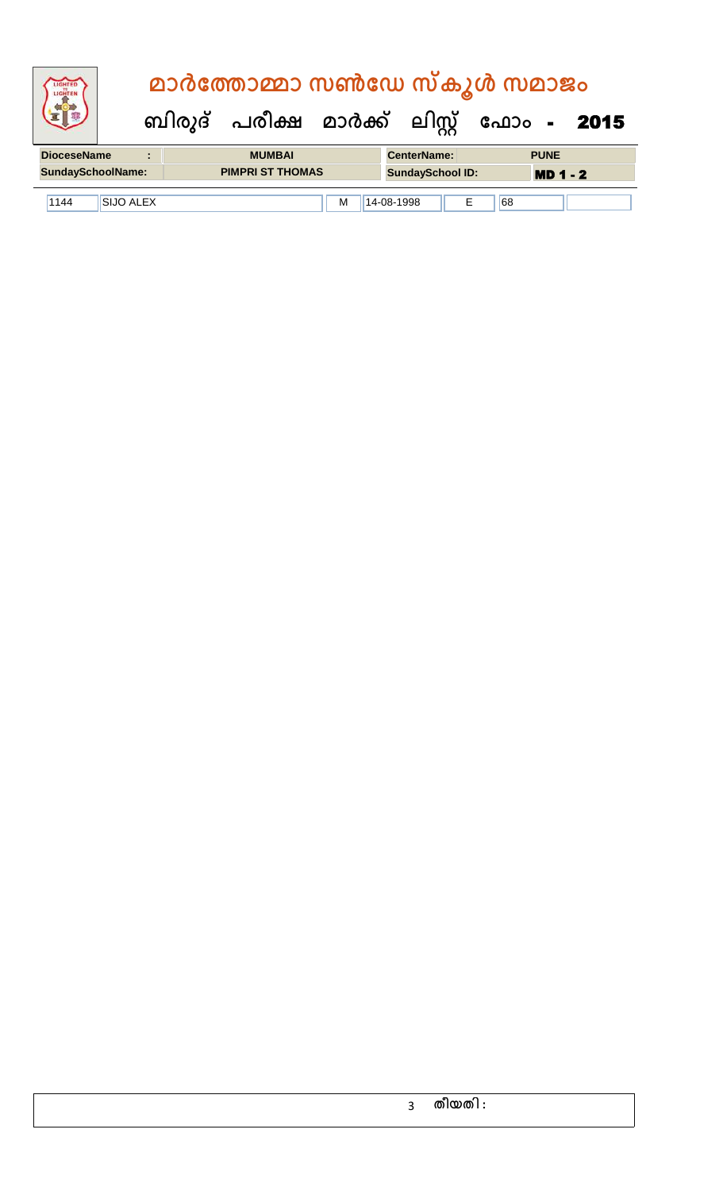| <b>IGHTED</b><br>LIGHTER |                | മാർത്തോമ്മാ സൺഡേ സ്കൂൾ സമാജം |  |                         |                                           |  |  |  |  |  |
|--------------------------|----------------|------------------------------|--|-------------------------|-------------------------------------------|--|--|--|--|--|
|                          |                |                              |  |                         | ബിരുദ് പരീക്ഷ മാർക്ക് ലിസ്റ്റ് ഫോം - 2015 |  |  |  |  |  |
|                          |                |                              |  |                         |                                           |  |  |  |  |  |
| <b>DioceseName</b>       | $\blacksquare$ | <b>MUMBAI</b>                |  | <b>CenterName:</b>      | <b>PUNE</b>                               |  |  |  |  |  |
| <b>SundaySchoolName:</b> |                | <b>PIMPRI ST THOMAS</b>      |  | <b>SundaySchool ID:</b> | $MD 1 - 2$                                |  |  |  |  |  |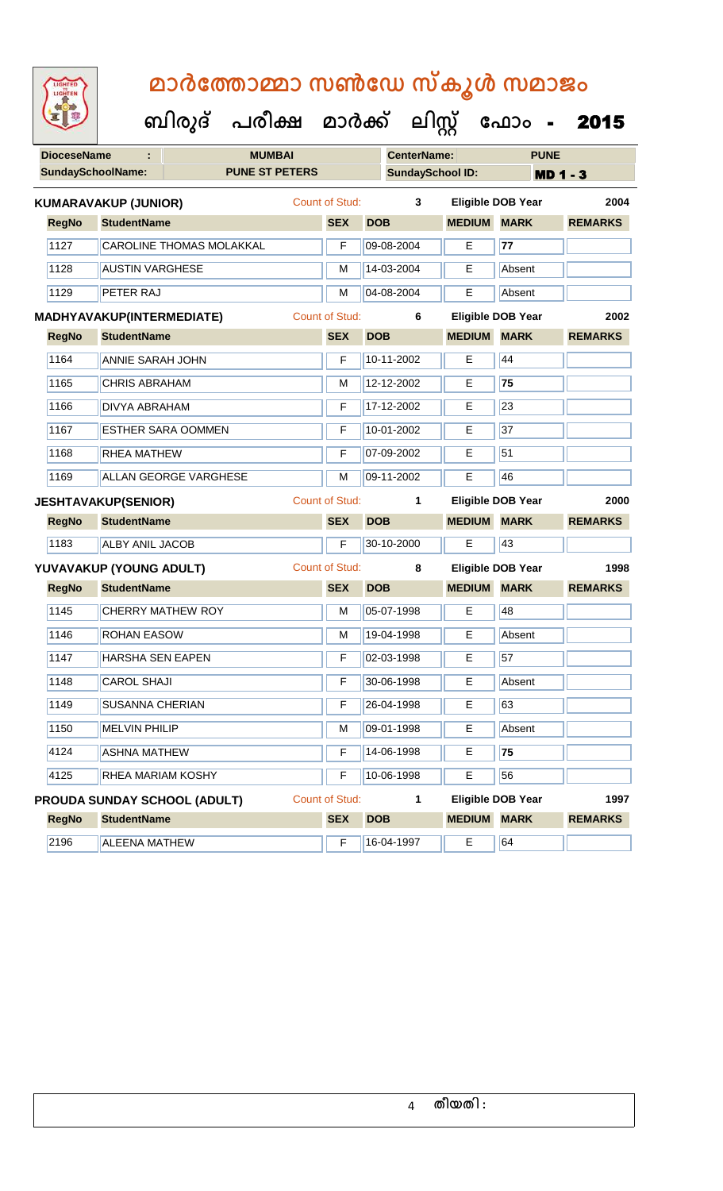|                    |                                  | ബിരുദ് | പരീക്ഷ                | മാർക്ക്               |            | <u> ലിസ്റ്റ്</u>   |                         | ഫോം                      | 2015            |
|--------------------|----------------------------------|--------|-----------------------|-----------------------|------------|--------------------|-------------------------|--------------------------|-----------------|
| <b>DioceseName</b> |                                  |        | <b>MUMBAI</b>         |                       |            | <b>CenterName:</b> |                         | <b>PUNE</b>              |                 |
|                    | <b>SundaySchoolName:</b>         |        | <b>PUNE ST PETERS</b> |                       |            |                    | <b>SundaySchool ID:</b> |                          | <b>MD 1 - 3</b> |
|                    | KUMARAVAKUP (JUNIOR)             |        |                       | Count of Stud:        |            | 3                  |                         | <b>Eligible DOB Year</b> | 2004            |
| <b>RegNo</b>       | <b>StudentName</b>               |        |                       | <b>SEX</b>            | <b>DOB</b> |                    | <b>MEDIUM</b>           | <b>MARK</b>              | <b>REMARKS</b>  |
| 1127               | <b>CAROLINE THOMAS MOLAKKAL</b>  |        |                       | F                     | 09-08-2004 |                    | Е                       | 77                       |                 |
| 1128               | <b>AUSTIN VARGHESE</b>           |        |                       | М                     | 14-03-2004 |                    | Е                       | Absent                   |                 |
| 1129               | <b>PETER RAJ</b>                 |        |                       | M                     | 04-08-2004 |                    | Е                       | Absent                   |                 |
|                    | <b>MADHYAVAKUP(INTERMEDIATE)</b> |        |                       | <b>Count of Stud:</b> |            | 6                  |                         | <b>Eligible DOB Year</b> | 2002            |
| <b>RegNo</b>       | <b>StudentName</b>               |        |                       | <b>SEX</b>            | <b>DOB</b> |                    | <b>MEDIUM</b>           | <b>MARK</b>              | <b>REMARKS</b>  |
| 1164               | <b>ANNIE SARAH JOHN</b>          |        |                       | F                     | 10-11-2002 |                    | E                       | 44                       |                 |
| 1165               | <b>CHRIS ABRAHAM</b>             |        |                       | M                     | 12-12-2002 |                    | E                       | 75                       |                 |
| 1166               | <b>DIVYA ABRAHAM</b>             |        |                       | F                     | 17-12-2002 |                    | Е                       | 23                       |                 |
| 1167               | <b>ESTHER SARA OOMMEN</b>        |        |                       | F                     | 10-01-2002 |                    | E                       | 37                       |                 |
| 1168               | <b>RHEA MATHEW</b>               |        |                       | F                     | 07-09-2002 |                    | Е                       | $\overline{51}$          |                 |
| 1169               | <b>ALLAN GEORGE VARGHESE</b>     |        |                       | M                     | 09-11-2002 |                    | Е                       | 46                       |                 |
|                    | <b>JESHTAVAKUP(SENIOR)</b>       |        |                       | <b>Count of Stud:</b> |            | 1                  |                         | <b>Eligible DOB Year</b> | 2000            |
| <b>RegNo</b>       | <b>StudentName</b>               |        |                       | <b>SEX</b>            | <b>DOB</b> |                    | <b>MEDIUM</b>           | <b>MARK</b>              | <b>REMARKS</b>  |
| 1183               | <b>ALBY ANIL JACOB</b>           |        |                       | F                     | 30-10-2000 |                    | Е                       | 43                       |                 |
|                    | YUVAVAKUP (YOUNG ADULT)          |        |                       | Count of Stud:        |            | 8                  |                         | <b>Eligible DOB Year</b> | 1998            |
| <b>RegNo</b>       | <b>StudentName</b>               |        |                       | <b>SEX</b>            | <b>DOB</b> |                    | <b>MEDIUM</b>           | <b>MARK</b>              | <b>REMARKS</b>  |
| 1145               | <b>CHERRY MATHEW ROY</b>         |        |                       | M                     | 05-07-1998 |                    | E                       | 48                       |                 |
| 1146               | <b>ROHAN EASOW</b>               |        |                       | м                     | 19-04-1998 |                    | E                       | Absent                   |                 |
| 1147               | <b>HARSHA SEN EAPEN</b>          |        |                       | F                     | 02-03-1998 |                    | E                       | 57                       |                 |
| 1148               | <b>CAROL SHAJI</b>               |        |                       | F                     | 30-06-1998 |                    | Е                       | Absent                   |                 |
| 1149               | <b>SUSANNA CHERIAN</b>           |        |                       | F                     | 26-04-1998 |                    | Е                       | 63                       |                 |
| 1150               | <b>MELVIN PHILIP</b>             |        |                       | М                     | 09-01-1998 |                    | E.                      | Absent                   |                 |
| 4124               | <b>ASHNA MATHEW</b>              |        |                       | F                     | 14-06-1998 |                    | Е                       | 75                       |                 |
| 4125               | RHEA MARIAM KOSHY                |        |                       | F                     | 10-06-1998 |                    | E                       | 56                       |                 |

**RegNo StudentName SEX DOB MEDIUM MARK REMARKS PROUDA SUNDAY SCHOOL (ADULT)** Count of Stud: **1 Leading Stude Eligible DOB Year 1997** 

2196 ALEENA MATHEW F 16-04-1997 E 64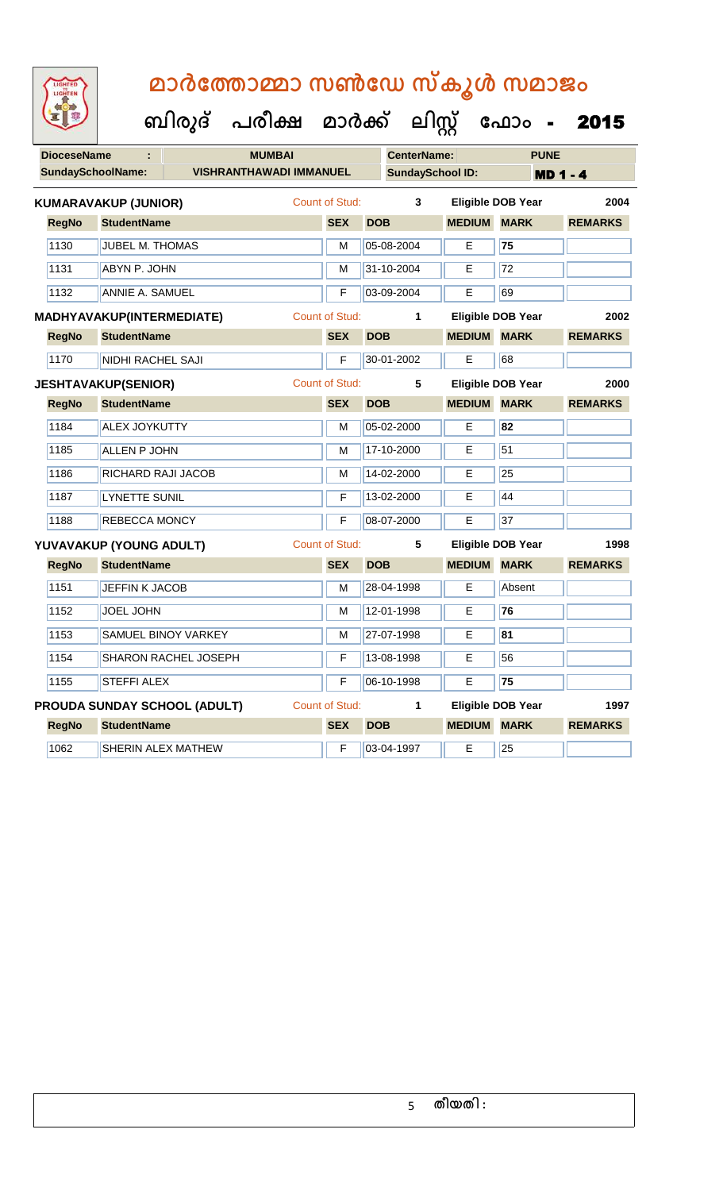| <b>IGHTED</b> |
|---------------|
|               |
|               |
|               |

| <b>DioceseName</b>       | ÷                           | <b>MUMBAI</b>                  |                |            | <b>CenterName:</b>      |               | <b>PUNE</b>              |                 |
|--------------------------|-----------------------------|--------------------------------|----------------|------------|-------------------------|---------------|--------------------------|-----------------|
| <b>SundaySchoolName:</b> |                             | <b>VISHRANTHAWADI IMMANUEL</b> |                |            | <b>SundaySchool ID:</b> |               |                          | <b>MD 1 - 4</b> |
|                          | <b>KUMARAVAKUP (JUNIOR)</b> |                                | Count of Stud: |            | 3                       |               | <b>Eligible DOB Year</b> | 2004            |
| <b>RegNo</b>             | <b>StudentName</b>          |                                | <b>SEX</b>     | <b>DOB</b> |                         | <b>MEDIUM</b> | <b>MARK</b>              | <b>REMARKS</b>  |
| 1130                     | JUBEL M. THOMAS             |                                | M              |            | 05-08-2004              | E.            | 75                       |                 |
| 1131                     | ABYN P. JOHN                |                                | M              |            | 31-10-2004              | E.            | 72                       |                 |
| 1132                     | <b>ANNIE A. SAMUEL</b>      |                                | F              |            | 03-09-2004              | E             | 69                       |                 |
|                          | MADHYAVAKUP(INTERMEDIATE)   |                                | Count of Stud: |            | $\mathbf{1}$            |               | <b>Eligible DOB Year</b> | 2002            |
| <b>RegNo</b>             | <b>StudentName</b>          |                                | <b>SEX</b>     | <b>DOB</b> |                         | <b>MEDIUM</b> | <b>MARK</b>              | <b>REMARKS</b>  |
| 1170                     | NIDHI RACHEL SAJI           |                                | F              |            | 30-01-2002              | E             | 68                       |                 |
|                          | <b>JESHTAVAKUP(SENIOR)</b>  |                                | Count of Stud: |            | $5\phantom{.0}$         |               | <b>Eligible DOB Year</b> | 2000            |
| <b>RegNo</b>             | <b>StudentName</b>          |                                | <b>SEX</b>     | <b>DOB</b> |                         | <b>MEDIUM</b> | <b>MARK</b>              | <b>REMARKS</b>  |
| 1184                     | <b>ALEX JOYKUTTY</b>        |                                | M              |            | 05-02-2000              | Е             | 82                       |                 |
| 1185                     | ALLEN P JOHN                |                                | M              |            | 17-10-2000              | E             | 51                       |                 |
| 1186                     | RICHARD RAJI JACOB          |                                | M              |            | 14-02-2000              | Е             | 25                       |                 |
| 1187                     | <b>LYNETTE SUNIL</b>        |                                | F              |            | 13-02-2000              | E             | 44                       |                 |
| 1188                     | REBECCA MONCY               |                                | F              |            | 08-07-2000              | E             | 37                       |                 |
|                          | YUVAVAKUP (YOUNG ADULT)     |                                | Count of Stud: |            | $5\phantom{.0}$         |               | Eligible DOB Year        | 1998            |
| <b>RegNo</b>             | <b>StudentName</b>          |                                | <b>SEX</b>     | <b>DOB</b> |                         | <b>MEDIUM</b> | <b>MARK</b>              | <b>REMARKS</b>  |
| 1151                     | JEFFIN K JACOB              |                                | M              |            | 28-04-1998              | Е             | Absent                   |                 |
| 1152                     | <b>JOEL JOHN</b>            |                                | м              |            | 12-01-1998              | E             | 76                       |                 |
| 1153                     |                             | SAMUEL BINOY VARKEY            | M              |            | 27-07-1998              | E             | 81                       |                 |
| 1154                     |                             | <b>SHARON RACHEL JOSEPH</b>    | F              |            | 13-08-1998              | Е             | 56                       |                 |
| 1155                     | <b>STEFFI ALEX</b>          |                                | F              |            | 06-10-1998              | E             | 75                       |                 |
|                          |                             | PROUDA SUNDAY SCHOOL (ADULT)   | Count of Stud: |            | $\mathbf{1}$            |               | <b>Eligible DOB Year</b> | 1997            |
| <b>RegNo</b>             | <b>StudentName</b>          |                                | <b>SEX</b>     | <b>DOB</b> |                         | <b>MEDIUM</b> | <b>MARK</b>              | <b>REMARKS</b>  |
| 1062                     | SHERIN ALEX MATHEW          |                                | F              |            | 03-04-1997              | E             | 25                       |                 |
|                          |                             |                                |                |            |                         |               |                          |                 |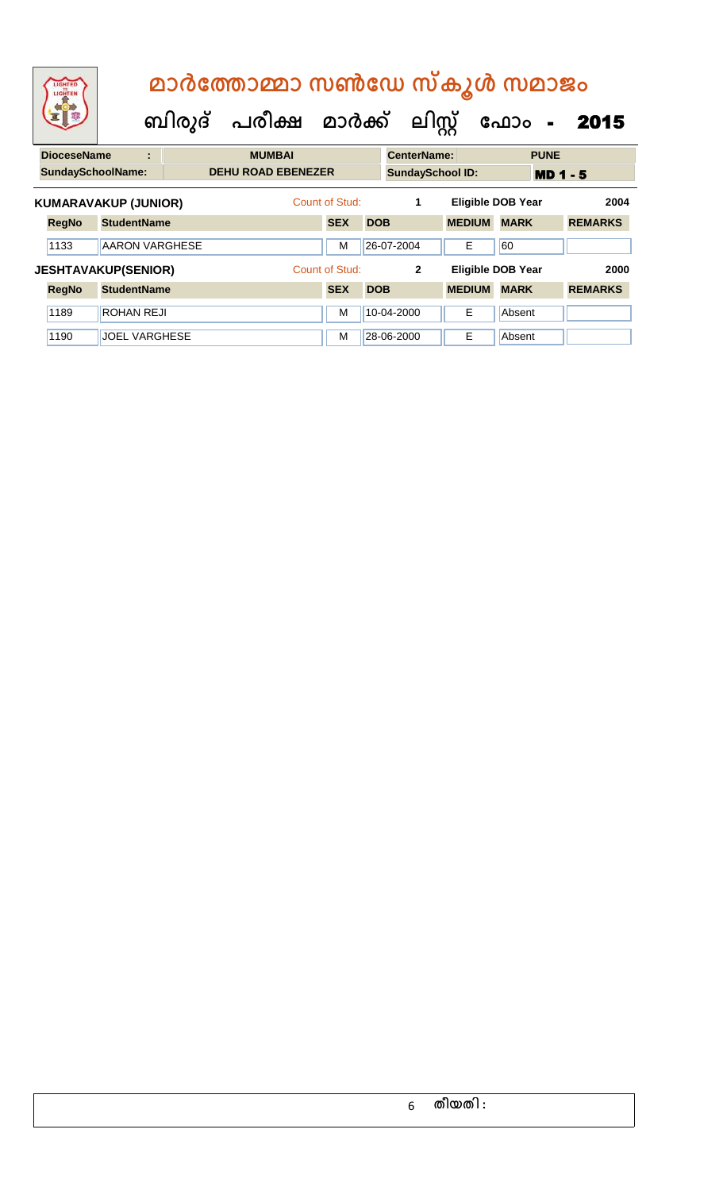|                             | LIGHTED<br>LIGHTEN         |                       |   | ബിരുദ് പരീക്ഷ മാർക്ക് |  |               |                           |                |            |            | ലിസ്റ്റ്                 | മാർത്തോമ്മാ സൺഡേ സ്കൂൾ സമാജം | ഫോം         | $\blacksquare$  | 2015           |  |
|-----------------------------|----------------------------|-----------------------|---|-----------------------|--|---------------|---------------------------|----------------|------------|------------|--------------------------|------------------------------|-------------|-----------------|----------------|--|
|                             | <b>DioceseName</b>         |                       | ÷ |                       |  | <b>MUMBAI</b> |                           |                |            |            | <b>CenterName:</b>       |                              |             | <b>PUNE</b>     |                |  |
|                             | <b>SundaySchoolName:</b>   |                       |   |                       |  |               | <b>DEHU ROAD EBENEZER</b> |                |            |            |                          | <b>SundaySchool ID:</b>      |             | <b>MD 1 - 5</b> |                |  |
| <b>KUMARAVAKUP (JUNIOR)</b> |                            |                       |   |                       |  |               | Count of Stud:            |                |            | 1          | <b>Eligible DOB Year</b> |                              |             | 2004            |                |  |
|                             | <b>RegNo</b>               | <b>StudentName</b>    |   |                       |  |               |                           | <b>SEX</b>     | <b>DOB</b> |            |                          | <b>MEDIUM</b>                | <b>MARK</b> |                 | <b>REMARKS</b> |  |
|                             | 1133                       | <b>AARON VARGHESE</b> |   |                       |  |               |                           | м              |            | 26-07-2004 |                          | Е                            | 60          |                 |                |  |
|                             | <b>JESHTAVAKUP(SENIOR)</b> |                       |   |                       |  |               |                           | Count of Stud: |            |            | $\mathbf{2}$             | <b>Eligible DOB Year</b>     |             |                 | 2000           |  |
|                             | <b>RegNo</b>               | <b>StudentName</b>    |   |                       |  |               |                           | <b>SEX</b>     | <b>DOB</b> |            |                          | <b>MEDIUM</b>                | <b>MARK</b> |                 | <b>REMARKS</b> |  |
|                             | 1189                       | ROHAN REJI            |   |                       |  |               |                           | м              |            | 10-04-2000 |                          | E                            | Absent      |                 |                |  |
|                             | 1190                       | <b>JOEL VARGHESE</b>  |   |                       |  |               |                           | м              |            | 28-06-2000 |                          | E                            | Absent      |                 |                |  |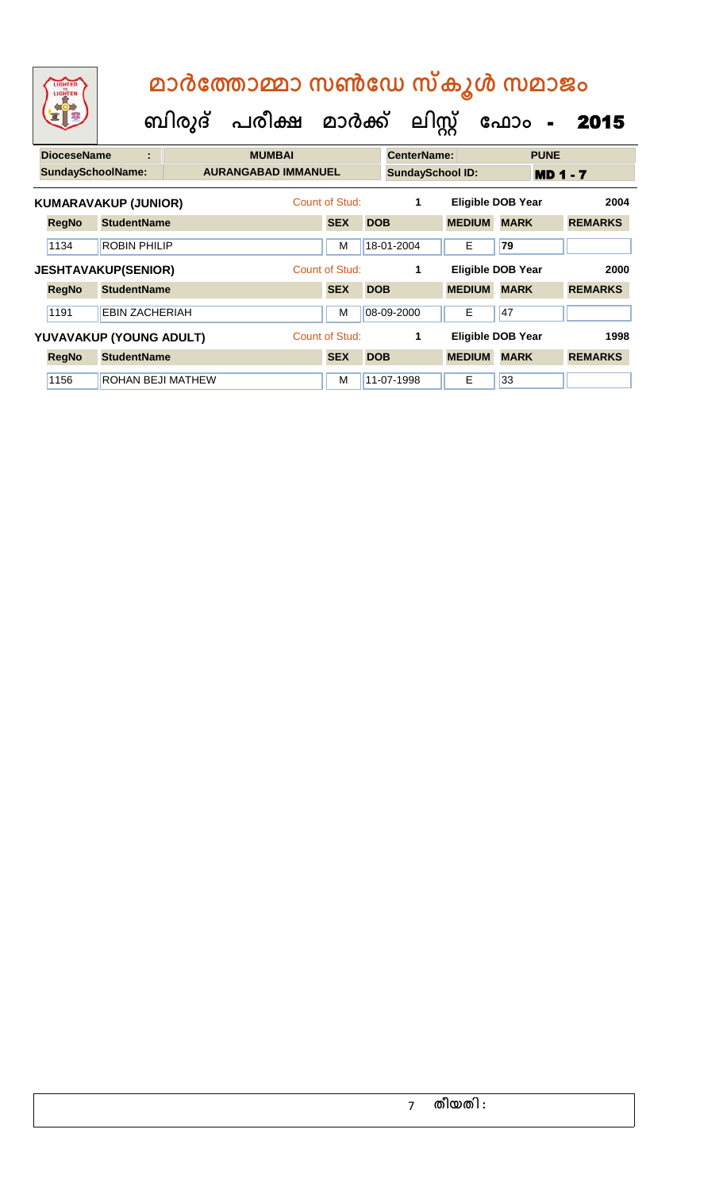| LIGHTED<br>LIGHTEN       | മാർത്തോമ്മാ സൺഡേ സ്കൂൾ സമാജം |                   |                            |                |            |                         |               |                          |                |  |  |
|--------------------------|------------------------------|-------------------|----------------------------|----------------|------------|-------------------------|---------------|--------------------------|----------------|--|--|
|                          |                              |                   | ബിരുദ് പരീക്ഷ മാർക്ക്      |                |            | ലിസ്റ്റ്                |               | ഫോം<br>$\blacksquare$    | 2015           |  |  |
| <b>DioceseName</b>       |                              |                   | <b>MUMBAI</b>              |                |            | <b>CenterName:</b>      |               | <b>PUNE</b>              |                |  |  |
| <b>SundaySchoolName:</b> |                              |                   | <b>AURANGABAD IMMANUEL</b> |                |            | <b>SundaySchool ID:</b> |               | <b>MD 1 - 7</b>          |                |  |  |
|                          | <b>KUMARAVAKUP (JUNIOR)</b>  |                   |                            | Count of Stud: |            | 1                       |               | <b>Eligible DOB Year</b> | 2004           |  |  |
| <b>RegNo</b>             | <b>StudentName</b>           |                   |                            | <b>SEX</b>     | <b>DOB</b> |                         | <b>MEDIUM</b> | <b>MARK</b>              | <b>REMARKS</b> |  |  |
| 1134                     | <b>ROBIN PHILIP</b>          |                   |                            | M              |            | 18-01-2004              | E             | 79                       |                |  |  |
|                          | <b>JESHTAVAKUP(SENIOR)</b>   |                   |                            | Count of Stud: |            | 1                       |               | <b>Eligible DOB Year</b> | 2000           |  |  |
| <b>RegNo</b>             | <b>StudentName</b>           |                   |                            | <b>SEX</b>     | <b>DOB</b> |                         | <b>MEDIUM</b> | <b>MARK</b>              | <b>REMARKS</b> |  |  |
| 1191                     | <b>EBIN ZACHERIAH</b>        |                   |                            | M              |            | 08-09-2000              | E             | 47                       |                |  |  |
|                          | YUVAVAKUP (YOUNG ADULT)      |                   |                            | Count of Stud: |            | 1                       |               | <b>Eligible DOB Year</b> | 1998           |  |  |
| <b>RegNo</b>             | <b>StudentName</b>           |                   |                            | <b>SEX</b>     | <b>DOB</b> |                         | <b>MEDIUM</b> | <b>MARK</b>              | <b>REMARKS</b> |  |  |
| 1156                     |                              | ROHAN BEJI MATHEW |                            | м              |            | 11-07-1998              | Е             | 33                       |                |  |  |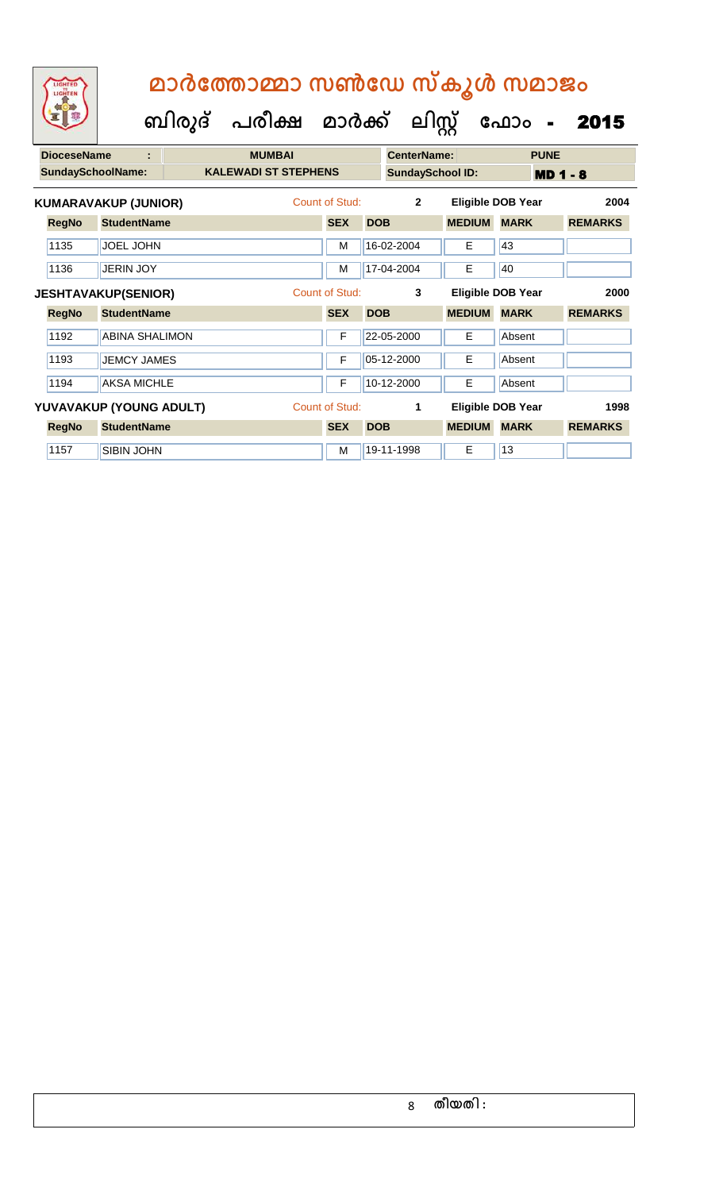|                      | LIGHTED<br>LIGHTEN         |                       | ബിരുദ് | മാർത്തോമ്മാ സൺഡേ സ്കൂൾ സമാജം<br>പരീക്ഷ മാർക്ക് |                |            | ലിസ്റ്റ്                |               | ഫോം<br>$\blacksquare$    | 2015           |
|----------------------|----------------------------|-----------------------|--------|------------------------------------------------|----------------|------------|-------------------------|---------------|--------------------------|----------------|
|                      | <b>DioceseName</b>         | t                     |        | <b>MUMBAI</b>                                  |                |            | <b>CenterName:</b>      |               | <b>PUNE</b>              |                |
|                      | <b>SundaySchoolName:</b>   |                       |        | <b>KALEWADI ST STEPHENS</b>                    |                |            | <b>SundaySchool ID:</b> |               | <b>MD 1 - 8</b>          |                |
| KUMARAVAKUP (JUNIOR) |                            |                       |        |                                                | Count of Stud: |            | $\overline{2}$          |               | <b>Eligible DOB Year</b> | 2004           |
|                      | <b>RegNo</b>               | <b>StudentName</b>    |        |                                                | <b>SEX</b>     | <b>DOB</b> |                         | <b>MEDIUM</b> | <b>MARK</b>              | <b>REMARKS</b> |
|                      | 1135                       | <b>JOEL JOHN</b>      |        |                                                | M              |            | 16-02-2004              | Е             | 43                       |                |
|                      | 1136                       | <b>JERIN JOY</b>      |        |                                                | M              |            | 17-04-2004              | E             | 40                       |                |
|                      | <b>JESHTAVAKUP(SENIOR)</b> |                       |        |                                                | Count of Stud: |            | 3                       |               | <b>Eligible DOB Year</b> | 2000           |
|                      | <b>RegNo</b>               | <b>StudentName</b>    |        |                                                | <b>SEX</b>     | <b>DOB</b> |                         | <b>MEDIUM</b> | <b>MARK</b>              | <b>REMARKS</b> |
|                      | 1192                       | <b>ABINA SHALIMON</b> |        |                                                | F              |            | 22-05-2000              | Е             | Absent                   |                |

| 1193         | <b>JEMCY JAMES</b>      | F              | $ 05-12-2000 $ | Е             | Absent                   |                |
|--------------|-------------------------|----------------|----------------|---------------|--------------------------|----------------|
| 1194         | <b>AKSA MICHLE</b>      | F              | 10-12-2000     | Е             | Absent                   |                |
|              | YUVAVAKUP (YOUNG ADULT) | Count of Stud: |                |               | <b>Eligible DOB Year</b> | 1998           |
| <b>RegNo</b> | <b>StudentName</b>      | <b>SEX</b>     | <b>DOB</b>     | <b>MEDIUM</b> | <b>MARK</b>              | <b>REMARKS</b> |
|              |                         |                |                |               |                          |                |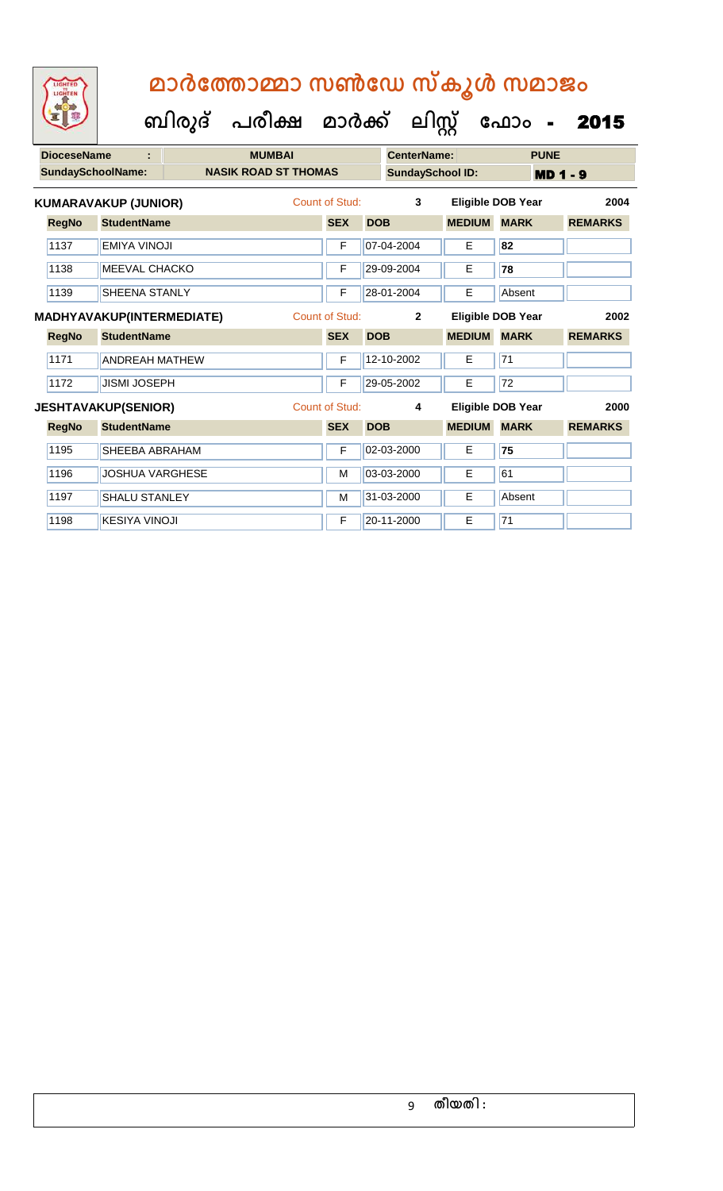**ബിരുദ് പരീക്ഷ മാര്ക് ക ലിസ്റ്റ ക ഫ ാോം** - 2015

1198 KESIYA VINOJI F 20-11-2000 E 71

|      | <b>DioceseName</b> | ÷                                | <b>MUMBAI</b>               |                |            | <b>CenterName:</b>      |               | <b>PUNE</b>              |                |
|------|--------------------|----------------------------------|-----------------------------|----------------|------------|-------------------------|---------------|--------------------------|----------------|
|      |                    | <b>SundaySchoolName:</b>         | <b>NASIK ROAD ST THOMAS</b> |                |            | <b>SundaySchool ID:</b> |               | <b>MD 1 - 9</b>          |                |
|      |                    | KUMARAVAKUP (JUNIOR)             |                             | Count of Stud: |            | 3                       |               | <b>Eligible DOB Year</b> | 2004           |
|      | <b>RegNo</b>       | <b>StudentName</b>               |                             | <b>SEX</b>     | <b>DOB</b> |                         | <b>MEDIUM</b> | <b>MARK</b>              | <b>REMARKS</b> |
| 1137 |                    | <b>EMIYA VINOJI</b>              |                             | F              |            | 07-04-2004              | E             | 82                       |                |
| 1138 |                    | <b>MEEVAL CHACKO</b>             |                             | F              |            | 29-09-2004              | E             | 78                       |                |
| 1139 |                    | <b>SHEENA STANLY</b>             |                             | F              |            | 28-01-2004              | E             | Absent                   |                |
|      |                    | <b>MADHYAVAKUP(INTERMEDIATE)</b> |                             | Count of Stud: |            | $\overline{2}$          |               | <b>Eligible DOB Year</b> | 2002           |
|      | <b>RegNo</b>       | <b>StudentName</b>               |                             | <b>SEX</b>     | <b>DOB</b> |                         | <b>MEDIUM</b> | <b>MARK</b>              | <b>REMARKS</b> |
| 1171 |                    | <b>ANDREAH MATHEW</b>            |                             | F              |            | 12-10-2002              | E             | 71                       |                |
|      | 1172               | <b>JISMI JOSEPH</b>              |                             | F              |            | 29-05-2002              | E             | $\overline{72}$          |                |
|      |                    | <b>JESHTAVAKUP(SENIOR)</b>       |                             | Count of Stud: |            | 4                       |               | Eligible DOB Year        | 2000           |
|      | <b>RegNo</b>       | <b>StudentName</b>               |                             | <b>SEX</b>     | <b>DOB</b> |                         | <b>MEDIUM</b> | <b>MARK</b>              | <b>REMARKS</b> |
| 1195 |                    | <b>SHEEBA ABRAHAM</b>            |                             | F              |            | 02-03-2000              | E             | 75                       |                |
| 1196 |                    | <b>JOSHUA VARGHESE</b>           |                             | M              |            | 03-03-2000              | E             | 61                       |                |
|      | 1197               | <b>SHALU STANLEY</b>             |                             | M              |            | 31-03-2000              | E             | Absent                   |                |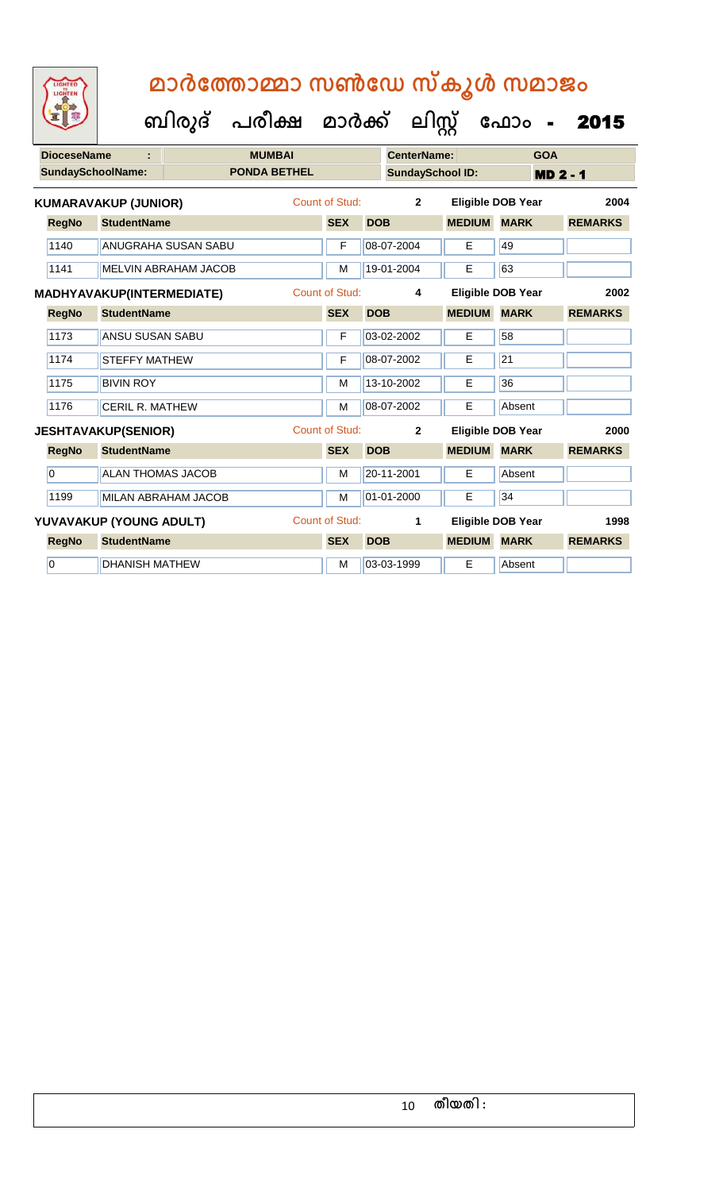|                | LIGHTED<br>LIGHTEN |                                  | മാർത്തോമ്മാ സൺഡേ സ്കൂൾ സമാജം         |                       |                         |               |                          |                 |
|----------------|--------------------|----------------------------------|--------------------------------------|-----------------------|-------------------------|---------------|--------------------------|-----------------|
|                |                    |                                  | ബിരുദ് പരീക്ഷ മാർക്ക് ലിസ്റ്റ് ഫോം - |                       |                         |               |                          | 2015            |
|                | <b>DioceseName</b> | ÷                                | <b>MUMBAI</b>                        |                       | <b>CenterName:</b>      |               | <b>GOA</b>               |                 |
|                |                    | <b>SundaySchoolName:</b>         | <b>PONDA BETHEL</b>                  |                       | <b>SundaySchool ID:</b> |               |                          | <b>MD 2 - 1</b> |
|                |                    | <b>KUMARAVAKUP (JUNIOR)</b>      |                                      | Count of Stud:        | $\overline{2}$          |               | <b>Eligible DOB Year</b> | 2004            |
|                | <b>RegNo</b>       | <b>StudentName</b>               |                                      | <b>SEX</b>            | <b>DOB</b>              | <b>MEDIUM</b> | <b>MARK</b>              | <b>REMARKS</b>  |
|                | 1140               | <b>ANUGRAHA SUSAN SABU</b>       |                                      | F                     | 08-07-2004              | Е             | 49                       |                 |
|                | 1141               | <b>MELVIN ABRAHAM JACOB</b>      |                                      | M                     | 19-01-2004              | E             | 63                       |                 |
|                |                    | <b>MADHYAVAKUP(INTERMEDIATE)</b> |                                      | <b>Count of Stud:</b> | 4                       |               | <b>Eligible DOB Year</b> | 2002            |
|                | <b>RegNo</b>       | <b>StudentName</b>               |                                      | <b>SEX</b>            | <b>DOB</b>              | <b>MEDIUM</b> | <b>MARK</b>              | <b>REMARKS</b>  |
|                | 1173               | ANSU SUSAN SABU                  |                                      | F                     | 03-02-2002              | E             | 58                       |                 |
|                | 1174               | <b>STEFFY MATHEW</b>             |                                      | F                     | 08-07-2002              | Е             | 21                       |                 |
|                | 1175               | <b>BIVIN ROY</b>                 |                                      | M                     | 13-10-2002              | E             | 36                       |                 |
|                | 1176               | <b>CERIL R. MATHEW</b>           |                                      | M                     | 08-07-2002              | E             | Absent                   |                 |
|                |                    | <b>JESHTAVAKUP(SENIOR)</b>       |                                      | <b>Count of Stud:</b> | $\overline{2}$          |               | <b>Eligible DOB Year</b> | 2000            |
|                | <b>RegNo</b>       | <b>StudentName</b>               |                                      | <b>SEX</b>            | <b>DOB</b>              | <b>MEDIUM</b> | <b>MARK</b>              | <b>REMARKS</b>  |
| $\overline{0}$ |                    | <b>ALAN THOMAS JACOB</b>         |                                      | M                     | 20-11-2001              | E             | Absent                   |                 |
|                | 1199               | MILAN ABRAHAM JACOB              |                                      | M                     | 01-01-2000              | E             | 34                       |                 |
|                |                    | YUVAVAKUP (YOUNG ADULT)          |                                      | <b>Count of Stud:</b> | 1                       |               | <b>Eligible DOB Year</b> | 1998            |
|                | <b>RegNo</b>       | <b>StudentName</b>               |                                      | <b>SEX</b>            | <b>DOB</b>              | <b>MEDIUM</b> | <b>MARK</b>              | <b>REMARKS</b>  |

0 DHANISH MATHEW **M** M 03-03-1999 **E** Absent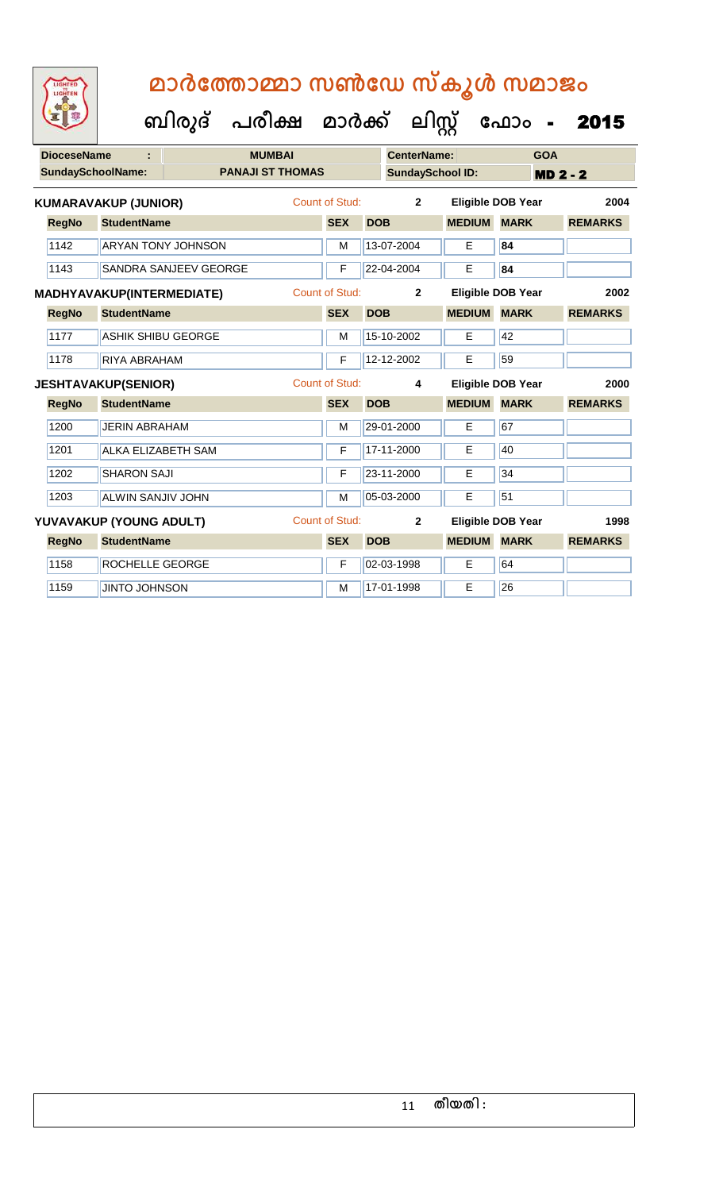| <b>DioceseName</b> |                             | <b>MUMBAI</b>             |                       |            | <b>CenterName:</b><br><b>GOA</b> |                          |                 |                 |                |
|--------------------|-----------------------------|---------------------------|-----------------------|------------|----------------------------------|--------------------------|-----------------|-----------------|----------------|
|                    | <b>SundaySchoolName:</b>    | <b>PANAJI ST THOMAS</b>   |                       |            | <b>SundaySchool ID:</b>          |                          |                 | <b>MD 2 - 2</b> |                |
|                    | <b>KUMARAVAKUP (JUNIOR)</b> |                           | Count of Stud:        |            | $\overline{2}$                   | <b>Eligible DOB Year</b> |                 |                 | 2004           |
| <b>RegNo</b>       | <b>StudentName</b>          |                           | <b>SEX</b>            | <b>DOB</b> |                                  | <b>MEDIUM</b>            | <b>MARK</b>     |                 | <b>REMARKS</b> |
| 1142               |                             | <b>ARYAN TONY JOHNSON</b> | M                     |            | 13-07-2004                       | Е                        | 84              |                 |                |
| 1143               |                             | SANDRA SANJEEV GEORGE     | F                     |            | 22-04-2004                       | Е                        | 84              |                 |                |
|                    | MADHYAVAKUP(INTERMEDIATE)   |                           | <b>Count of Stud:</b> |            | $\mathbf{2}$                     | <b>Eligible DOB Year</b> |                 |                 | 2002           |
| <b>RegNo</b>       | <b>StudentName</b>          |                           | <b>SEX</b>            | <b>DOB</b> |                                  | <b>MEDIUM</b>            | <b>MARK</b>     |                 | <b>REMARKS</b> |
| 1177               | ASHIK SHIBU GEORGE          |                           | M                     |            | 15-10-2002                       | Е                        | 42              |                 |                |
| 1178               | <b>RIYA ABRAHAM</b>         |                           | $\mathsf{F}$          |            | 12-12-2002                       | Е                        | 59              |                 |                |
|                    | <b>JESHTAVAKUP(SENIOR)</b>  |                           | <b>Count of Stud:</b> |            | 4                                | <b>Eligible DOB Year</b> |                 |                 | 2000           |
| <b>RegNo</b>       | <b>StudentName</b>          |                           | <b>SEX</b>            | <b>DOB</b> |                                  | <b>MEDIUM</b>            | <b>MARK</b>     |                 | <b>REMARKS</b> |
| 1200               | <b>JERIN ABRAHAM</b>        |                           | M                     |            | 29-01-2000                       | Е                        | 67              |                 |                |
| 1201               | <b>ALKA ELIZABETH SAM</b>   |                           | F                     |            | 17-11-2000                       | Е                        | 40              |                 |                |
| 1202               | <b>SHARON SAJI</b>          |                           | F                     |            | 23-11-2000                       | E                        | 34              |                 |                |
| 1203               | ALWIN SANJIV JOHN           |                           | M                     |            | 05-03-2000                       | E                        | 51              |                 |                |
|                    | YUVAVAKUP (YOUNG ADULT)     |                           | <b>Count of Stud:</b> |            | $\mathbf{2}$                     | <b>Eligible DOB Year</b> |                 |                 | 1998           |
| <b>RegNo</b>       | <b>StudentName</b>          |                           | <b>SEX</b>            | <b>DOB</b> |                                  | <b>MEDIUM</b>            | <b>MARK</b>     |                 | <b>REMARKS</b> |
| 1158               | ROCHELLE GEORGE             |                           | $\mathsf F$           |            | 02-03-1998                       | E                        | 64              |                 |                |
| 1159               | <b>JINTO JOHNSON</b>        |                           | M                     |            | 17-01-1998                       | Е                        | $\overline{26}$ |                 |                |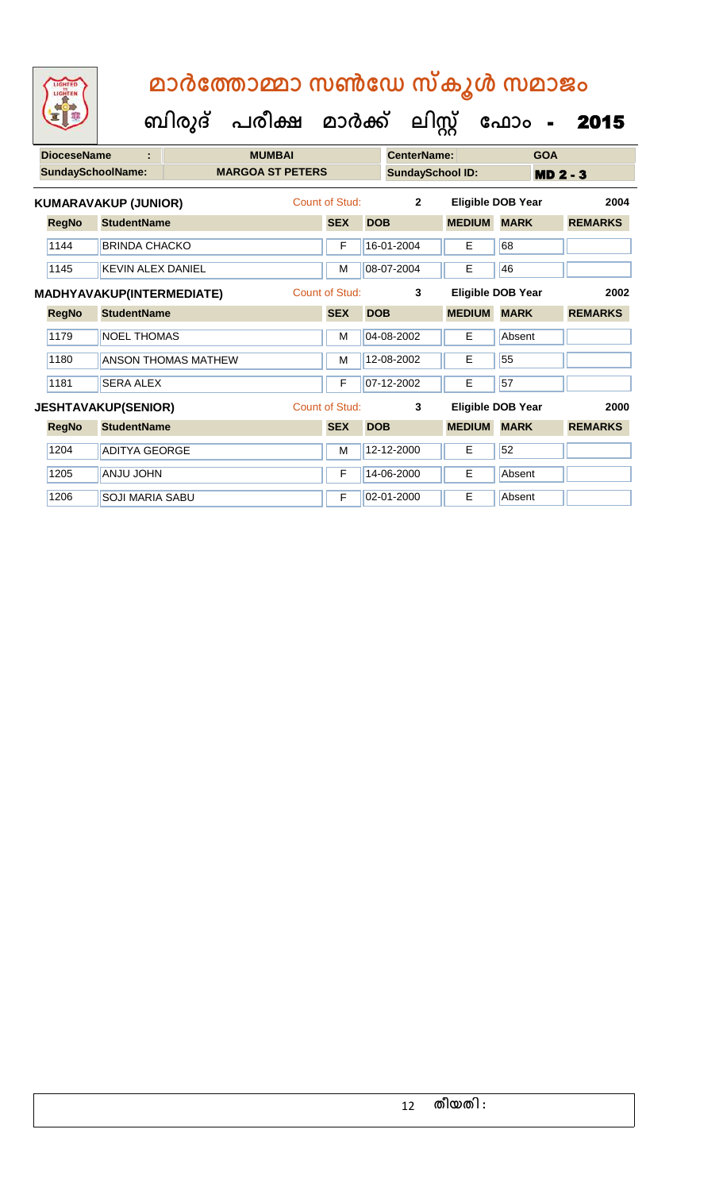**ബിരുദ് പരീക്ഷ മാര്ക് ക ലിസ്റ്റ ക ഫ ാോം** - 2015

| <b>DioceseName</b><br><b>SundaySchoolName:</b> | t                                |                     | <b>MUMBAI</b><br><b>MARGOA ST PETERS</b> |                |            | <b>CenterName:</b><br><b>SundaySchool ID:</b> |               | <b>GOA</b>               | <b>MD 2 - 3</b> |  |
|------------------------------------------------|----------------------------------|---------------------|------------------------------------------|----------------|------------|-----------------------------------------------|---------------|--------------------------|-----------------|--|
|                                                | <b>KUMARAVAKUP (JUNIOR)</b>      |                     |                                          | Count of Stud: |            | $\overline{2}$                                |               | <b>Eligible DOB Year</b> | 2004            |  |
| <b>RegNo</b>                                   | <b>StudentName</b>               |                     |                                          | <b>SEX</b>     | <b>DOB</b> |                                               | <b>MEDIUM</b> | <b>MARK</b>              | <b>REMARKS</b>  |  |
| 1144                                           | <b>BRINDA CHACKO</b>             |                     |                                          | F              |            | 16-01-2004                                    | E             | 68                       |                 |  |
| 1145                                           | <b>KEVIN ALEX DANIEL</b>         |                     |                                          | M              |            | 08-07-2004                                    | E             | 46                       |                 |  |
|                                                | <b>MADHYAVAKUP(INTERMEDIATE)</b> |                     |                                          | Count of Stud: |            | 3                                             |               | Eligible DOB Year        | 2002            |  |
| <b>RegNo</b>                                   | <b>StudentName</b>               |                     |                                          | <b>SEX</b>     | <b>DOB</b> |                                               | <b>MEDIUM</b> | <b>MARK</b>              | <b>REMARKS</b>  |  |
| 1179                                           | <b>NOEL THOMAS</b>               |                     |                                          | M              |            | 04-08-2002                                    | E.            | Absent                   |                 |  |
| 1180                                           |                                  | ANSON THOMAS MATHEW |                                          | M              |            | 12-08-2002                                    | E             | 55                       |                 |  |
| 1181                                           | <b>SERA ALEX</b>                 |                     |                                          | F              |            | 07-12-2002                                    | E             | 57                       |                 |  |
|                                                | <b>JESHTAVAKUP(SENIOR)</b>       |                     |                                          | Count of Stud: |            | 3                                             |               | <b>Eligible DOB Year</b> | 2000            |  |
| <b>RegNo</b>                                   | <b>StudentName</b>               |                     |                                          | <b>SEX</b>     | <b>DOB</b> |                                               | <b>MEDIUM</b> | <b>MARK</b>              | <b>REMARKS</b>  |  |
| 1204                                           | <b>ADITYA GEORGE</b>             |                     |                                          | M              |            | 12-12-2000                                    | E             | 52                       |                 |  |
| 1205                                           | <b>ANJU JOHN</b>                 |                     |                                          | F              |            | 14-06-2000                                    | E             | Absent                   |                 |  |

1206 SOJI MARIA SABU F 02-01-2000 E Absent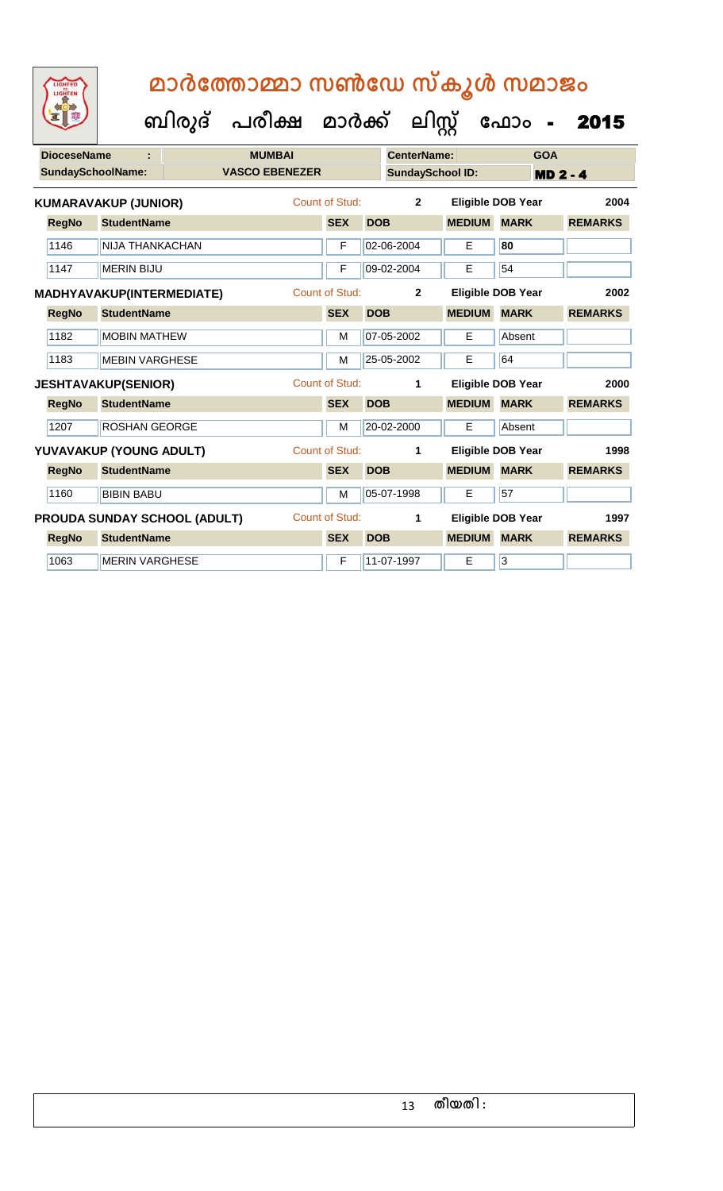**ബിരുദ് പരീക്ഷ മാര്ക് ക ലിസ്റ്റ ക ഫ ാോം** - 2015

1063 | MERIN VARGHESE **F 11-07-1997** | E 3

| <b>DioceseName</b>       |                                  |                              | <b>MUMBAI</b>         |                       |            | <b>CenterName:</b>      |               | <b>GOA</b>               |                 |
|--------------------------|----------------------------------|------------------------------|-----------------------|-----------------------|------------|-------------------------|---------------|--------------------------|-----------------|
| <b>SundaySchoolName:</b> |                                  |                              | <b>VASCO EBENEZER</b> |                       |            | <b>SundaySchool ID:</b> |               |                          | <b>MD 2 - 4</b> |
|                          | <b>KUMARAVAKUP (JUNIOR)</b>      |                              |                       | Count of Stud:        |            | $\mathbf{2}$            |               | <b>Eligible DOB Year</b> | 2004            |
| <b>RegNo</b>             | <b>StudentName</b>               |                              |                       | <b>SEX</b>            | <b>DOB</b> |                         | <b>MEDIUM</b> | <b>MARK</b>              | <b>REMARKS</b>  |
| 1146                     | NIJA THANKACHAN                  |                              |                       | F                     |            | 02-06-2004              | E             | 80                       |                 |
| 1147                     | <b>MERIN BIJU</b>                |                              |                       | F                     |            | 09-02-2004              | E             | 54                       |                 |
|                          | <b>MADHYAVAKUP(INTERMEDIATE)</b> |                              |                       | <b>Count of Stud:</b> |            | $\overline{2}$          |               | Eligible DOB Year        | 2002            |
| <b>RegNo</b>             | <b>StudentName</b>               |                              |                       | <b>SEX</b>            | <b>DOB</b> |                         | <b>MEDIUM</b> | <b>MARK</b>              | <b>REMARKS</b>  |
| 1182                     | <b>MOBIN MATHEW</b>              |                              |                       | M                     |            | 07-05-2002              | E             | Absent                   |                 |
| 1183                     | <b>MEBIN VARGHESE</b>            |                              |                       | M                     |            | 25-05-2002              | E             | 64                       |                 |
|                          | <b>JESHTAVAKUP(SENIOR)</b>       |                              |                       | <b>Count of Stud:</b> |            | 1                       |               | <b>Eligible DOB Year</b> | 2000            |
| <b>RegNo</b>             | <b>StudentName</b>               |                              |                       | <b>SEX</b>            | <b>DOB</b> |                         | <b>MEDIUM</b> | <b>MARK</b>              | <b>REMARKS</b>  |
| 1207                     | <b>ROSHAN GEORGE</b>             |                              |                       | M                     |            | 20-02-2000              | E             | Absent                   |                 |
|                          | YUVAVAKUP (YOUNG ADULT)          |                              |                       | Count of Stud:        |            | 1                       |               | <b>Eligible DOB Year</b> | 1998            |
| <b>RegNo</b>             | <b>StudentName</b>               |                              |                       | <b>SEX</b>            | <b>DOB</b> |                         | <b>MEDIUM</b> | <b>MARK</b>              | <b>REMARKS</b>  |
| 1160                     | <b>BIBIN BABU</b>                |                              |                       | M                     |            | 05-07-1998              | E             | 57                       |                 |
|                          |                                  | PROUDA SUNDAY SCHOOL (ADULT) |                       | <b>Count of Stud:</b> |            | 1                       |               | <b>Eligible DOB Year</b> | 1997            |
| <b>RegNo</b>             | <b>StudentName</b>               |                              |                       | <b>SEX</b>            | <b>DOB</b> |                         | <b>MEDIUM</b> | <b>MARK</b>              | <b>REMARKS</b>  |

13 **തീയതി :**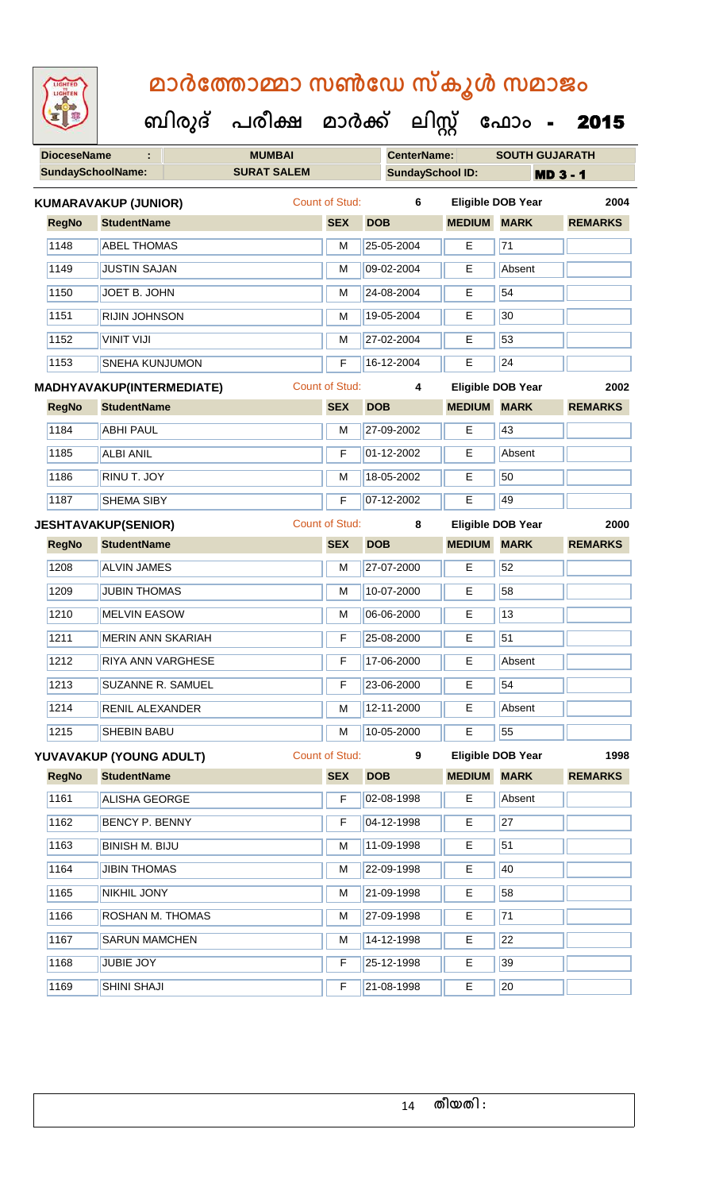| LIGHTED<br>LIGHTEN       |                                  | ബിരുദ് | മാർത്തോമ്മാ സൺഡേ സ്കൂൾ സമാജം<br>പരീക്ഷ മാർക്ക് |                |            | ലിസ്റ്റ്                |               | ഫോം -                    | 2015            |
|--------------------------|----------------------------------|--------|------------------------------------------------|----------------|------------|-------------------------|---------------|--------------------------|-----------------|
| <b>DioceseName</b>       |                                  |        | <b>MUMBAI</b>                                  |                |            | <b>CenterName:</b>      |               | <b>SOUTH GUJARATH</b>    |                 |
| <b>SundaySchoolName:</b> |                                  |        | <b>SURAT SALEM</b>                             |                |            | <b>SundaySchool ID:</b> |               |                          | <b>MD 3 - 1</b> |
|                          | <b>KUMARAVAKUP (JUNIOR)</b>      |        |                                                | Count of Stud: |            | 6                       |               | <b>Eligible DOB Year</b> | 2004            |
| <b>RegNo</b>             | <b>StudentName</b>               |        |                                                | <b>SEX</b>     | <b>DOB</b> |                         | <b>MEDIUM</b> | <b>MARK</b>              | <b>REMARKS</b>  |
| 1148                     | <b>ABEL THOMAS</b>               |        |                                                | м              |            | 25-05-2004              | E             | 71                       |                 |
| 1149                     | <b>JUSTIN SAJAN</b>              |        |                                                | м              |            | 09-02-2004              | E             | Absent                   |                 |
| 1150                     | JOET B. JOHN                     |        |                                                | М              |            | 24-08-2004              | E             | 54                       |                 |
| 1151                     | <b>RIJIN JOHNSON</b>             |        |                                                | м              |            | 19-05-2004              | E             | 30                       |                 |
| 1152                     | <b>VINIT VIJI</b>                |        |                                                | M              |            | 27-02-2004              | E             | 53                       |                 |
| 1153                     | <b>SNEHA KUNJUMON</b>            |        |                                                | F              |            | 16-12-2004              | E             | 24                       |                 |
|                          | <b>MADHYAVAKUP(INTERMEDIATE)</b> |        |                                                | Count of Stud: |            | 4                       |               | Eligible DOB Year        | 2002            |
| <b>RegNo</b>             | <b>StudentName</b>               |        |                                                | <b>SEX</b>     | <b>DOB</b> |                         | <b>MEDIUM</b> | <b>MARK</b>              | <b>REMARKS</b>  |
| 1184                     | <b>ABHI PAUL</b>                 |        |                                                | М              |            | 27-09-2002              | E             | 43                       |                 |

| 1187         | <b>SHEMA SIBY</b>          | F              | 07-12-2002 | Е             | 49                       |                |
|--------------|----------------------------|----------------|------------|---------------|--------------------------|----------------|
|              | <b>JESHTAVAKUP(SENIOR)</b> | Count of Stud: | 8          |               | <b>Eligible DOB Year</b> | 2000           |
| <b>RegNo</b> | <b>StudentName</b>         | <b>SEX</b>     | <b>DOB</b> | <b>MEDIUM</b> | <b>MARK</b>              | <b>REMARKS</b> |
| 1208         | <b>ALVIN JAMES</b>         | M              | 27-07-2000 | Е             | 52                       |                |
| 1209         | <b>JUBIN THOMAS</b>        | м              | 10-07-2000 | Е             | 58                       |                |
| 1210         | <b>MELVIN EASOW</b>        | M              | 06-06-2000 | Е             | 13                       |                |
| 1211         | MERIN ANN SKARIAH          | F              | 25-08-2000 | E             | 51                       |                |
| 1212         | <b>RIYA ANN VARGHESE</b>   | F              | 17-06-2000 | E             | Absent                   |                |
| 1213         | <b>SUZANNE R. SAMUEL</b>   | F              | 23-06-2000 | E.            | 54                       |                |
| 1214         | RENIL ALEXANDER            | M              | 12-11-2000 | E.            | Absent                   |                |
| 1215         | <b>SHEBIN BABU</b>         | M              | 10-05-2000 | E             | 55                       |                |
|              |                            |                |            |               |                          |                |

1185 ALBI ANIL **F** 01-12-2002 E Absent

1186 RINU T. JOY M 18-05-2002 E 50

|              | YUVAVAKUP (YOUNG ADULT) | Count of Stud: | 9          |               | <b>Eligible DOB Year</b> | 1998           |
|--------------|-------------------------|----------------|------------|---------------|--------------------------|----------------|
| <b>RegNo</b> | <b>StudentName</b>      | <b>SEX</b>     | <b>DOB</b> | <b>MEDIUM</b> | <b>MARK</b>              | <b>REMARKS</b> |
| 1161         | <b>ALISHA GEORGE</b>    | F              | 02-08-1998 | E             | Absent                   |                |
| 1162         | BENCY P. BENNY          | F              | 04-12-1998 | Е             | 27                       |                |
| 1163         | BINISH M. BIJU          | м              | 11-09-1998 | Е             | 51                       |                |
| 1164         | <b>JIBIN THOMAS</b>     | м              | 22-09-1998 | E             | 40                       |                |
| 1165         | <b>NIKHIL JONY</b>      | м              | 21-09-1998 | E.            | 58                       |                |
| 1166         | ROSHAN M. THOMAS        | м              | 27-09-1998 | E.            | 71                       |                |
| 1167         | <b>SARUN MAMCHEN</b>    | M              | 14-12-1998 | E             | 22                       |                |
| 1168         | <b>JUBIE JOY</b>        | F              | 25-12-1998 | E.            | 39                       |                |
| 1169         | <b>SHINI SHAJI</b>      | F              | 21-08-1998 | E             | 20                       |                |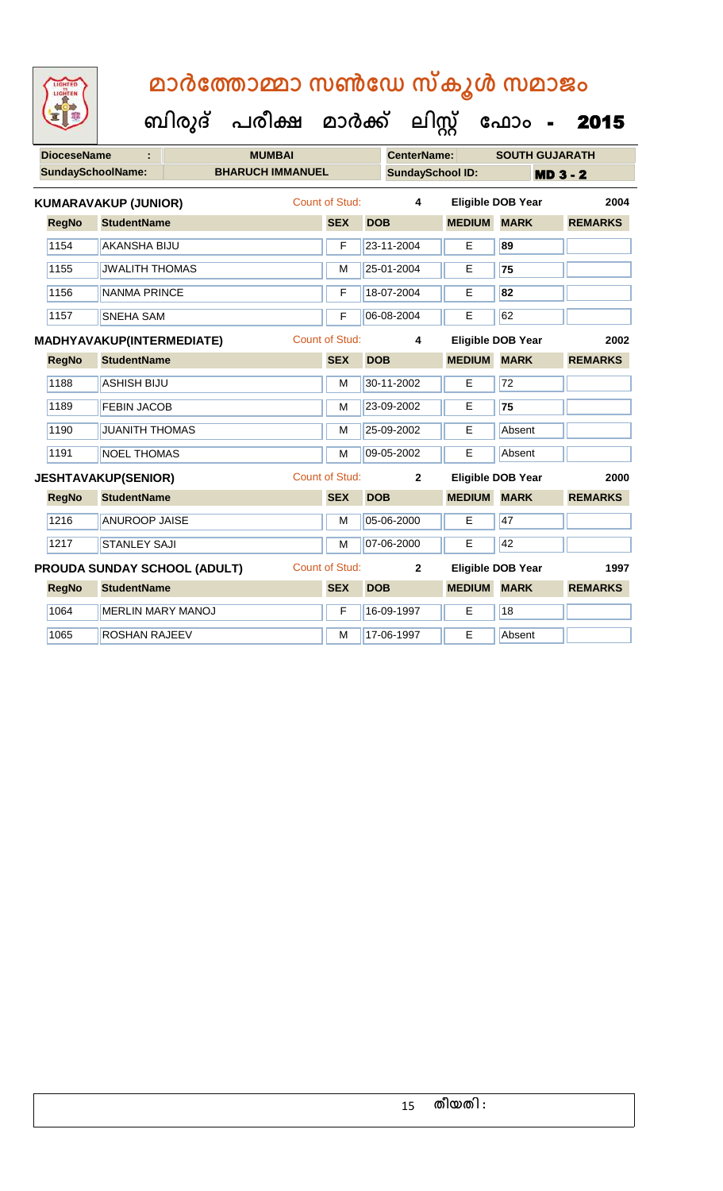| <b>IGHTED</b> |
|---------------|
|               |
|               |
|               |

|              | <b>DioceseName</b><br><b>MUMBAI</b> |                              |                       |            | <b>CenterName:</b>      |               | <b>SOUTH GUJARATH</b>    |                |
|--------------|-------------------------------------|------------------------------|-----------------------|------------|-------------------------|---------------|--------------------------|----------------|
|              | <b>SundaySchoolName:</b>            | <b>BHARUCH IMMANUEL</b>      |                       |            | <b>SundaySchool ID:</b> |               |                          | $MD3 - 2$      |
|              | <b>KUMARAVAKUP (JUNIOR)</b>         |                              | <b>Count of Stud:</b> |            | 4                       |               | <b>Eligible DOB Year</b> | 2004           |
| <b>RegNo</b> | <b>StudentName</b>                  |                              | <b>SEX</b>            | <b>DOB</b> |                         | <b>MEDIUM</b> | <b>MARK</b>              | <b>REMARKS</b> |
| 1154         | <b>AKANSHA BIJU</b>                 |                              | F                     |            | 23-11-2004              | E.            | 89                       |                |
| 1155         | <b>JWALITH THOMAS</b>               |                              | M                     |            | 25-01-2004              | E             | 75                       |                |
| 1156         | <b>NANMA PRINCE</b>                 |                              | F                     |            | 18-07-2004              | E             | 82                       |                |
| 1157         | <b>SNEHA SAM</b>                    |                              | F                     |            | 06-08-2004              | Е             | 62                       |                |
|              | <b>MADHYAVAKUP(INTERMEDIATE)</b>    |                              | <b>Count of Stud:</b> |            | 4                       |               | <b>Eligible DOB Year</b> | 2002           |
| <b>RegNo</b> | <b>StudentName</b>                  |                              | <b>SEX</b>            | <b>DOB</b> |                         | <b>MEDIUM</b> | <b>MARK</b>              | <b>REMARKS</b> |
| 1188         | <b>ASHISH BIJU</b>                  |                              | M                     |            | 30-11-2002              | E.            | 72                       |                |
| 1189         | <b>FEBIN JACOB</b>                  |                              | M                     |            | 23-09-2002              | Е             | 75                       |                |
| 1190         | <b>JUANITH THOMAS</b>               |                              | M                     |            | 25-09-2002              | Е             | Absent                   |                |
| 1191         | <b>NOEL THOMAS</b>                  |                              | M                     |            | 09-05-2002              | E             | Absent                   |                |
|              | <b>JESHTAVAKUP(SENIOR)</b>          |                              | <b>Count of Stud:</b> |            | $\mathbf{2}$            |               | <b>Eligible DOB Year</b> | 2000           |
| <b>RegNo</b> | <b>StudentName</b>                  |                              | <b>SEX</b>            | <b>DOB</b> |                         | <b>MEDIUM</b> | <b>MARK</b>              | <b>REMARKS</b> |
| 1216         | <b>ANUROOP JAISE</b>                |                              | M                     |            | 05-06-2000              | E             | 47                       |                |
| 1217         | <b>STANLEY SAJI</b>                 |                              | M                     |            | 07-06-2000              | E             | 42                       |                |
|              |                                     | PROUDA SUNDAY SCHOOL (ADULT) | <b>Count of Stud:</b> |            | $\mathbf{2}$            |               | <b>Eligible DOB Year</b> | 1997           |
| <b>RegNo</b> | <b>StudentName</b>                  |                              | <b>SEX</b>            | <b>DOB</b> |                         | <b>MEDIUM</b> | <b>MARK</b>              | <b>REMARKS</b> |
| 1064         | <b>MERLIN MARY MANOJ</b>            |                              | F                     |            | 16-09-1997              | E             | 18                       |                |
| 1065         | <b>ROSHAN RAJEEV</b>                |                              | M                     |            | 17-06-1997              | E             | Absent                   |                |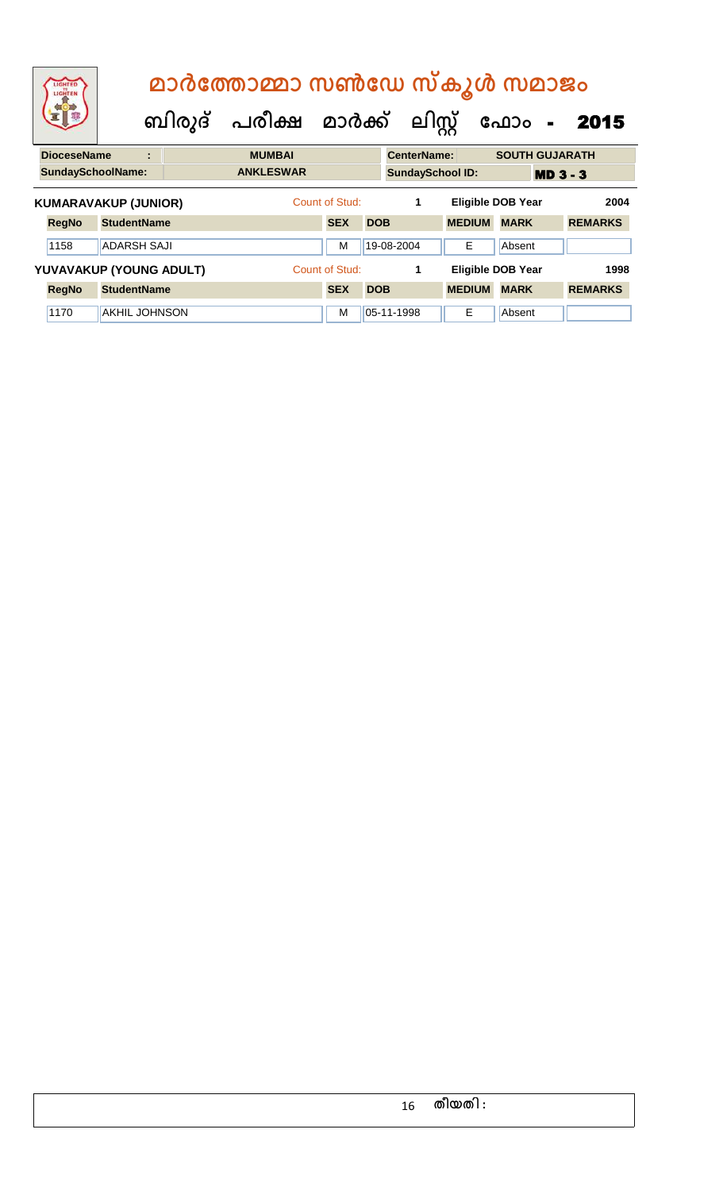| LIGHTED<br>LIGHTEN          |                    | മാർത്തോമ്മാ സൺഡേ സ്കൂൾ സമാജം |                       |                |            |                    |                         |                          |                 |  |  |
|-----------------------------|--------------------|------------------------------|-----------------------|----------------|------------|--------------------|-------------------------|--------------------------|-----------------|--|--|
|                             |                    |                              | ബിരുദ് പരീക്ഷ മാർക്ക് |                |            |                    | ലിസ്റ്റ്                | ഫോം -                    | 2015            |  |  |
| <b>DioceseName</b>          |                    | ÷                            | <b>MUMBAI</b>         |                |            | <b>CenterName:</b> |                         | <b>SOUTH GUJARATH</b>    |                 |  |  |
| <b>SundaySchoolName:</b>    |                    |                              | <b>ANKLESWAR</b>      |                |            |                    | <b>SundaySchool ID:</b> |                          | <b>MD 3 - 3</b> |  |  |
| <b>KUMARAVAKUP (JUNIOR)</b> |                    |                              |                       | Count of Stud: |            | 1                  |                         | <b>Eligible DOB Year</b> | 2004            |  |  |
| <b>RegNo</b>                | <b>StudentName</b> |                              |                       | <b>SEX</b>     | <b>DOB</b> |                    | <b>MEDIUM</b>           | <b>MARK</b>              | <b>REMARKS</b>  |  |  |
| 1158                        | <b>ADARSH SAJI</b> |                              |                       | M              |            | 19-08-2004         | Е                       | Absent                   |                 |  |  |
|                             |                    | YUVAVAKUP (YOUNG ADULT)      |                       | Count of Stud: |            | 1                  |                         | <b>Eligible DOB Year</b> | 1998            |  |  |
| <b>RegNo</b>                | <b>StudentName</b> |                              |                       | <b>SEX</b>     | <b>DOB</b> |                    | <b>MEDIUM</b>           | <b>MARK</b>              | <b>REMARKS</b>  |  |  |
| 1170                        | AKHIL JOHNSON      |                              |                       | M              |            | 05-11-1998         | Е                       | Absent                   |                 |  |  |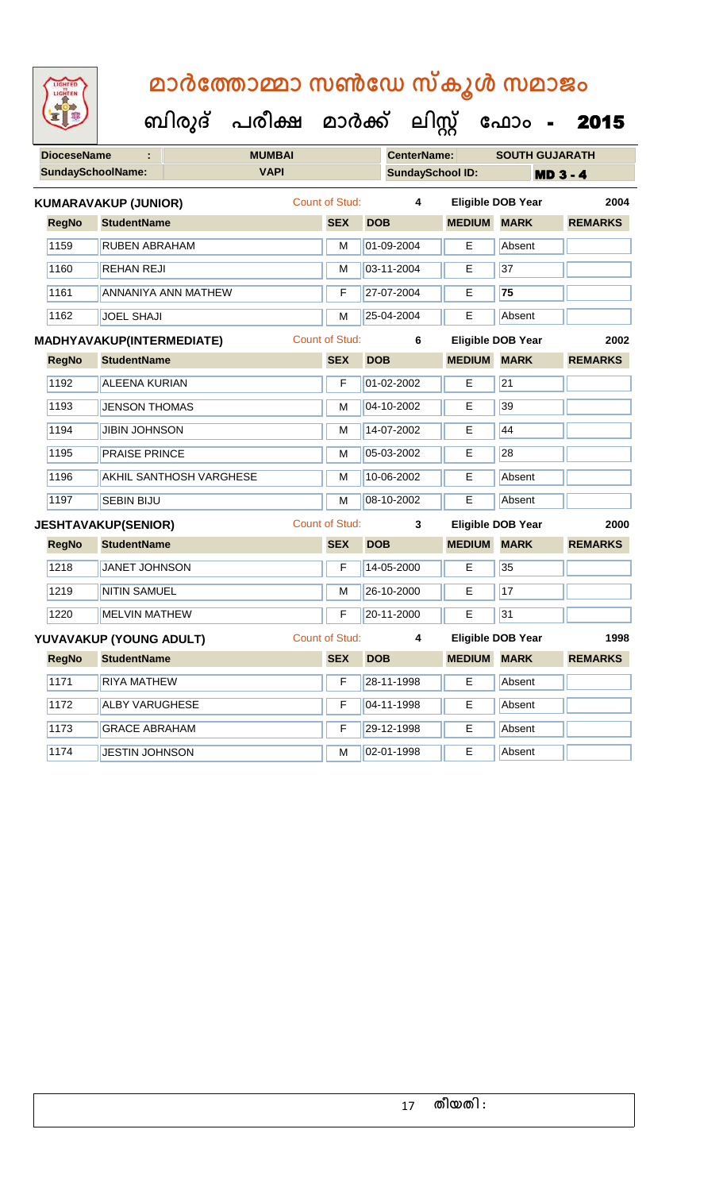**DioceseName : MUMBAI CenterName: SOUTH GUJARATH SundaySchoolName: VAPI SundaySchool ID: MD 3 - 4 ബിരുദ് പരീക്ഷ മാര്ക് ക ലിസ്റ്റ ക ഫ ാോം** - 2015 **RegNo StudentName SEX DOB MEDIUM MARK REMARKS KUMARAVAKUP (JUNIOR)** Count of Stud: **4 Eligible DOB Year 2004** 1159 RUBEN ABRAHAM M 01-09-2004 E Absent 1160 REHAN REJI M 03-11-2004 E 37 1161 ANNANIYA ANN MATHEW F 27-07-2004 E **75** 1162 JOEL SHAJI M 25-04-2004 E Absent **RegNo StudentName SEX DOB MEDIUM MARK REMARKS MADHYAVAKUP(INTERMEDIATE)** Count of Stud: **6 Eligible DOB Year 2002** 1192 ALEENA KURIAN F 01-02-2002 E 21 1193 JENSON THOMAS M M 04-10-2002 E 39 1194 JUBIN JOHNSON M 14-07-2002 E 44 1195 **PRAISE PRINCE** M 05-03-2002 **E** 28 1196 AKHIL SANTHOSH VARGHESE M M 10-06-2002 E Absent 1197 SEBIN BIJU M 08-10-2002 E Absent **RegNo StudentName SEX DOB MEDIUM MARK REMARKS JESHTAVAKUP(SENIOR)** Count of Stud: **3 Eligible DOB Year 2000** 1218 JANET JOHNSON **F** 14-05-2000 **E** 35 1219 NITIN SAMUEL M M 26-10-2000 E 17 1220 MELVIN MATHEW **F 20-11-2000** E 31 **RegNo StudentName SEX DOB MEDIUM MARK REMARKS YUVAVAKUP (YOUNG ADULT)** Count of Stud: **4 Eligible DOB Year 1998** 1171 RIYA MATHEW F 28-11-1998 E Absent 1172 ALBY VARUGHESE F 04-11-1998 E Absent 1173 GRACE ABRAHAM F 29-12-1998 E Absent 1174 JUESTIN JOHNSON M 02-01-1998 E Absent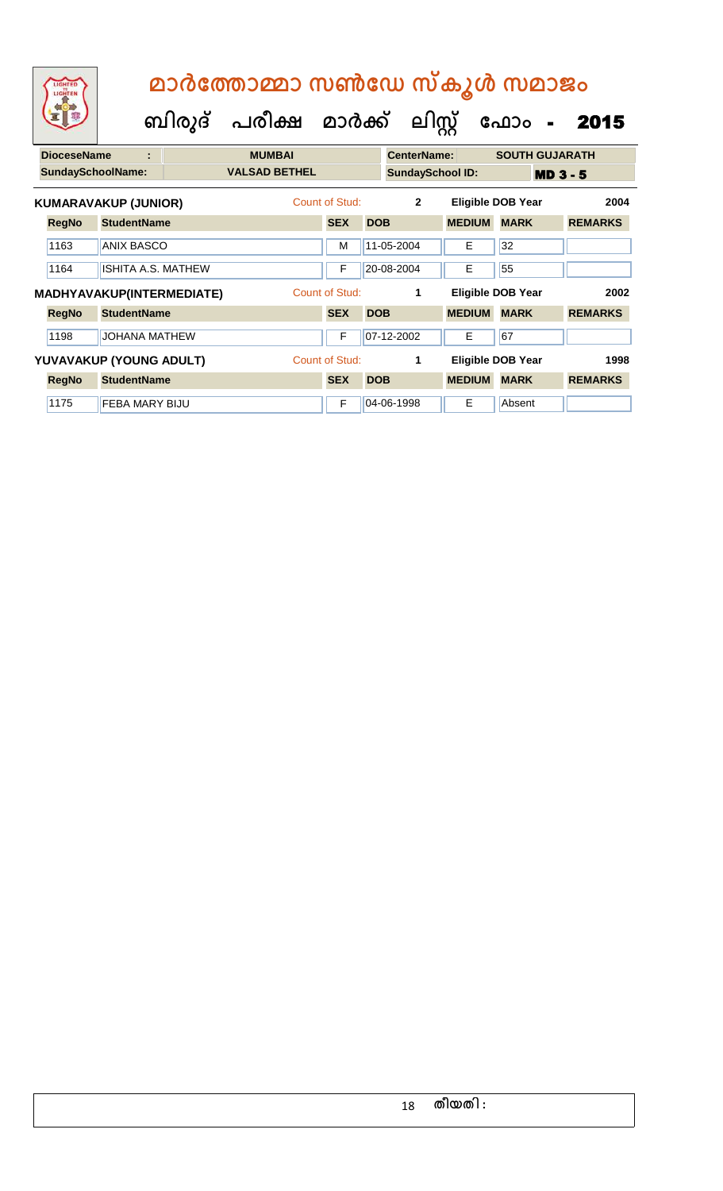| LIGHTED<br>LIGHTEN |                             |                           | മാർത്തോമ്മാ സൺഡേ സ്കൂൾ സമാജം<br>ബിരുദ് പരീക്ഷ മാർക്ക് ലിസ്റ്റ് |                       |            |                         |               | ഫോം<br>$\blacksquare$    | 2015            |
|--------------------|-----------------------------|---------------------------|----------------------------------------------------------------|-----------------------|------------|-------------------------|---------------|--------------------------|-----------------|
| <b>DioceseName</b> | t                           |                           | <b>MUMBAI</b>                                                  |                       |            | CenterName:             |               | <b>SOUTH GUJARATH</b>    |                 |
|                    | <b>SundaySchoolName:</b>    |                           | <b>VALSAD BETHEL</b>                                           |                       |            | <b>SundaySchool ID:</b> |               |                          | <b>MD 3 - 5</b> |
|                    | <b>KUMARAVAKUP (JUNIOR)</b> |                           |                                                                | Count of Stud:        |            | $\overline{2}$          |               | <b>Eligible DOB Year</b> | 2004            |
| <b>RegNo</b>       | <b>StudentName</b>          |                           |                                                                | <b>SEX</b>            | <b>DOB</b> |                         | <b>MEDIUM</b> | <b>MARK</b>              | <b>REMARKS</b>  |
| 1163               | <b>ANIX BASCO</b>           |                           |                                                                | м                     |            | 11-05-2004              | Е             | 32                       |                 |
| 1164               |                             | <b>ISHITA A.S. MATHEW</b> |                                                                | F                     |            | 20-08-2004              | E             | 55                       |                 |
|                    |                             | MADHYAVAKUP(INTERMEDIATE) |                                                                | Count of Stud:        |            | 1                       |               | <b>Eligible DOB Year</b> | 2002            |
| <b>RegNo</b>       | <b>StudentName</b>          |                           |                                                                | <b>SEX</b>            | <b>DOB</b> |                         | <b>MEDIUM</b> | <b>MARK</b>              | <b>REMARKS</b>  |
| 1198               | <b>JOHANA MATHEW</b>        |                           |                                                                | F                     |            | 07-12-2002              | E             | 67                       |                 |
|                    | YUVAVAKUP (YOUNG ADULT)     |                           |                                                                | <b>Count of Stud:</b> |            |                         |               | <b>Eligible DOB Year</b> | 1998            |

**RegNo StudentName SEX DOB MEDIUM MARK REMARKS**

1175 **FEBA MARY BIJU** F 04-06-1998 **E** Absent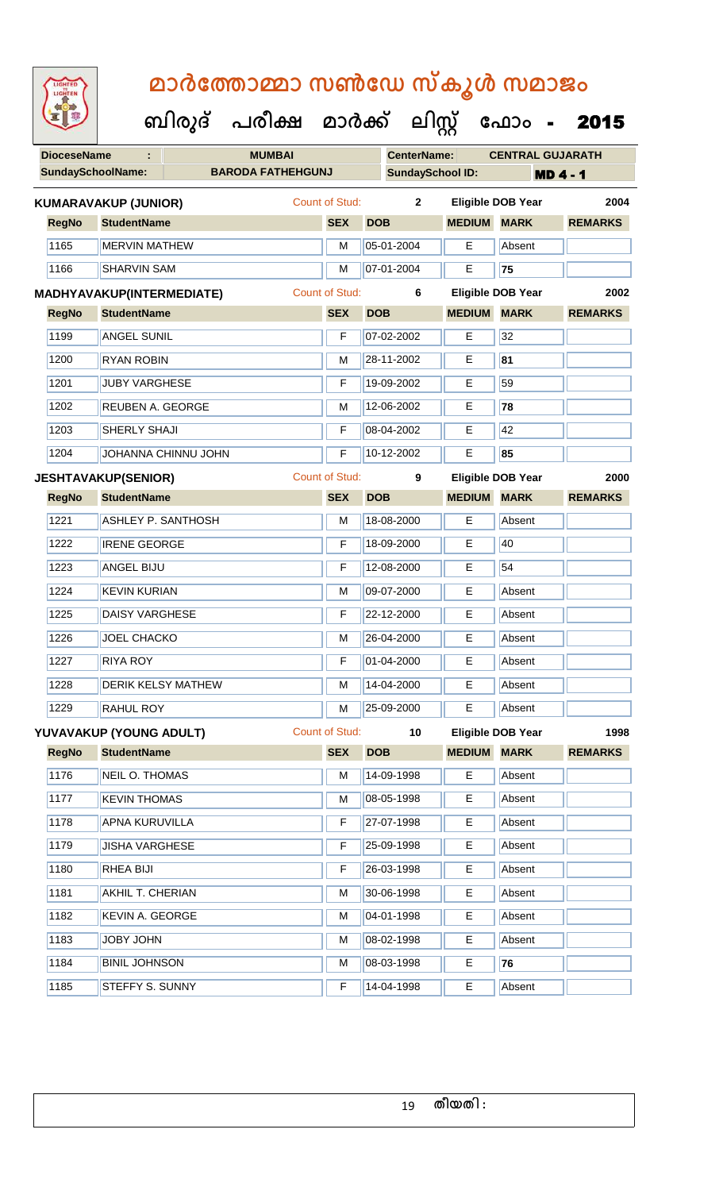| <b>IGHTED</b> |
|---------------|
|               |
|               |
|               |

| <b>DioceseName</b> |                             | <b>MUMBAI</b>            |   |                       |            | <b>CenterName:</b>      |                         | <b>CENTRAL GUJARATH</b>  |                 |
|--------------------|-----------------------------|--------------------------|---|-----------------------|------------|-------------------------|-------------------------|--------------------------|-----------------|
|                    | <b>SundaySchoolName:</b>    | <b>BARODA FATHEHGUNJ</b> |   |                       |            | <b>SundaySchool ID:</b> |                         |                          | <b>MD 4 - 1</b> |
|                    | <b>KUMARAVAKUP (JUNIOR)</b> |                          |   | Count of Stud:        |            | $\overline{2}$          |                         | <b>Eligible DOB Year</b> | 2004            |
| <b>RegNo</b>       | <b>StudentName</b>          |                          |   | <b>SEX</b>            | <b>DOB</b> |                         | <b>MEDIUM</b>           | <b>MARK</b>              | <b>REMARKS</b>  |
| 1165               | <b>MERVIN MATHEW</b>        |                          |   | M                     |            | 05-01-2004              | E                       | Absent                   |                 |
| 1166               | <b>SHARVIN SAM</b>          |                          |   | M                     |            | 07-01-2004              | E                       | 75                       |                 |
|                    | MADHYAVAKUP(INTERMEDIATE)   |                          |   | Count of Stud:        |            | 6                       |                         | <b>Eligible DOB Year</b> | 2002            |
| <b>RegNo</b>       | <b>StudentName</b>          |                          |   | <b>SEX</b>            | <b>DOB</b> |                         | <b>MEDIUM</b>           | <b>MARK</b>              | <b>REMARKS</b>  |
| 1199               | <b>ANGEL SUNIL</b>          |                          |   | F                     |            | 07-02-2002<br>E         |                         | 32                       |                 |
| 1200               | <b>RYAN ROBIN</b>           |                          | M |                       | 28-11-2002 | Е                       | 81                      |                          |                 |
| 1201               | <b>JUBY VARGHESE</b>        |                          |   | F                     |            | 19-09-2002              | E                       | 59                       |                 |
| 1202               | <b>REUBEN A. GEORGE</b>     |                          |   | M                     |            | 12-06-2002              | E                       | 78                       |                 |
| 1203               | SHERLY SHAJI                |                          |   | F                     |            | 08-04-2002              | Е                       | 42                       |                 |
| 1204               |                             | JOHANNA CHINNU JOHN      |   | F                     |            | 10-12-2002              | E                       | 85                       |                 |
|                    | <b>JESHTAVAKUP(SENIOR)</b>  |                          |   | <b>Count of Stud:</b> |            | 9                       |                         | <b>Eligible DOB Year</b> | 2000            |
| <b>RegNo</b>       | <b>StudentName</b>          |                          |   | <b>SEX</b>            | <b>DOB</b> |                         | <b>MEDIUM</b>           | <b>MARK</b>              | <b>REMARKS</b>  |
| 1221               | <b>ASHLEY P. SANTHOSH</b>   |                          |   | M                     |            | 18-08-2000              | E                       | Absent                   |                 |
| 1222               | <b>IRENE GEORGE</b>         |                          |   | F                     |            | 18-09-2000              | E                       | 40                       |                 |
| 1223               | ANGEL BIJU                  |                          |   | F                     |            | 12-08-2000              | E                       | 54                       |                 |
| 1224               | <b>KEVIN KURIAN</b>         |                          |   | M                     |            | 09-07-2000              | E                       | Absent                   |                 |
| 1225               | <b>DAISY VARGHESE</b>       |                          |   | F                     |            | 22-12-2000              | E                       | Absent                   |                 |
| 1226               | <b>JOEL CHACKO</b>          |                          |   | M                     |            | 26-04-2000              | E                       | Absent                   |                 |
| 1227               | <b>RIYA ROY</b>             |                          |   | F                     |            | 01-04-2000              | Е                       | Absent                   |                 |
| 1228               | <b>DERIK KELSY MATHEW</b>   |                          |   |                       |            | M 14-04-2000            | $\overline{\mathsf{E}}$ | Absent                   |                 |
| 1229               | RAHUL ROY                   |                          |   | M                     |            | 25-09-2000              | Е                       | Absent                   |                 |
|                    | YUVAVAKUP (YOUNG ADULT)     |                          |   | Count of Stud:        |            | 10 <sub>1</sub>         |                         | <b>Eligible DOB Year</b> | 1998            |
| <b>RegNo</b>       | <b>StudentName</b>          |                          |   | <b>SEX</b>            | <b>DOB</b> |                         | <b>MEDIUM</b>           | <b>MARK</b>              | <b>REMARKS</b>  |
| 1176               | NEIL O. THOMAS              |                          |   | M                     |            | 14-09-1998              | E                       | Absent                   |                 |
| 1177               | <b>KEVIN THOMAS</b>         |                          |   | M                     |            | 08-05-1998              | Е                       | Absent                   |                 |
| 1178               | APNA KURUVILLA              |                          |   | F                     |            | 27-07-1998              | E                       | Absent                   |                 |
| 1179               | <b>JISHA VARGHESE</b>       |                          |   | F                     |            | 25-09-1998              | Е                       | Absent                   |                 |
| 1180               | RHEA BIJI                   |                          |   | F                     |            | 26-03-1998              | Е                       | Absent                   |                 |
| 1181               | AKHIL T. CHERIAN            |                          |   | M                     |            | 30-06-1998              | Е                       | Absent                   |                 |
| 1182               | <b>KEVIN A. GEORGE</b>      |                          |   | M                     |            | 04-01-1998              | E                       | Absent                   |                 |
| 1183               | JOBY JOHN                   |                          |   | M                     |            | 08-02-1998              | Е                       | Absent                   |                 |
| 1184               | <b>BINIL JOHNSON</b>        |                          |   | M                     |            | 08-03-1998              | Е                       | 76                       |                 |
| 1185               | STEFFY S. SUNNY             |                          |   | F                     |            | 14-04-1998              | E                       | Absent                   |                 |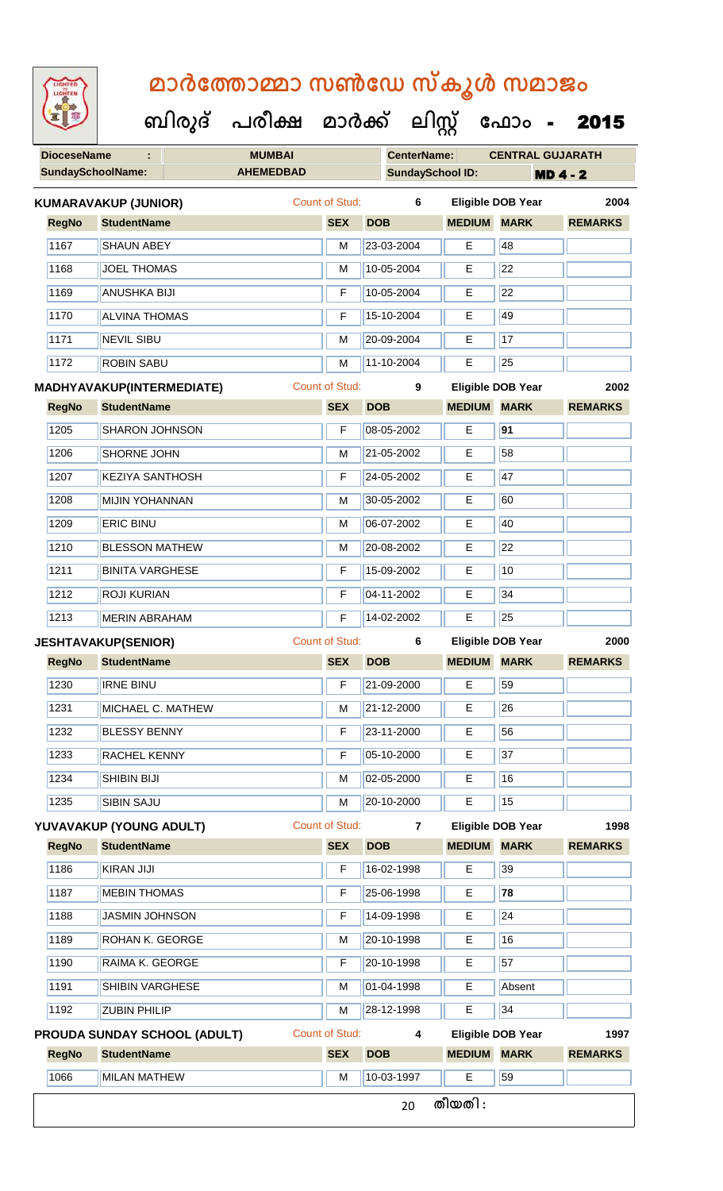**DioceseName : MUMBAI CenterName: CENTRAL GUJARATH** SundaySchoolName: **AHEMEDBAD SundaySchool ID: MD 4 - 2 ബിരുദ് പരീക്ഷ മാര്ക് ക ലിസ്റ്റ ക ഫ ാോം** - 2015 **RegNo StudentName SEX DOB MEDIUM MARK REMARKS KUMARAVAKUP (JUNIOR)** Count of Stud: **6 Eligible DOB Year 2004** 1167 SHAUN ABEY M 23-03-2004 E 48 1168 JOEL THOMAS M M 10-05-2004 E 22 1169 ANUSHKA BIJI F 10-05-2004 E 22 1170 ALVINA THOMAS F 15-10-2004 E 49 1171 NEVIL SIBU M 20-09-2004 E 17 1172 ROBIN SABU M 11-10-2004 E 25 **RegNo StudentName SEX DOB MEDIUM MARK REMARKS MADHYAVAKUP(INTERMEDIATE)** Count of Stud: **9 Eligible DOB Year 2002** 1205 SHARON JOHNSON F 08-05-2002 E **91** 1206 SHORNE JOHN M 21-05-2002 E 58 1207 KEZIYA SANTHOSH **F** 24-05-2002 E 47 1208 MIJIN YOHANNAN M 30-05-2002 E 60 1209 ERIC BINU M 06-07-2002 E 40 1210 BLESSON MATHEW M 20-08-2002 E 22 1211 BINITA VARGHESE **F** 15-09-2002 **E** 10 1212 ROJI KURIAN F 04-11-2002 E 34 1213 MERIN ABRAHAM **F** 14-02-2002 E 25 **RegNo StudentName SEX DOB MEDIUM MARK REMARKS JESHTAVAKUP(SENIOR)** Count of Stud: **6 Eligible DOB Year 2000** 1230 **IRNE BINU** F 21-09-2000 **E** 59 1231 MICHAEL C. MATHEW M 21-12-2000 E 26 1232 BLESSY BENNY F 23-11-2000 E 56 1233 RACHEL KENNY F 05-10-2000 E 37 1234 SHIBIN BIJI M 02-05-2000 E 16 1235 SIBIN SAJU M 20-10-2000 E 15 **RegNo StudentName SEX DOB MEDIUM MARK REMARKS YUVAVAKUP (YOUNG ADULT)** Count of Stud: **7 Eligible DOB Year 1998** 1186 KIRAN JIJI F 16-02-1998 E 39 1187 MEBIN THOMAS F 25-06-1998 E **78** 1188 JASMIN JOHNSON F 14-09-1998 E 24 1189 ROHAN K. GEORGE M M 20-10-1998 E 16 1190 RAIMA K. GEORGE **F 20-10-1998** E 57

1192 ZUBIN PHILIP M 28-12-1998 E 34 **RegNo StudentName SEX DOB MEDIUM MARK REMARKS PROUDA SUNDAY SCHOOL (ADULT)** Count of Stud: **4 Eligible DOB Year 1997** 1066 MILAN MATHEW MEDICINE REVENUE MEDICINE REFUSE 20 **തീയതി :**

1191 SHIBIN VARGHESE M M 01-04-1998 E Absent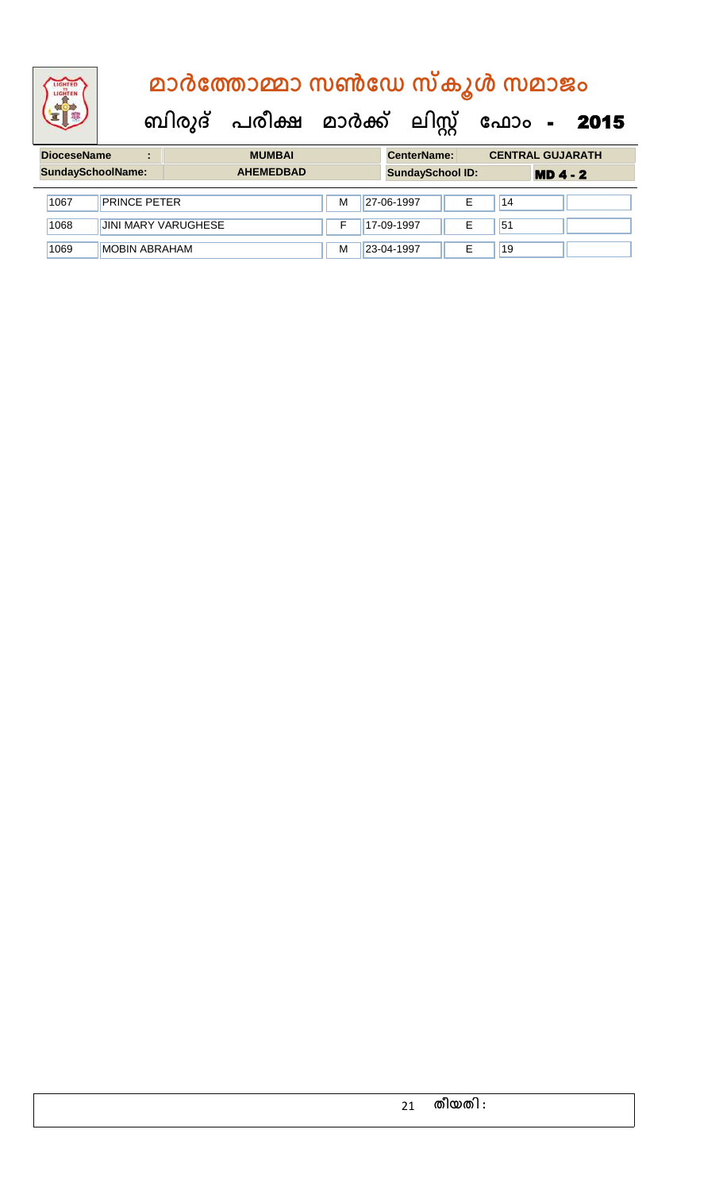| <b>DioceseName</b><br><b>MUMBAI</b><br>$\blacksquare$ |                      |                            |                  |   | <b>CenterName:</b> |                         |   | <b>CENTRAL GUJARATH</b> |            |  |
|-------------------------------------------------------|----------------------|----------------------------|------------------|---|--------------------|-------------------------|---|-------------------------|------------|--|
|                                                       | SundaySchoolName:    |                            | <b>AHEMEDBAD</b> |   |                    | <b>SundaySchool ID:</b> |   |                         | $MD 4 - 2$ |  |
| 1067                                                  | <b>PRINCE PETER</b>  |                            |                  | м | 27-06-1997         |                         | Е | 14                      |            |  |
| 1068                                                  |                      | <b>JINI MARY VARUGHESE</b> |                  |   | 17-09-1997         |                         | Е | 51                      |            |  |
| 1069                                                  | <b>MOBIN ABRAHAM</b> |                            |                  | М | 23-04-1997         |                         | E | 19                      |            |  |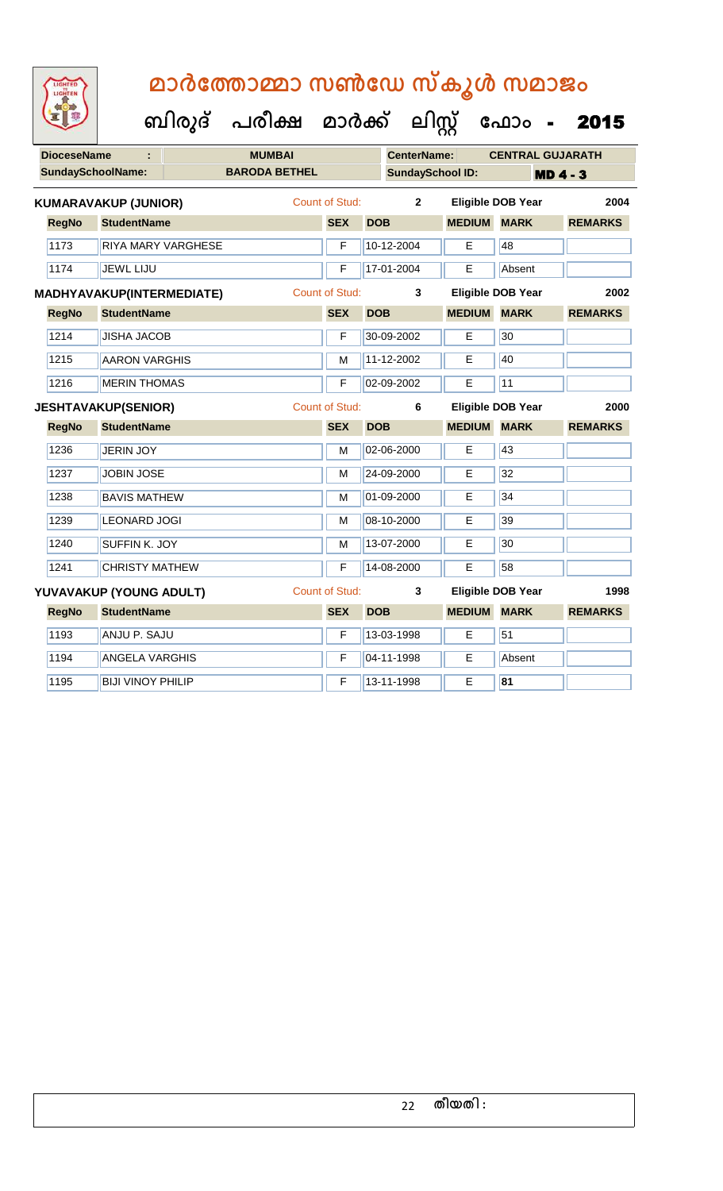**ബിരുദ് പരീക്ഷ മാര്ക്**

**ക ലിസ്റ്റ**

**ക ഫ ാോം** - 2015

**DioceseName : MUMBAI CenterName: CENTRAL GUJARATH** SundaySchoolName: **BARODA BETHEL SundaySchool ID: MD 4 - 3 RegNo StudentName SEX DOB MEDIUM MARK REMARKS KUMARAVAKUP (JUNIOR)** Count of Stud: **2 Eligible DOB Year 2004** 1173 RIYA MARY VARGHESE **F** 10-12-2004 **E** 48 1174 JEWL LIJU **F 17-01-2004 E** Absent **RegNo StudentName SEX DOB MEDIUM MARK REMARKS MADHYAVAKUP(INTERMEDIATE)** Count of Stud: **3 Eligible DOB Year 2002** 1214 JUSHA JACOB **F 30-09-2002** E 30 1215 AARON VARGHIS M M 11-12-2002 E 40 1216 MERIN THOMAS F 02-09-2002 E 11 **RegNo StudentName SEX DOB MEDIUM MARK REMARKS JESHTAVAKUP(SENIOR)** Count of Stud: **6 Eligible DOB Year 2000** 1236 JERIN JOY M 02-06-2000 E 43 1237 JJOBIN JOSE M 24-09-2000 E 32 1238 BAVIS MATHEW M M 01-09-2000 E 34 1239 LEONARD JOGI M 08-10-2000 E 39 1240 SUFFIN K. JOY M 13-07-2000 E 30 1241 CHRISTY MATHEW **F** 14-08-2000 **E** 58 **RegNo StudentName SEX DOB MEDIUM MARK REMARKS YUVAVAKUP (YOUNG ADULT)** Count of Stud: **3 Eligible DOB Year 1998** 1193 ANJU P. SAJU **F 13-03-1998 E** 51 1194 | ANGELA VARGHIS | F | 04-11-1998 | E | Absent 1195 BIJI VINOY PHILIP F 13-11-1998 E **81**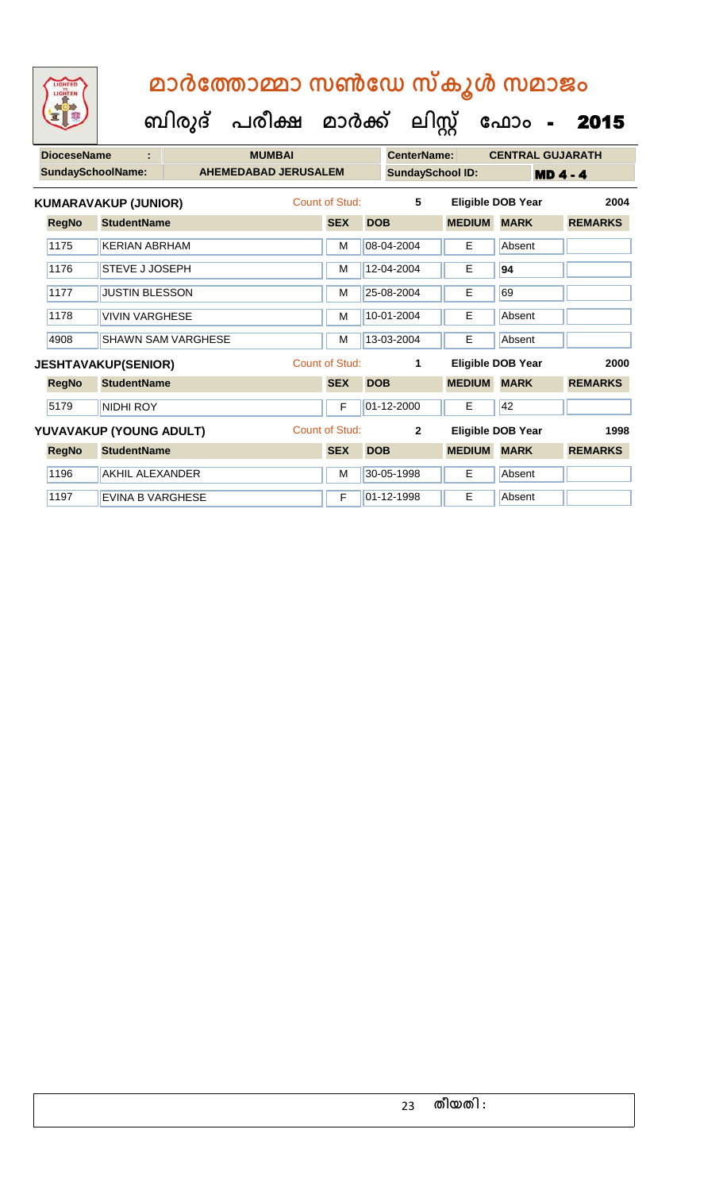| LIGHTED<br>LIGHTEN       |                             | മാർത്തോമ്മാ സൺഡേ സ്കൂൾ സമാജം |                                |                       |            |                         |               |                          |                 |  |  |
|--------------------------|-----------------------------|------------------------------|--------------------------------|-----------------------|------------|-------------------------|---------------|--------------------------|-----------------|--|--|
|                          |                             |                              | ബിരുദ് പരീക്ഷ മാർക്ക് ലിസ്റ്റ് |                       |            |                         |               | ഫോം                      | 2015            |  |  |
| <b>DioceseName</b>       |                             |                              | <b>MUMBAI</b>                  |                       |            | <b>CenterName:</b>      |               | <b>CENTRAL GUJARATH</b>  |                 |  |  |
| <b>SundaySchoolName:</b> |                             |                              | <b>AHEMEDABAD JERUSALEM</b>    |                       |            | <b>SundaySchool ID:</b> |               |                          | <b>MD 4 - 4</b> |  |  |
|                          | <b>KUMARAVAKUP (JUNIOR)</b> |                              |                                | Count of Stud:        |            | 5                       |               | <b>Eligible DOB Year</b> | 2004            |  |  |
| <b>RegNo</b>             | <b>StudentName</b>          |                              |                                | <b>SEX</b>            | <b>DOB</b> |                         | <b>MEDIUM</b> | <b>MARK</b>              | <b>REMARKS</b>  |  |  |
| 1175                     | <b>KERIAN ABRHAM</b>        |                              |                                | M                     |            | 08-04-2004              | E             | Absent                   |                 |  |  |
| 1176                     | <b>STEVE J JOSEPH</b>       |                              |                                | M                     |            | 12-04-2004              | Е             | 94                       |                 |  |  |
| 1177                     | <b>JUSTIN BLESSON</b>       |                              |                                | M                     |            | 25-08-2004              | Е             | 69                       |                 |  |  |
| 1178                     | <b>VIVIN VARGHESE</b>       |                              |                                | M                     |            | 10-01-2004              | E             | Absent                   |                 |  |  |
| 4908                     |                             | SHAWN SAM VARGHESE           |                                | M                     |            | 13-03-2004              | F             | Absent                   |                 |  |  |
|                          | <b>JESHTAVAKUP(SENIOR)</b>  |                              |                                | <b>Count of Stud:</b> |            | 1                       |               | <b>Eligible DOB Year</b> | 2000            |  |  |
| <b>RegNo</b>             | <b>StudentName</b>          |                              |                                | <b>SEX</b>            | <b>DOB</b> |                         | <b>MEDIUM</b> | <b>MARK</b>              | <b>REMARKS</b>  |  |  |
| 5179                     | <b>NIDHI ROY</b>            |                              |                                | F                     |            | 01-12-2000              | E             | 42                       |                 |  |  |
|                          |                             |                              |                                |                       |            |                         |               |                          |                 |  |  |
|                          | YUVAVAKUP (YOUNG ADULT)     |                              |                                | <b>Count of Stud:</b> |            | $\overline{2}$          |               | <b>Eligible DOB Year</b> | 1998            |  |  |
| <b>RegNo</b>             | <b>StudentName</b>          |                              |                                | <b>SEX</b>            | <b>DOB</b> |                         | <b>MEDIUM</b> | <b>MARK</b>              | <b>REMARKS</b>  |  |  |
| 1196                     | <b>AKHIL ALEXANDER</b>      |                              |                                | M                     |            | 30-05-1998              | Е             | Absent                   |                 |  |  |
| 1197                     | <b>EVINA B VARGHESE</b>     |                              |                                | F                     |            | 01-12-1998              | E             | Absent                   |                 |  |  |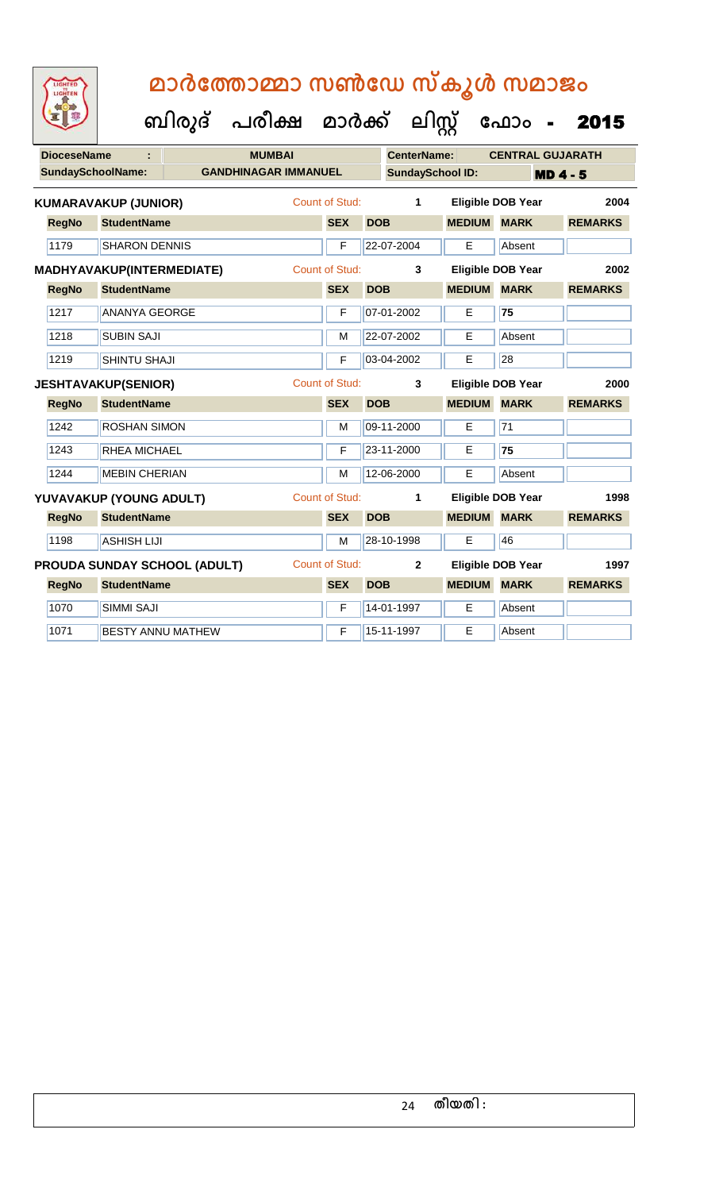| LIGHTED |
|---------|
| HTE     |
|         |
|         |
|         |
|         |

| <b>DioceseName</b>       |                              | <b>MUMBAI</b>               |                       |            | <b>CenterName:</b>      |                    | <b>CENTRAL GUJARATH</b>  |                 |  |
|--------------------------|------------------------------|-----------------------------|-----------------------|------------|-------------------------|--------------------|--------------------------|-----------------|--|
| <b>SundaySchoolName:</b> |                              | <b>GANDHINAGAR IMMANUEL</b> |                       |            | <b>SundaySchool ID:</b> |                    |                          | <b>MD 4 - 5</b> |  |
|                          | <b>KUMARAVAKUP (JUNIOR)</b>  |                             | <b>Count of Stud:</b> |            | $\mathbf{1}$            |                    | <b>Eligible DOB Year</b> | 2004            |  |
| <b>RegNo</b>             | <b>StudentName</b>           |                             | <b>SEX</b>            | <b>DOB</b> |                         | <b>MEDIUM</b>      | <b>MARK</b>              | <b>REMARKS</b>  |  |
| 1179                     | <b>SHARON DENNIS</b>         |                             | F                     |            | 22-07-2004              | E                  | Absent                   |                 |  |
|                          | MADHYAVAKUP(INTERMEDIATE)    |                             | Count of Stud:        |            | 3                       |                    | <b>Eligible DOB Year</b> | 2002            |  |
| <b>RegNo</b>             | <b>StudentName</b>           |                             | <b>SEX</b>            | <b>DOB</b> |                         | <b>MEDIUM MARK</b> |                          | <b>REMARKS</b>  |  |
| 1217                     | <b>ANANYA GEORGE</b>         |                             | F                     |            | 07-01-2002              | E                  | 75                       |                 |  |
| 1218                     | <b>SUBIN SAJI</b>            |                             | M                     |            | 22-07-2002              | E                  | Absent                   |                 |  |
| 1219                     | <b>SHINTU SHAJI</b>          |                             | F                     |            | 03-04-2002              | E                  | 28                       |                 |  |
|                          | <b>JESHTAVAKUP(SENIOR)</b>   |                             | <b>Count of Stud:</b> |            | 3                       |                    | <b>Eligible DOB Year</b> | 2000            |  |
| <b>RegNo</b>             | <b>StudentName</b>           |                             | <b>SEX</b>            | <b>DOB</b> |                         | <b>MEDIUM</b>      | <b>MARK</b>              | <b>REMARKS</b>  |  |
| 1242                     | <b>ROSHAN SIMON</b>          |                             | M                     |            | 09-11-2000              | E                  | 71                       |                 |  |
| 1243                     | RHEA MICHAEL                 |                             | F                     |            | 23-11-2000              | E                  | 75                       |                 |  |
| 1244                     | <b>MEBIN CHERIAN</b>         |                             | M                     |            | 12-06-2000              | $\overline{E}$     | Absent                   |                 |  |
|                          | YUVAVAKUP (YOUNG ADULT)      |                             | <b>Count of Stud:</b> |            | 1                       |                    | <b>Eligible DOB Year</b> | 1998            |  |
| <b>RegNo</b>             | <b>StudentName</b>           |                             | <b>SEX</b>            | <b>DOB</b> |                         | <b>MEDIUM</b>      | <b>MARK</b>              | <b>REMARKS</b>  |  |
| 1198                     | <b>ASHISH LIJI</b>           |                             | M                     |            | 28-10-1998              | E                  | 46                       |                 |  |
|                          | PROUDA SUNDAY SCHOOL (ADULT) |                             | <b>Count of Stud:</b> |            | $\mathbf{2}$            |                    | <b>Eligible DOB Year</b> | 1997            |  |
| <b>RegNo</b>             | <b>StudentName</b>           |                             | <b>SEX</b>            | <b>DOB</b> |                         | <b>MEDIUM</b>      | <b>MARK</b>              | <b>REMARKS</b>  |  |
| 1070                     | SIMMI SAJI                   |                             | $\mathsf F$           |            | 14-01-1997              | Е                  | Absent                   |                 |  |
| 1071                     | <b>BESTY ANNU MATHEW</b>     |                             | F                     |            | 15-11-1997              | E                  | Absent                   |                 |  |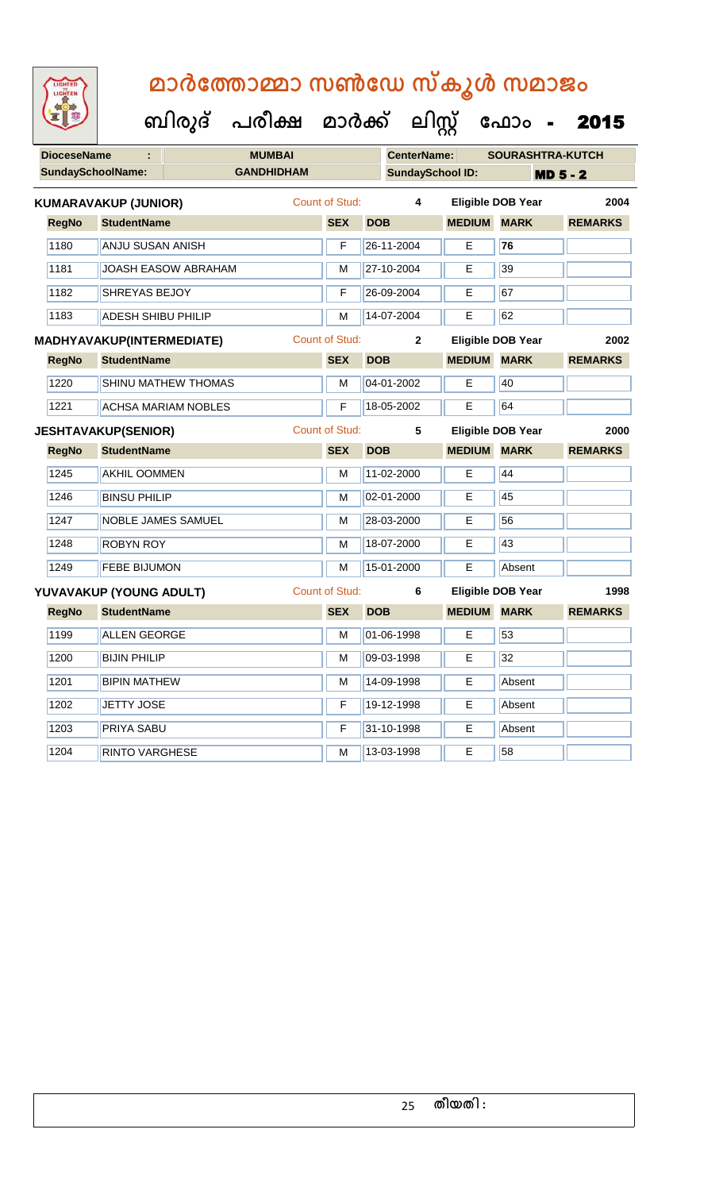| LIGHTED<br>CHTEN |  |
|------------------|--|
|                  |  |
|                  |  |
|                  |  |

| <b>DioceseName</b> | ÷                           | <b>MUMBAI</b>              |  |                       | <b>CenterName:</b>      | <b>SOURASHTRA-KUTCH</b> |                          |                 |
|--------------------|-----------------------------|----------------------------|--|-----------------------|-------------------------|-------------------------|--------------------------|-----------------|
|                    | <b>SundaySchoolName:</b>    | <b>GANDHIDHAM</b>          |  |                       | <b>SundaySchool ID:</b> |                         |                          | <b>MD 5 - 2</b> |
|                    | <b>KUMARAVAKUP (JUNIOR)</b> |                            |  | Count of Stud:        | $\overline{\mathbf{4}}$ |                         | <b>Eligible DOB Year</b> | 2004            |
| <b>RegNo</b>       | <b>StudentName</b>          |                            |  | <b>SEX</b>            | <b>DOB</b>              | <b>MEDIUM</b>           | <b>MARK</b>              | <b>REMARKS</b>  |
| 1180               | ANJU SUSAN ANISH            |                            |  | F                     | 26-11-2004              | E.                      | 76                       |                 |
| 1181               |                             | <b>JOASH EASOW ABRAHAM</b> |  | M                     | 27-10-2004              | E                       | 39                       |                 |
| 1182               |                             | SHREYAS BEJOY              |  |                       | 26-09-2004              | E                       | 67                       |                 |
| 1183               | <b>ADESH SHIBU PHILIP</b>   |                            |  | М                     | 14-07-2004              | Е                       | 62                       |                 |
|                    | MADHYAVAKUP(INTERMEDIATE)   |                            |  | <b>Count of Stud:</b> | $\overline{2}$          |                         | <b>Eligible DOB Year</b> | 2002            |
| <b>RegNo</b>       | <b>StudentName</b>          |                            |  | <b>SEX</b>            | <b>DOB</b>              | <b>MEDIUM MARK</b>      |                          | <b>REMARKS</b>  |
| 1220               |                             | <b>SHINU MATHEW THOMAS</b> |  | М                     | 04-01-2002              | E                       | 40                       |                 |
| 1221               |                             | <b>ACHSA MARIAM NOBLES</b> |  |                       | 18-05-2002              | Е                       | 64                       |                 |
|                    | <b>JESHTAVAKUP(SENIOR)</b>  |                            |  | <b>Count of Stud:</b> | 5                       |                         | <b>Eligible DOB Year</b> | 2000            |
| <b>RegNo</b>       | <b>StudentName</b>          |                            |  | <b>SEX</b>            | <b>DOB</b>              | <b>MEDIUM MARK</b>      |                          | <b>REMARKS</b>  |
| 1245               | <b>AKHIL OOMMEN</b>         |                            |  | М                     | 11-02-2000              | E                       | 44                       |                 |
| 1246               | <b>BINSU PHILIP</b>         |                            |  | M                     | 02-01-2000              | E                       | 45                       |                 |
| 1247               | <b>NOBLE JAMES SAMUEL</b>   |                            |  | M                     | 28-03-2000              | E                       | 56                       |                 |
| 1248               | <b>ROBYN ROY</b>            |                            |  | М                     | 18-07-2000              | E.                      | 43                       |                 |
| 1249               | <b>FEBE BIJUMON</b>         |                            |  | M                     | 15-01-2000              | E                       | Absent                   |                 |
|                    | YUVAVAKUP (YOUNG ADULT)     |                            |  | <b>Count of Stud:</b> | 6                       |                         | Eligible DOB Year        | 1998            |
| <b>RegNo</b>       | <b>StudentName</b>          |                            |  | <b>SEX</b>            | <b>DOB</b>              | <b>MEDIUM</b>           | <b>MARK</b>              | <b>REMARKS</b>  |
| 1199               | <b>ALLEN GEORGE</b>         |                            |  | M                     | 01-06-1998              | Е                       | 53                       |                 |
| 1200               | <b>BIJIN PHILIP</b>         |                            |  | M                     | 09-03-1998              | E                       | 32                       |                 |
| 1201               | <b>BIPIN MATHEW</b>         |                            |  | М                     | 14-09-1998              | E                       | Absent                   |                 |
| 1202               | <b>JETTY JOSE</b>           |                            |  | F                     | 19-12-1998              | E                       | Absent                   |                 |
| 1203               | <b>PRIYA SABU</b>           |                            |  | F                     | 31-10-1998              | E                       | Absent                   |                 |
| 1204               | <b>RINTO VARGHESE</b>       |                            |  | м                     | 13-03-1998              | E                       | 58                       |                 |
|                    |                             |                            |  |                       |                         |                         |                          |                 |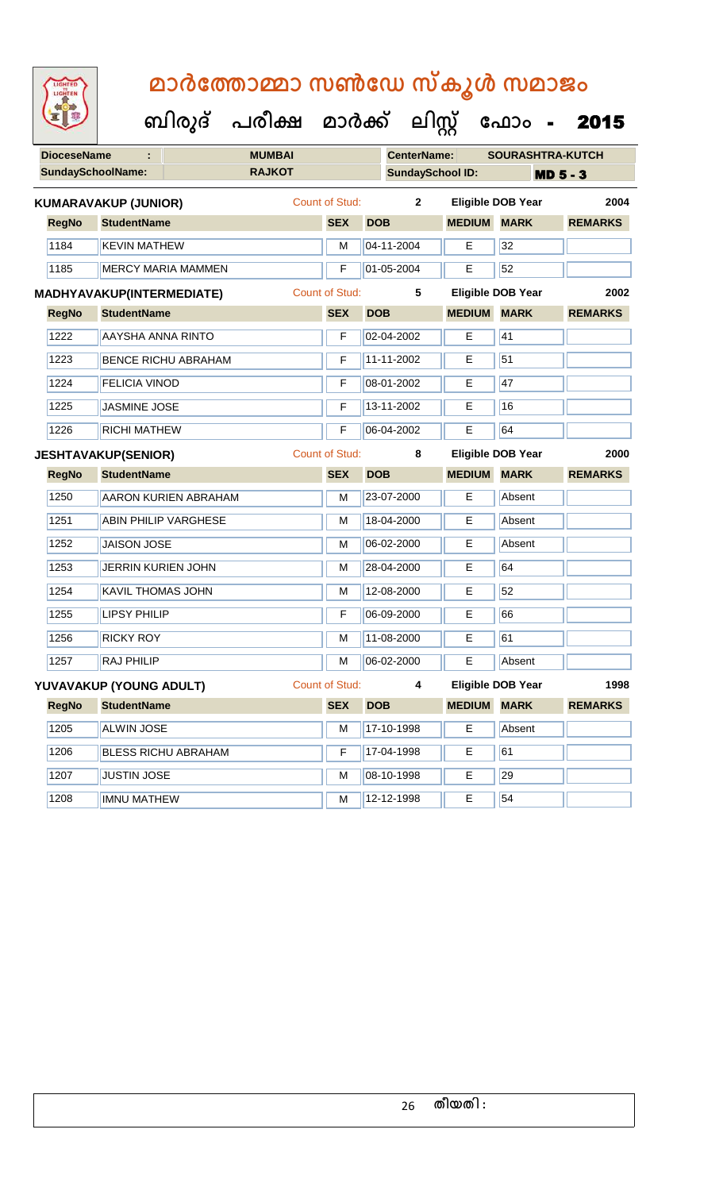| <b>IGHTED</b> |
|---------------|
|               |
|               |
|               |

| <b>DioceseName</b> | ÷                                |                             | <b>MUMBAI</b> |                |            | <b>CenterName:</b>      |                    | <b>SOURASHTRA-KUTCH</b>  |                 |
|--------------------|----------------------------------|-----------------------------|---------------|----------------|------------|-------------------------|--------------------|--------------------------|-----------------|
|                    | <b>SundaySchoolName:</b>         |                             | <b>RAJKOT</b> |                |            | <b>SundaySchool ID:</b> |                    |                          | <b>MD 5 - 3</b> |
|                    | <b>KUMARAVAKUP (JUNIOR)</b>      |                             |               | Count of Stud: |            | $\overline{2}$          |                    | <b>Eligible DOB Year</b> | 2004            |
| <b>RegNo</b>       | <b>StudentName</b>               |                             |               | <b>SEX</b>     | <b>DOB</b> |                         | <b>MEDIUM MARK</b> |                          | <b>REMARKS</b>  |
| 1184               | <b>KEVIN MATHEW</b>              |                             |               | M              |            | 04-11-2004              | E                  | 32                       |                 |
| 1185               |                                  | <b>MERCY MARIA MAMMEN</b>   |               | F              |            | 01-05-2004              | Е                  | 52                       |                 |
|                    | <b>MADHYAVAKUP(INTERMEDIATE)</b> |                             |               | Count of Stud: |            | 5                       |                    | <b>Eligible DOB Year</b> | 2002            |
| <b>RegNo</b>       | <b>StudentName</b>               |                             |               | <b>SEX</b>     | <b>DOB</b> |                         | <b>MEDIUM</b>      | <b>MARK</b>              | <b>REMARKS</b>  |
| 1222               | AAYSHA ANNA RINTO                |                             |               | F              |            | 02-04-2002              | E                  | 41                       |                 |
| 1223               |                                  | <b>BENCE RICHU ABRAHAM</b>  |               | F              |            | 11-11-2002              | E                  | 51                       |                 |
| 1224               | <b>FELICIA VINOD</b>             |                             |               | F              |            | 08-01-2002              | E                  | 47                       |                 |
| 1225               | JASMINE JOSE                     |                             |               | F              |            | 13-11-2002              | E                  | 16                       |                 |
| 1226               | <b>RICHI MATHEW</b>              |                             |               | F              |            | 06-04-2002              | E                  | 64                       |                 |
|                    | <b>JESHTAVAKUP(SENIOR)</b>       |                             |               | Count of Stud: |            | 8                       |                    | <b>Eligible DOB Year</b> | 2000            |
| <b>RegNo</b>       | <b>StudentName</b>               |                             |               | <b>SEX</b>     | <b>DOB</b> |                         | <b>MEDIUM</b>      | <b>MARK</b>              | <b>REMARKS</b>  |
| 1250               |                                  | <b>AARON KURIEN ABRAHAM</b> |               | M              |            | 23-07-2000              | E                  | Absent                   |                 |
| 1251               |                                  | <b>ABIN PHILIP VARGHESE</b> |               | M              |            | 18-04-2000              | E                  | Absent                   |                 |
| 1252               | <b>JAISON JOSE</b>               |                             |               | M              |            | 06-02-2000              | E                  | Absent                   |                 |
| 1253               | JERRIN KURIEN JOHN               |                             |               | M              |            | 28-04-2000              | Е                  | 64                       |                 |
| 1254               | KAVIL THOMAS JOHN                |                             |               | M              |            | 12-08-2000              | E                  | 52                       |                 |
| 1255               | <b>LIPSY PHILIP</b>              |                             |               | F              |            | 06-09-2000              | E                  | 66                       |                 |
| 1256               | <b>RICKY ROY</b>                 |                             |               | M              |            | 11-08-2000              | E                  | 61                       |                 |
| 1257               | <b>RAJ PHILIP</b>                |                             |               | M              |            | 06-02-2000              | E                  | Absent                   |                 |
|                    | YUVAVAKUP (YOUNG ADULT)          |                             |               | Count of Stud: |            | 4                       |                    | Eligible DOB Year        | 1998            |
| <b>RegNo</b>       | <b>StudentName</b>               |                             |               | <b>SEX</b>     | <b>DOB</b> |                         | <b>MEDIUM</b>      | <b>MARK</b>              | <b>REMARKS</b>  |
| 1205               | <b>ALWIN JOSE</b>                |                             |               | M              |            | 17-10-1998              | E                  | Absent                   |                 |
| 1206               |                                  | <b>BLESS RICHU ABRAHAM</b>  |               | F              |            | 17-04-1998              | Е                  | 61                       |                 |
| 1207               | <b>JUSTIN JOSE</b>               |                             |               | M              |            | 08-10-1998              | E                  | 29                       |                 |
| 1208               | <b>IMNU MATHEW</b>               |                             |               | M              |            | 12-12-1998              | E                  | 54                       |                 |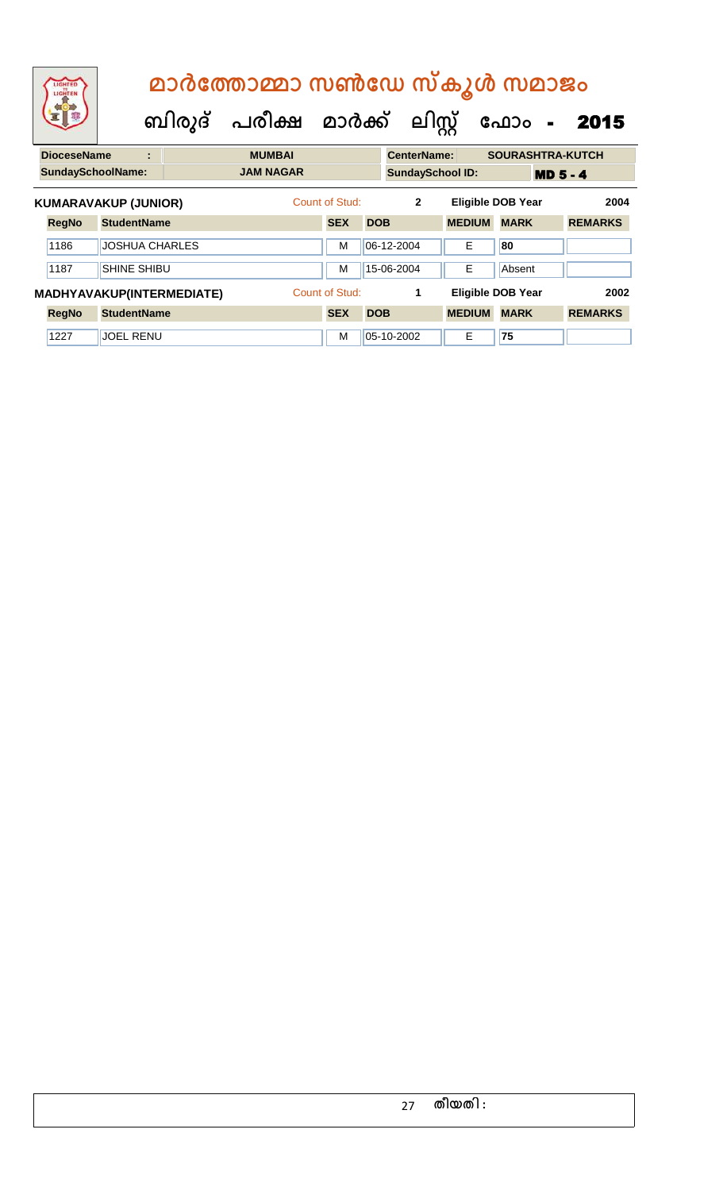|                    |                             |   | മാർത്തോമ്മാ സൺഡേ സ്കൂൾ സമാജം         |                |            |                         |                          |             |                 |                  |
|--------------------|-----------------------------|---|--------------------------------------|----------------|------------|-------------------------|--------------------------|-------------|-----------------|------------------|
|                    |                             |   | ബിരുദ് പരീക്ഷ മാർക്ക് ലിസ്റ്റ് ഫോം - |                |            |                         |                          |             |                 | 2015             |
| <b>DioceseName</b> |                             | ÷ | <b>MUMBAI</b>                        |                |            | <b>CenterName:</b>      |                          |             |                 | SOURASHTRA-KUTCH |
|                    | <b>SundaySchoolName:</b>    |   | <b>JAM NAGAR</b>                     |                |            | <b>SundaySchool ID:</b> |                          |             | <b>MD 5 - 4</b> |                  |
|                    | <b>KUMARAVAKUP (JUNIOR)</b> |   |                                      | Count of Stud: |            | $\mathbf{2}$            | <b>Eligible DOB Year</b> |             |                 | 2004             |
| <b>RegNo</b>       | <b>StudentName</b>          |   |                                      | <b>SEX</b>     | <b>DOB</b> |                         | <b>MEDIUM</b>            | <b>MARK</b> |                 | <b>REMARKS</b>   |

| 1186         | <b>JOSHUA CHARLES</b>            | M              | $ 06-12-2004 $   | E             | 80                |                |
|--------------|----------------------------------|----------------|------------------|---------------|-------------------|----------------|
| 1187         | <b>SHINE SHIBU</b>               | M              | $15 - 06 - 2004$ | Е             | Absent            |                |
|              |                                  |                |                  |               |                   |                |
|              | <b>MADHYAVAKUP(INTERMEDIATE)</b> | Count of Stud: |                  |               | Eligible DOB Year | 2002           |
| <b>RegNo</b> | <b>StudentName</b>               | <b>SEX</b>     | <b>DOB</b>       | <b>MEDIUM</b> | <b>MARK</b>       | <b>REMARKS</b> |

### 27 **തീയതി :**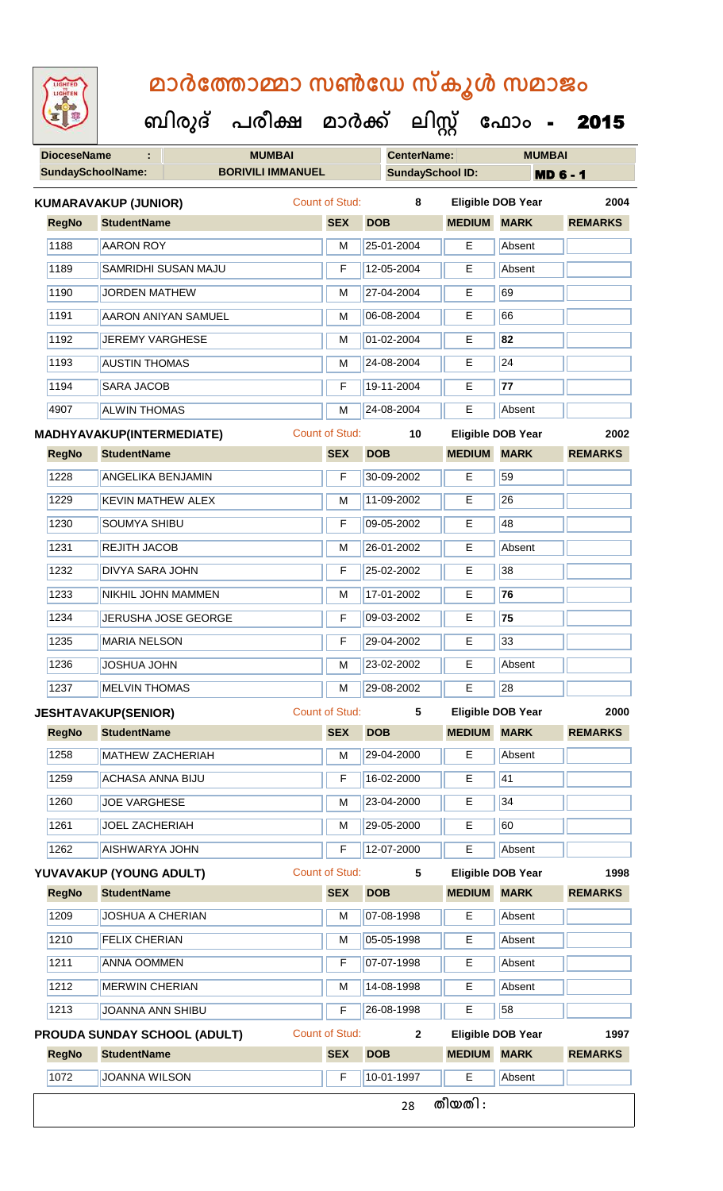| <b>IGHTED</b> |
|---------------|
|               |
|               |
|               |
|               |
|               |
|               |

| <b>DioceseName</b> | ÷.                               | <b>MUMBAI</b>                       |                       |            | <b>CenterName:</b>      |               | <b>MUMBAI</b>            |                 |
|--------------------|----------------------------------|-------------------------------------|-----------------------|------------|-------------------------|---------------|--------------------------|-----------------|
|                    | <b>SundaySchoolName:</b>         | <b>BORIVILI IMMANUEL</b>            |                       |            | <b>SundaySchool ID:</b> |               |                          | <b>MD 6 - 1</b> |
|                    | <b>KUMARAVAKUP (JUNIOR)</b>      |                                     | Count of Stud:        |            | 8                       |               | <b>Eligible DOB Year</b> | 2004            |
| <b>RegNo</b>       | <b>StudentName</b>               |                                     | <b>SEX</b>            | <b>DOB</b> |                         | <b>MEDIUM</b> | <b>MARK</b>              | <b>REMARKS</b>  |
| 1188               | <b>AARON ROY</b>                 |                                     | M                     |            | 25-01-2004              | E             | Absent                   |                 |
| 1189               |                                  | SAMRIDHI SUSAN MAJU                 | $\mathsf F$           |            | 12-05-2004              | E             | Absent                   |                 |
| 1190               | <b>JORDEN MATHEW</b>             |                                     | M                     |            | 27-04-2004              | Е             | 69                       |                 |
| 1191               |                                  | <b>AARON ANIYAN SAMUEL</b>          | M                     |            | 06-08-2004              | Е             | 66                       |                 |
| 1192               | <b>JEREMY VARGHESE</b>           |                                     | M                     |            | 01-02-2004              | E             | 82                       |                 |
| 1193               | <b>AUSTIN THOMAS</b>             |                                     | M                     |            | 24-08-2004              | Е             | 24                       |                 |
| 1194               | <b>SARA JACOB</b>                |                                     | F                     |            | 19-11-2004              | E             | 77                       |                 |
| 4907               | <b>ALWIN THOMAS</b>              |                                     | M                     |            | 24-08-2004              | E             | Absent                   |                 |
|                    | <b>MADHYAVAKUP(INTERMEDIATE)</b> |                                     | <b>Count of Stud:</b> |            | 10                      |               | <b>Eligible DOB Year</b> | 2002            |
| <b>RegNo</b>       | <b>StudentName</b>               |                                     | <b>SEX</b>            | <b>DOB</b> |                         | <b>MEDIUM</b> | <b>MARK</b>              | <b>REMARKS</b>  |
| 1228               | <b>ANGELIKA BENJAMIN</b>         |                                     | F                     |            | 30-09-2002              | E             | 59                       |                 |
| 1229               | <b>KEVIN MATHEW ALEX</b>         |                                     | M                     |            | 11-09-2002              | Е             | 26                       |                 |
| 1230               | SOUMYA SHIBU                     |                                     | F                     |            | 09-05-2002              | E             | 48                       |                 |
| 1231               | REJITH JACOB                     |                                     | M                     |            | 26-01-2002              | Е             | Absent                   |                 |
| 1232               | <b>DIVYA SARA JOHN</b>           |                                     | F                     |            | 25-02-2002              | E             | 38                       |                 |
| 1233               | NIKHIL JOHN MAMMEN               |                                     | M                     |            | 17-01-2002              | Е             | 76                       |                 |
| 1234               |                                  | JERUSHA JOSE GEORGE                 | F                     |            | 09-03-2002              | E             | 75                       |                 |
| 1235               | <b>MARIA NELSON</b>              |                                     | F                     |            | 29-04-2002              | Е             | 33                       |                 |
| 1236               | <b>JOSHUA JOHN</b>               |                                     | M                     |            | 23-02-2002              | E             | Absent                   |                 |
| 1237               | <b>MELVIN THOMAS</b>             |                                     | M                     |            | 29-08-2002              | E             | 28                       |                 |
|                    | <b>JESHTAVAKUP(SENIOR)</b>       |                                     | Count of Stud:        |            | 5                       |               | <b>Eligible DOB Year</b> | 2000            |
| <b>RegNo</b>       | <b>StudentName</b>               |                                     | <b>SEX</b>            | <b>DOB</b> |                         | <b>MEDIUM</b> | <b>MARK</b>              | <b>REMARKS</b>  |
| 1258               | <b>MATHEW ZACHERIAH</b>          |                                     | М                     |            | 29-04-2000              | E             | Absent                   |                 |
| 1259               | <b>ACHASA ANNA BIJU</b>          |                                     | F                     |            | 16-02-2000              | Е             | 41                       |                 |
| 1260               | <b>JOE VARGHESE</b>              |                                     | М                     |            | 23-04-2000              | E.            | 34                       |                 |
| 1261               | <b>JOEL ZACHERIAH</b>            |                                     | M                     |            | 29-05-2000              | Е             | 60                       |                 |
| 1262               | <b>AISHWARYA JOHN</b>            |                                     | F                     |            | 12-07-2000              | E.            | Absent                   |                 |
|                    | YUVAVAKUP (YOUNG ADULT)          |                                     | <b>Count of Stud:</b> |            | 5                       |               | <b>Eligible DOB Year</b> | 1998            |
| <b>RegNo</b>       | <b>StudentName</b>               |                                     | <b>SEX</b>            | <b>DOB</b> |                         | <b>MEDIUM</b> | <b>MARK</b>              | <b>REMARKS</b>  |
| 1209               | <b>JOSHUA A CHERIAN</b>          |                                     | M                     |            | 07-08-1998              | E.            | Absent                   |                 |
| 1210               | <b>FELIX CHERIAN</b>             |                                     | M                     |            | 05-05-1998              | Е             | Absent                   |                 |
| 1211               | <b>ANNA OOMMEN</b>               |                                     | F                     |            | 07-07-1998              | E             | Absent                   |                 |
| 1212               | <b>MERWIN CHERIAN</b>            |                                     | M                     |            | 14-08-1998              | E             | Absent                   |                 |
| 1213               | JOANNA ANN SHIBU                 |                                     | F                     |            | 26-08-1998              | E             | 58                       |                 |
|                    |                                  | <b>PROUDA SUNDAY SCHOOL (ADULT)</b> | Count of Stud:        |            | $\mathbf{2}$            |               | <b>Eligible DOB Year</b> | 1997            |
| <b>RegNo</b>       | <b>StudentName</b>               |                                     | <b>SEX</b>            | <b>DOB</b> |                         |               | <b>MEDIUM MARK</b>       | <b>REMARKS</b>  |
| 1072               | <b>JOANNA WILSON</b>             |                                     | F                     |            | 10-01-1997              | E             | Absent                   |                 |
|                    |                                  |                                     |                       |            | 28                      | തീയതി :       |                          |                 |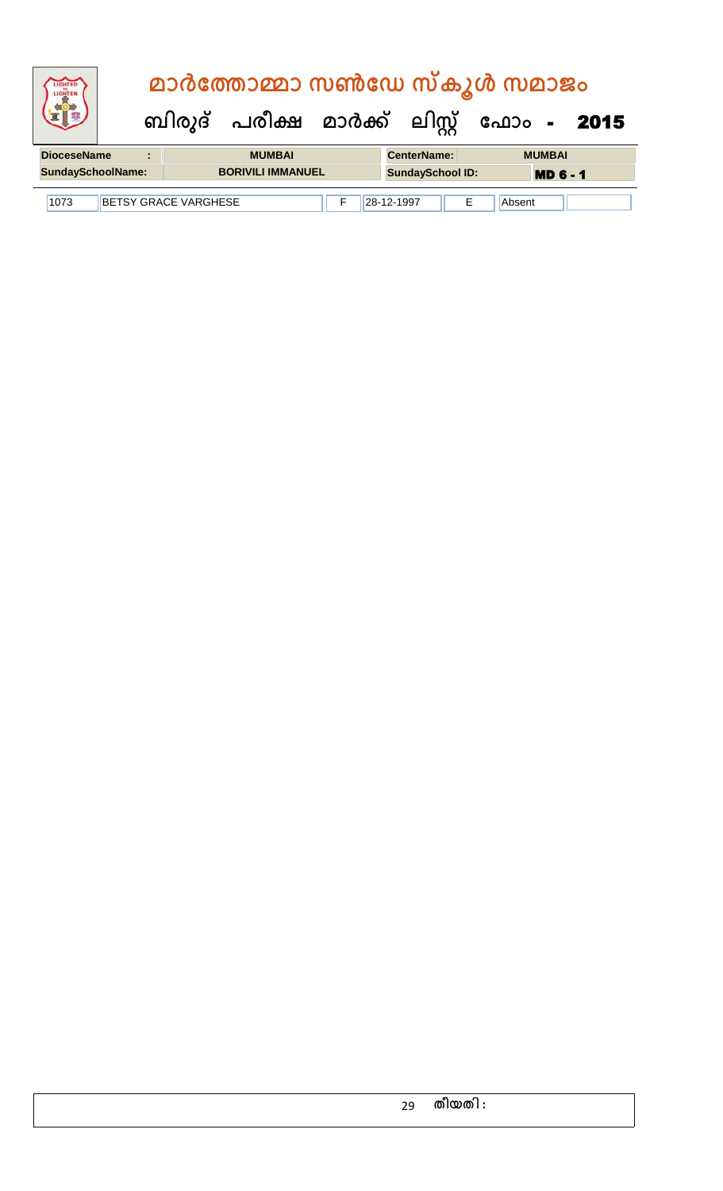| <b>IGHTED</b>                                                         |  | മാർത്തോമ്മാ സൺഡേ സ്കൂൾ സമാജം |  |                                           |  |  |                         |  |                 |  |  |
|-----------------------------------------------------------------------|--|------------------------------|--|-------------------------------------------|--|--|-------------------------|--|-----------------|--|--|
|                                                                       |  |                              |  | ബിരുദ് പരീക്ഷ മാർക്ക് ലിസ്റ്റ് ഫോം - 2015 |  |  |                         |  |                 |  |  |
| <b>DioceseName</b>                                                    |  | $\blacksquare$               |  | <b>MUMBAI</b>                             |  |  | <b>CenterName:</b>      |  | <b>MUMBAI</b>   |  |  |
| <b>SundaySchoolName:</b>                                              |  |                              |  | <b>BORIVILI IMMANUEL</b>                  |  |  | <b>SundaySchool ID:</b> |  | <b>MD 6 - 1</b> |  |  |
| 28-12-1997<br><b>BETSY GRACE VARGHESE</b><br>Е<br>1073<br>F<br>Absent |  |                              |  |                                           |  |  |                         |  |                 |  |  |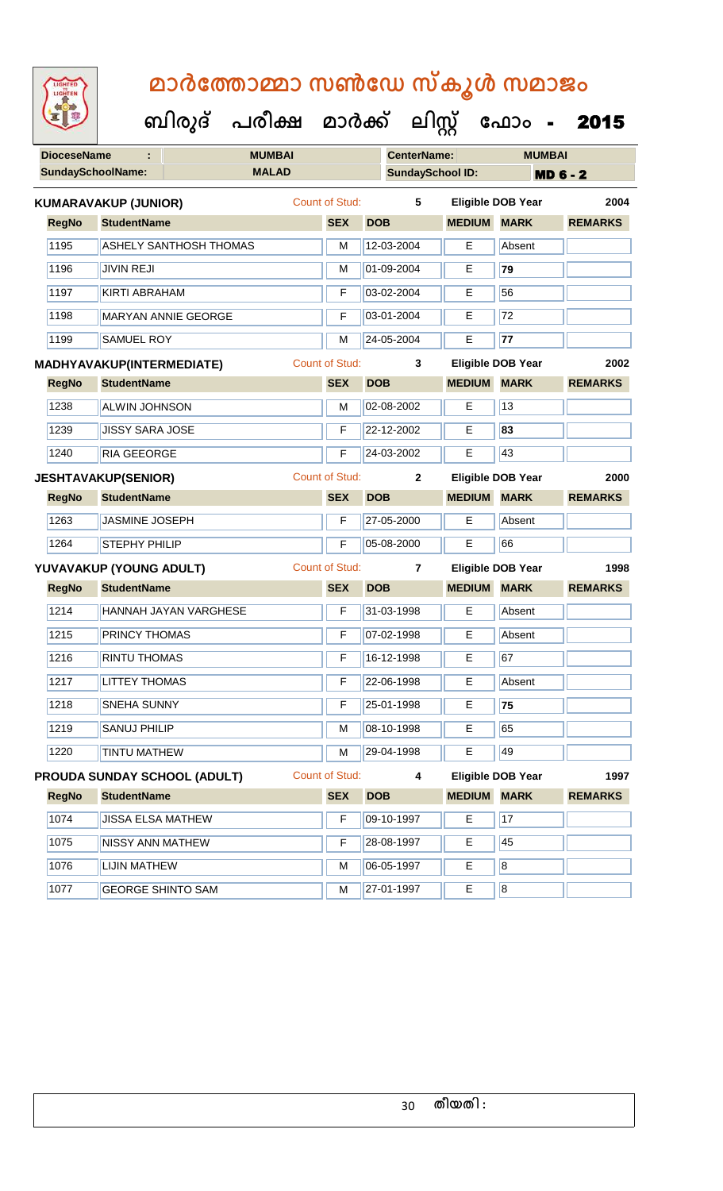| <b>IGHTED</b> |
|---------------|
|               |
|               |
|               |

| <b>DioceseName</b><br>÷ |              | <b>MUMBAI</b>                    |              |                       |            | <b>CenterName:</b>      | <b>MUMBAI</b>      |                                  |                 |  |
|-------------------------|--------------|----------------------------------|--------------|-----------------------|------------|-------------------------|--------------------|----------------------------------|-----------------|--|
|                         |              | <b>SundaySchoolName:</b>         | <b>MALAD</b> |                       |            | <b>SundaySchool ID:</b> |                    |                                  | <b>MD 6 - 2</b> |  |
|                         |              | <b>KUMARAVAKUP (JUNIOR)</b>      |              | Count of Stud:        |            | 5                       |                    | <b>Eligible DOB Year</b>         | 2004            |  |
|                         | <b>RegNo</b> | <b>StudentName</b>               |              | <b>SEX</b>            | <b>DOB</b> |                         | <b>MEDIUM MARK</b> |                                  | <b>REMARKS</b>  |  |
|                         | 1195         | <b>ASHELY SANTHOSH THOMAS</b>    |              | M                     |            | 12-03-2004              | E                  | Absent                           |                 |  |
|                         | 1196         | <b>JIVIN REJI</b>                |              | M                     |            | 01-09-2004              | E                  | 79                               |                 |  |
|                         | 1197         | KIRTI ABRAHAM                    |              | F                     |            | 03-02-2004              | Е                  | 56                               |                 |  |
|                         | 1198         | <b>MARYAN ANNIE GEORGE</b>       |              | F                     |            | 03-01-2004              | Е                  | 72                               |                 |  |
|                         | 1199         | SAMUEL ROY                       |              | M                     |            | 24-05-2004              | E                  | 77                               |                 |  |
|                         |              | <b>MADHYAVAKUP(INTERMEDIATE)</b> |              | <b>Count of Stud:</b> |            | 3                       |                    | <b>Eligible DOB Year</b>         | 2002            |  |
|                         | <b>RegNo</b> | <b>StudentName</b>               |              | <b>SEX</b>            | <b>DOB</b> |                         | <b>MEDIUM MARK</b> |                                  | <b>REMARKS</b>  |  |
|                         | 1238         | <b>ALWIN JOHNSON</b>             |              | M                     |            | 02-08-2002              | Е                  | 13                               |                 |  |
|                         | 1239         | <b>JISSY SARA JOSE</b>           |              | F                     |            | 22-12-2002              | E                  | 83                               |                 |  |
|                         | 1240         | <b>RIA GEEORGE</b>               |              | F                     |            | 24-03-2002              | E                  | 43                               |                 |  |
|                         |              | <b>JESHTAVAKUP(SENIOR)</b>       |              | <b>Count of Stud:</b> |            | $\mathbf{2}$            |                    | <b>Eligible DOB Year</b>         | 2000            |  |
|                         | <b>RegNo</b> | <b>StudentName</b>               |              | <b>SEX</b>            | <b>DOB</b> |                         | <b>MEDIUM</b>      | <b>MARK</b>                      | <b>REMARKS</b>  |  |
|                         | 1263         | <b>JASMINE JOSEPH</b>            |              | F                     |            | 27-05-2000              | E                  | Absent                           |                 |  |
|                         | 1264         | <b>STEPHY PHILIP</b>             |              | F                     |            | 05-08-2000              | E                  | 66                               |                 |  |
|                         |              | YUVAVAKUP (YOUNG ADULT)          |              | <b>Count of Stud:</b> |            | $\overline{7}$          |                    | <b>Eligible DOB Year</b>         | 1998            |  |
|                         | <b>RegNo</b> | <b>StudentName</b>               |              | <b>SEX</b>            | <b>DOB</b> |                         | <b>MEDIUM</b>      | <b>MARK</b>                      | <b>REMARKS</b>  |  |
|                         | 1214         | HANNAH JAYAN VARGHESE            |              | F                     |            | 31-03-1998              | E                  | Absent                           |                 |  |
|                         | 1215         | PRINCY THOMAS                    |              | F                     |            | 07-02-1998              | Е                  | Absent                           |                 |  |
|                         | 1216         | <b>RINTU THOMAS</b>              |              | F                     |            | 16-12-1998              | E                  | 67                               |                 |  |
|                         | 1217         | <b>LITTEY THOMAS</b>             |              | F                     |            | 22-06-1998              | E.                 | Absent                           |                 |  |
|                         | 1218         | <b>SNEHA SUNNY</b>               |              | F                     |            | 25-01-1998              | Е                  | 75                               |                 |  |
|                         | 1219         | <b>SANUJ PHILIP</b>              |              | M                     |            | 08-10-1998              | E                  | 65                               |                 |  |
|                         | 1220         | <b>TINTU MATHEW</b>              |              | М                     |            | 29-04-1998              | Е                  | 49                               |                 |  |
|                         |              | PROUDA SUNDAY SCHOOL (ADULT)     |              | Count of Stud:        |            | 4                       |                    | <b>Eligible DOB Year</b><br>1997 |                 |  |
|                         | <b>RegNo</b> | <b>StudentName</b>               |              | <b>SEX</b>            | <b>DOB</b> |                         | <b>MEDIUM</b>      | <b>MARK</b>                      | <b>REMARKS</b>  |  |
|                         | 1074         | <b>JISSA ELSA MATHEW</b>         |              | F                     |            | 09-10-1997              | Е                  | 17                               |                 |  |
|                         | 1075         | <b>NISSY ANN MATHEW</b>          |              | F                     |            | 28-08-1997              | Е                  | 45                               |                 |  |
|                         | 1076         | <b>LIJIN MATHEW</b>              |              | М                     |            | 06-05-1997              | Е                  | 8                                |                 |  |
|                         | 1077         | <b>GEORGE SHINTO SAM</b>         |              | М                     |            | 27-01-1997              | Е                  | 8                                |                 |  |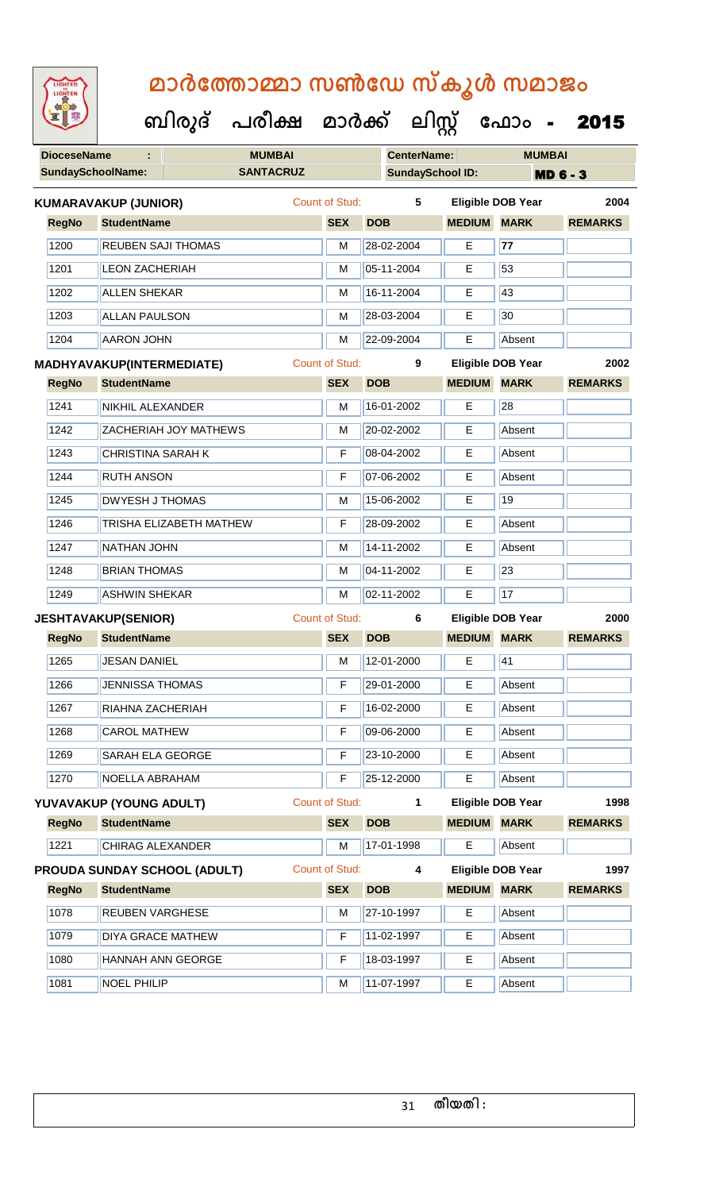| <b>IGHTED</b> |
|---------------|
|               |
|               |
|               |
|               |

| <b>DioceseName</b>        | ÷                            | <b>MUMBAI</b>         |  |                       |            | <b>CenterName:</b>       |                    | <b>MUMBAI</b>            |                 |  |
|---------------------------|------------------------------|-----------------------|--|-----------------------|------------|--------------------------|--------------------|--------------------------|-----------------|--|
|                           | <b>SundaySchoolName:</b>     | <b>SANTACRUZ</b>      |  |                       |            | <b>SundaySchool ID:</b>  |                    |                          | <b>MD 6 - 3</b> |  |
|                           | <b>KUMARAVAKUP (JUNIOR)</b>  |                       |  | <b>Count of Stud:</b> |            | 5                        |                    | <b>Eligible DOB Year</b> | 2004            |  |
| <b>RegNo</b>              | <b>StudentName</b>           |                       |  | <b>SEX</b>            | <b>DOB</b> |                          | <b>MEDIUM MARK</b> |                          | <b>REMARKS</b>  |  |
| 1200                      | <b>REUBEN SAJI THOMAS</b>    |                       |  | M                     |            | 28-02-2004               | E                  | 77                       |                 |  |
| 1201                      | <b>LEON ZACHERIAH</b>        |                       |  | M                     |            | 05-11-2004               | E                  | 53                       |                 |  |
| 1202                      | <b>ALLEN SHEKAR</b>          |                       |  | M                     |            | 16-11-2004               | Е                  | 43                       |                 |  |
| 1203                      | <b>ALLAN PAULSON</b>         |                       |  | M                     |            | 28-03-2004               | E                  | 30                       |                 |  |
| 1204                      | <b>AARON JOHN</b>            |                       |  | M                     |            | 22-09-2004               | E                  | Absent                   |                 |  |
| MADHYAVAKUP(INTERMEDIATE) |                              | <b>Count of Stud:</b> |  | 9                     |            | <b>Eligible DOB Year</b> | 2002               |                          |                 |  |
| <b>RegNo</b>              | <b>StudentName</b>           |                       |  | <b>SEX</b>            | <b>DOB</b> |                          | <b>MEDIUM MARK</b> |                          | <b>REMARKS</b>  |  |
| 1241                      | NIKHIL ALEXANDER             |                       |  | M                     |            | 16-01-2002               | E                  | 28                       |                 |  |
| 1242                      | <b>ZACHERIAH JOY MATHEWS</b> |                       |  | М                     |            | 20-02-2002               | Е                  | Absent                   |                 |  |
| 1243                      | <b>CHRISTINA SARAH K</b>     |                       |  | F                     |            | 08-04-2002               | E                  | Absent                   |                 |  |
| 1244                      | <b>RUTH ANSON</b>            |                       |  | F                     |            | 07-06-2002               | Е                  | Absent                   |                 |  |
| 1245                      | <b>DWYESH J THOMAS</b>       |                       |  | M                     |            | 15-06-2002               | E                  | 19                       |                 |  |
| 1246                      | TRISHA ELIZABETH MATHEW      |                       |  | $\mathsf F$           |            | 28-09-2002               | Е                  | Absent                   |                 |  |
| 1247                      | <b>NATHAN JOHN</b>           |                       |  | M                     |            | 14-11-2002               | Е                  | Absent                   |                 |  |
| 1248                      | <b>BRIAN THOMAS</b>          |                       |  | M                     |            | 04-11-2002<br>E          |                    | 23                       |                 |  |
| 1249                      | <b>ASHWIN SHEKAR</b>         |                       |  | M                     |            | 02-11-2002               | E                  | 17                       |                 |  |
|                           | <b>JESHTAVAKUP(SENIOR)</b>   |                       |  | <b>Count of Stud:</b> |            | 6                        |                    | <b>Eligible DOB Year</b> | 2000            |  |
| <b>RegNo</b>              | <b>StudentName</b>           |                       |  | <b>SEX</b>            | <b>DOB</b> |                          | <b>MEDIUM MARK</b> |                          | <b>REMARKS</b>  |  |
| 1265                      | <b>JESAN DANIEL</b>          |                       |  | M                     |            | 12-01-2000               | E                  | 41                       |                 |  |
| 1266                      | <b>JENNISSA THOMAS</b>       |                       |  | $\mathsf F$           |            | 29-01-2000               | E.                 | Absent                   |                 |  |
| 1267                      | RIAHNA ZACHERIAH             |                       |  | $\mathsf F$           |            | 16-02-2000               | E                  | Absent                   |                 |  |
| 1268                      | <b>CAROL MATHEW</b>          |                       |  | F                     |            | 09-06-2000               | E                  | Absent                   |                 |  |
| 1269                      | SARAH ELA GEORGE             |                       |  | F                     |            | 23-10-2000               | Е                  | Absent                   |                 |  |
| 1270                      | NOELLA ABRAHAM               |                       |  | F                     |            | 25-12-2000               | E                  | Absent                   |                 |  |
|                           | YUVAVAKUP (YOUNG ADULT)      |                       |  | <b>Count of Stud:</b> |            | $\mathbf{1}$             |                    | <b>Eligible DOB Year</b> | 1998            |  |
| <b>RegNo</b>              | <b>StudentName</b>           |                       |  | <b>SEX</b>            | <b>DOB</b> |                          | <b>MEDIUM</b>      | <b>MARK</b>              | <b>REMARKS</b>  |  |
| 1221                      | <b>CHIRAG ALEXANDER</b>      |                       |  | M                     |            | 17-01-1998               | E.                 | Absent                   |                 |  |
|                           | PROUDA SUNDAY SCHOOL (ADULT) |                       |  | <b>Count of Stud:</b> |            | 4                        |                    | <b>Eligible DOB Year</b> | 1997            |  |
| <b>RegNo</b>              | <b>StudentName</b>           |                       |  | <b>SEX</b>            | <b>DOB</b> |                          | <b>MEDIUM MARK</b> |                          | <b>REMARKS</b>  |  |
| 1078                      | <b>REUBEN VARGHESE</b>       |                       |  | M                     |            | 27-10-1997               | E                  | Absent                   |                 |  |
| 1079                      | <b>DIYA GRACE MATHEW</b>     |                       |  | F                     |            | 11-02-1997               | Е                  | Absent                   |                 |  |
| 1080                      | <b>HANNAH ANN GEORGE</b>     |                       |  | F                     |            | 18-03-1997               | Е                  | Absent                   |                 |  |
| 1081                      | <b>NOEL PHILIP</b>           |                       |  | М                     |            | 11-07-1997               | Е                  | Absent                   |                 |  |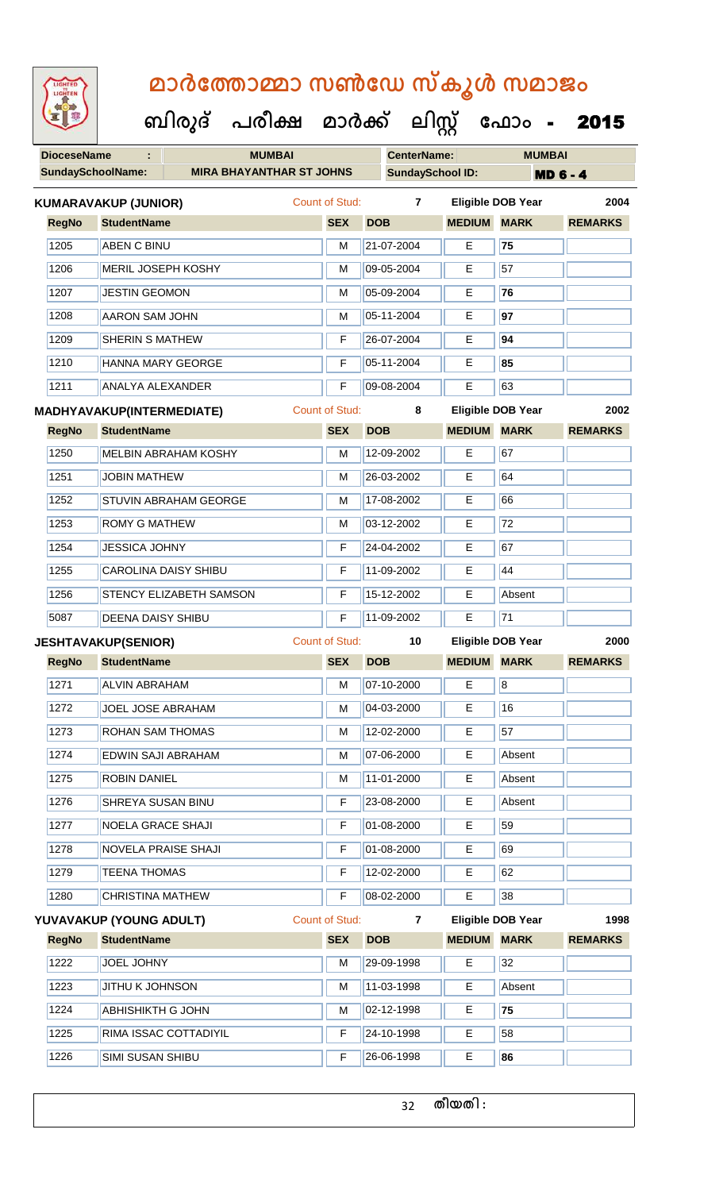| LIGHTED<br>LIGHTEN       |                                  | മാർത്തോമ്മാ സൺഡേ സ്കൂൾ സമാജം         |                       |                    |                         |                          |                 |
|--------------------------|----------------------------------|--------------------------------------|-----------------------|--------------------|-------------------------|--------------------------|-----------------|
|                          |                                  | ബിരുദ് പരീക്ഷ മാർക്ക് ലിസ്റ്റ് ഫോം - |                       |                    |                         |                          | 2015            |
| <b>DioceseName</b>       |                                  | <b>MUMBAI</b>                        |                       | <b>CenterName:</b> |                         | <b>MUMBAI</b>            |                 |
| <b>SundaySchoolName:</b> |                                  | <b>MIRA BHAYANTHAR ST JOHNS</b>      |                       |                    | <b>SundaySchool ID:</b> |                          | <b>MD 6 - 4</b> |
|                          | KUMARAVAKUP (JUNIOR)             |                                      | <b>Count of Stud:</b> | $\mathbf{7}$       |                         | <b>Eligible DOB Year</b> | 2004            |
| <b>RegNo</b>             | <b>StudentName</b>               |                                      | <b>SEX</b>            | <b>DOB</b>         | <b>MEDIUM</b>           | <b>MARK</b>              | <b>REMARKS</b>  |
| 1205                     | <b>ABEN C BINU</b>               |                                      | м                     | 21-07-2004         | E                       | 75                       |                 |
| 1206                     | <b>MERIL JOSEPH KOSHY</b>        |                                      | м                     | 09-05-2004         | E                       | 57                       |                 |
| 1207                     | <b>JESTIN GEOMON</b>             |                                      | м                     | 05-09-2004         | Е                       | 76                       |                 |
| 1208                     | <b>AARON SAM JOHN</b>            |                                      | м                     | 05-11-2004         | Е                       | 97                       |                 |
| 1209                     | <b>SHERIN S MATHEW</b>           |                                      | F                     | 26-07-2004         | Е                       | 94                       |                 |
| 1210                     | <b>HANNA MARY GEORGE</b>         |                                      | F                     | 05-11-2004         | Е                       | 85                       |                 |
| 1211                     | <b>ANALYA ALEXANDER</b>          |                                      | F                     | 09-08-2004         | Е                       | 63                       |                 |
|                          | <b>MADHYAVAKUP(INTERMEDIATE)</b> |                                      | <b>Count of Stud:</b> | 8                  |                         | <b>Eligible DOB Year</b> | 2002            |
| <b>RegNo</b>             | <b>StudentName</b>               |                                      | <b>SEX</b>            | <b>DOB</b>         | <b>MEDIUM</b>           | <b>MARK</b>              | <b>REMARKS</b>  |
| 1250                     | <b>MELBIN ABRAHAM KOSHY</b>      |                                      | м                     | 12-09-2002         | Е                       | 67                       |                 |
| 1251                     | <b>JOBIN MATHEW</b>              |                                      | м                     | 26-03-2002         | Е                       | 64                       |                 |
| 1252                     | <b>STUVIN ABRAHAM GEORGE</b>     |                                      | м                     | 17-08-2002         | Е                       | 66                       |                 |
| 1253                     | <b>ROMY G MATHEW</b>             |                                      | м                     | 03-12-2002         | Е                       | 72                       |                 |
| 1254                     | <b>JESSICA JOHNY</b>             |                                      | F                     | 24-04-2002         | Е                       | 67                       |                 |
| 1255                     | <b>CAROLINA DAISY SHIBU</b>      |                                      | F                     | 11-09-2002         | Е                       | 44                       |                 |
| 1256                     | STENCY ELIZABETH SAMSON          |                                      | F                     | 15-12-2002         | E                       | Absent                   |                 |
| 5087                     | <b>DEENA DAISY SHIBU</b>         |                                      | F                     | 11-09-2002         | E.                      | $\overline{71}$          |                 |
|                          | <b>JESHTAVAKUP(SENIOR)</b>       |                                      | <b>Count of Stud:</b> | 10                 |                         | <b>Eligible DOB Year</b> | 2000            |
| <b>RegNo</b>             | <b>StudentName</b>               |                                      | <b>SEX</b>            | <b>DOB</b>         | <b>MEDIUM</b>           | <b>MARK</b>              | <b>REMARKS</b>  |
| 1271                     | <b>ALVIN ABRAHAM</b>             |                                      | M                     | 07-10-2000         | E                       | 8                        |                 |
| 1272                     | JOEL JOSE ABRAHAM                |                                      | M                     | 04-03-2000         | E                       | 16                       |                 |
| 1273                     | <b>ROHAN SAM THOMAS</b>          |                                      | М                     | 12-02-2000         | E.                      | 57                       |                 |
| 1274                     | EDWIN SAJI ABRAHAM               |                                      | М                     | 07-06-2000         | E.                      | Absent                   |                 |
| 1275                     | <b>ROBIN DANIEL</b>              |                                      | M                     | 11-01-2000         | E                       | Absent                   |                 |
| 1276                     | SHREYA SUSAN BINU                |                                      | F                     | 23-08-2000         | E.                      | Absent                   |                 |
| 1277                     | <b>NOELA GRACE SHAJI</b>         |                                      | F                     | 01-08-2000         | Е                       | 59                       |                 |
| 1278                     | <b>NOVELA PRAISE SHAJI</b>       |                                      | F                     | 01-08-2000         | E                       | 69                       |                 |
| 1279                     | <b>TEENA THOMAS</b>              |                                      | F                     | 12-02-2000         | E                       | 62                       |                 |
| 1280                     | <b>CHRISTINA MATHEW</b>          |                                      | F                     | 08-02-2000         | E.                      | 38                       |                 |
|                          | YUVAVAKUP (YOUNG ADULT)          |                                      | <b>Count of Stud:</b> | $\overline{7}$     |                         | <b>Eligible DOB Year</b> | 1998            |
| <b>RegNo</b>             | <b>StudentName</b>               |                                      | <b>SEX</b>            | <b>DOB</b>         | <b>MEDIUM</b>           | <b>MARK</b>              | <b>REMARKS</b>  |
| 1222                     | JOEL JOHNY                       |                                      | M                     | 29-09-1998         | E                       | 32                       |                 |
| 1223                     | <b>JITHU K JOHNSON</b>           |                                      | м                     | 11-03-1998         | E.                      | Absent                   |                 |
| 1224                     | <b>ABHISHIKTH G JOHN</b>         |                                      | М                     | 02-12-1998         | Е                       | 75                       |                 |
| 1225                     | RIMA ISSAC COTTADIYIL            |                                      | F                     | 24-10-1998         | E                       | 58                       |                 |
| 1226                     | SIMI SUSAN SHIBU                 |                                      | F                     | 26-06-1998         | E.                      | 86                       |                 |

32 **തീയതി :**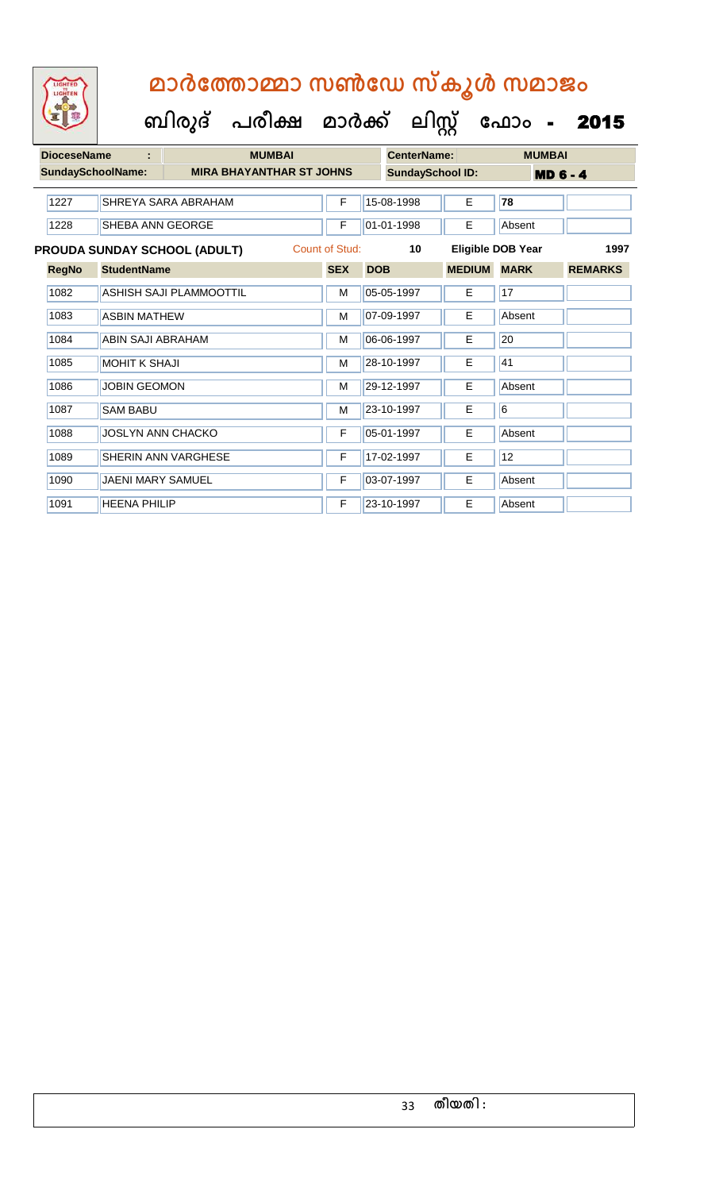| <b>DioceseName</b>       | t                        | <b>MUMBAI</b>                       |                       |            | CenterName:             |               | <b>MUMBAI</b>     |                |
|--------------------------|--------------------------|-------------------------------------|-----------------------|------------|-------------------------|---------------|-------------------|----------------|
| <b>SundaySchoolName:</b> |                          | <b>MIRA BHAYANTHAR ST JOHNS</b>     |                       |            | <b>SundaySchool ID:</b> |               | <b>MD 6 - 4</b>   |                |
| 1227                     |                          | SHREYA SARA ABRAHAM                 | F                     |            | 15-08-1998              | E             | 78                |                |
| 1228                     | SHEBA ANN GEORGE         |                                     | F                     |            | 01-01-1998              | E             | Absent            |                |
|                          |                          | <b>PROUDA SUNDAY SCHOOL (ADULT)</b> | <b>Count of Stud:</b> |            | 10                      |               | Eligible DOB Year | 1997           |
| <b>RegNo</b>             | <b>StudentName</b>       |                                     | <b>SEX</b>            | <b>DOB</b> |                         | <b>MEDIUM</b> | <b>MARK</b>       | <b>REMARKS</b> |
| 1082                     |                          | <b>ASHISH SAJI PLAMMOOTTIL</b>      | М                     |            | 05-05-1997              | Е             | 17                |                |
| 1083                     | <b>ASBIN MATHEW</b>      |                                     | М                     |            | 07-09-1997              | E             | Absent            |                |
| 1084                     | ABIN SAJI ABRAHAM        |                                     | м                     |            | 06-06-1997              | E             | 20                |                |
| 1085                     | <b>MOHIT K SHAJI</b>     |                                     | M                     |            | 28-10-1997              | E             | 41                |                |
| 1086                     | <b>JOBIN GEOMON</b>      |                                     | М                     |            | 29-12-1997              | E.            | Absent            |                |
| 1087                     | <b>SAM BABU</b>          |                                     | М                     |            | 23-10-1997              | E             | 6                 |                |
| 1088                     | <b>JOSLYN ANN CHACKO</b> |                                     | F                     |            | 05-01-1997              | E.            | Absent            |                |
| 1089                     |                          | SHERIN ANN VARGHESE                 | F                     |            | 17-02-1997              | E             | 12                |                |
| 1090                     | <b>JAENI MARY SAMUEL</b> |                                     | F                     |            | 03-07-1997              | E.            | Absent            |                |
| 1091                     | <b>HEENA PHILIP</b>      |                                     | F                     |            | 23-10-1997              | Е             | Absent            |                |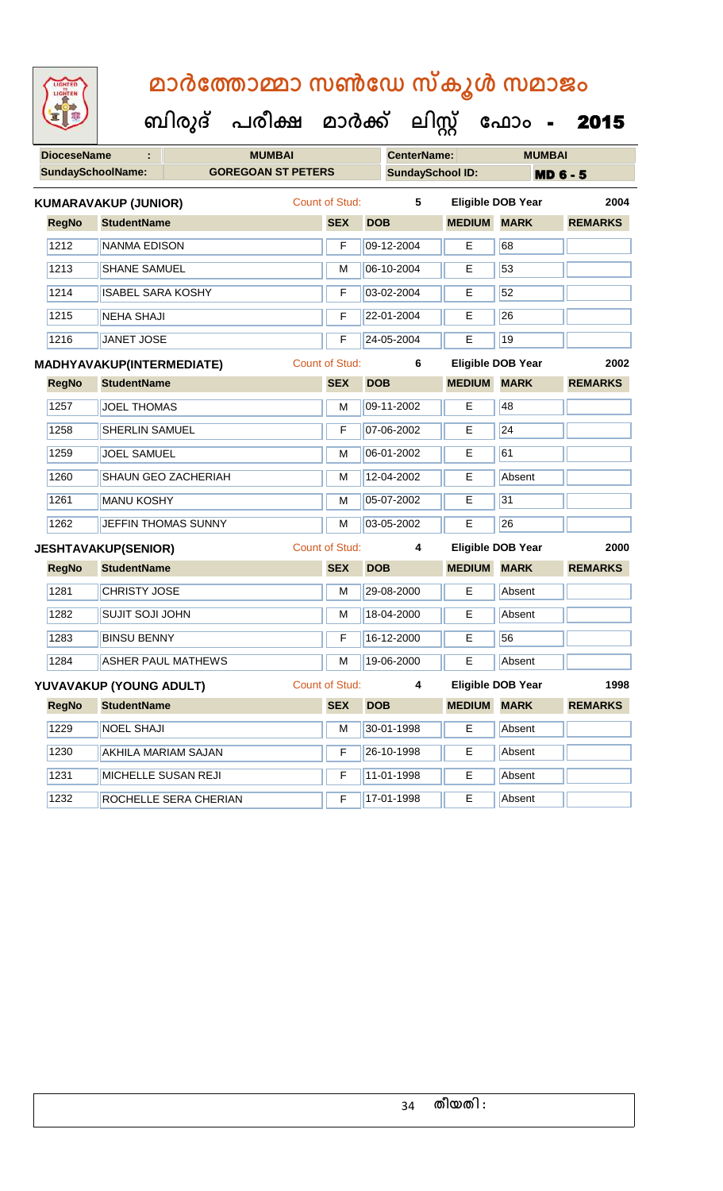| <b>IGHTED</b> |
|---------------|
|               |
|               |
|               |
|               |

| <b>DioceseName</b> |                             |                           | <b>MUMBAI</b> |                       | <b>CenterName:</b> |                         | <b>MUMBAI</b>            |                |
|--------------------|-----------------------------|---------------------------|---------------|-----------------------|--------------------|-------------------------|--------------------------|----------------|
|                    | <b>SundaySchoolName:</b>    | <b>GOREGOAN ST PETERS</b> |               |                       |                    | <b>SundaySchool ID:</b> | <b>MD 6 - 5</b>          |                |
|                    | <b>KUMARAVAKUP (JUNIOR)</b> |                           |               | <b>Count of Stud:</b> | 5                  |                         | <b>Eligible DOB Year</b> | 2004           |
| <b>RegNo</b>       | <b>StudentName</b>          |                           |               | <b>SEX</b>            | <b>DOB</b>         | <b>MEDIUM MARK</b>      |                          | <b>REMARKS</b> |
| 1212               | <b>NANMA EDISON</b>         |                           |               | F                     | 09-12-2004         | E                       | 68                       |                |
| 1213               | <b>SHANE SAMUEL</b>         |                           |               | M                     | 06-10-2004         | E.                      | 53                       |                |
| 1214               | <b>ISABEL SARA KOSHY</b>    |                           |               | F                     | 03-02-2004         | E                       | 52                       |                |
| 1215               | <b>NEHA SHAJI</b>           |                           |               | F                     | 22-01-2004         | Е                       | 26                       |                |
| 1216               | <b>JANET JOSE</b>           |                           |               | F                     | 24-05-2004         | E                       | 19                       |                |
|                    | MADHYAVAKUP(INTERMEDIATE)   |                           |               | <b>Count of Stud:</b> | 6                  |                         | <b>Eligible DOB Year</b> | 2002           |
| <b>RegNo</b>       | <b>StudentName</b>          |                           |               | <b>SEX</b>            | <b>DOB</b>         | <b>MEDIUM</b>           | <b>MARK</b>              | <b>REMARKS</b> |
| 1257               | <b>JOEL THOMAS</b>          |                           |               | M                     | 09-11-2002         | Е                       | 48                       |                |
| 1258               | <b>SHERLIN SAMUEL</b>       |                           |               | F                     | 07-06-2002         | E                       | 24                       |                |
| 1259               | <b>JOEL SAMUEL</b>          |                           |               | M                     | 06-01-2002         | E                       | 61                       |                |
| 1260               |                             | SHAUN GEO ZACHERIAH       |               | M                     | 12-04-2002         | E                       | Absent                   |                |
| 1261               | <b>MANU KOSHY</b>           |                           |               | M                     | 05-07-2002         | Ε                       | 31                       |                |
| 1262               |                             | JEFFIN THOMAS SUNNY       |               | M                     | 03-05-2002         | E                       | 26                       |                |
|                    | <b>JESHTAVAKUP(SENIOR)</b>  |                           |               | <b>Count of Stud:</b> | 4                  |                         | <b>Eligible DOB Year</b> | 2000           |
| <b>RegNo</b>       | <b>StudentName</b>          |                           |               | <b>SEX</b>            | <b>DOB</b>         | <b>MEDIUM</b>           | <b>MARK</b>              | <b>REMARKS</b> |
| 1281               | <b>CHRISTY JOSE</b>         |                           |               | M                     | 29-08-2000         | Е                       | Absent                   |                |
| 1282               | <b>SUJIT SOJI JOHN</b>      |                           |               | M                     | 18-04-2000         | E                       | Absent                   |                |
| 1283               | <b>BINSU BENNY</b>          |                           |               | F                     | 16-12-2000         | E                       | 56                       |                |
| 1284               |                             | <b>ASHER PAUL MATHEWS</b> |               | M                     | 19-06-2000         | E                       | Absent                   |                |
|                    | YUVAVAKUP (YOUNG ADULT)     |                           |               | <b>Count of Stud:</b> | 4                  |                         | <b>Eligible DOB Year</b> | 1998           |
| <b>RegNo</b>       | <b>StudentName</b>          |                           |               | <b>SEX</b>            | <b>DOB</b>         | <b>MEDIUM</b>           | <b>MARK</b>              | <b>REMARKS</b> |
| 1229               | <b>NOEL SHAJI</b>           |                           |               | М                     | 30-01-1998         | E                       | Absent                   |                |
| 1230               |                             | AKHILA MARIAM SAJAN       |               | F                     | 26-10-1998         | E                       | Absent                   |                |
| 1231               |                             | MICHELLE SUSAN REJI       |               | F                     | 11-01-1998         | E                       | Absent                   |                |
| 1232               |                             | ROCHELLE SERA CHERIAN     |               | F                     | 17-01-1998         | Е                       | Absent                   |                |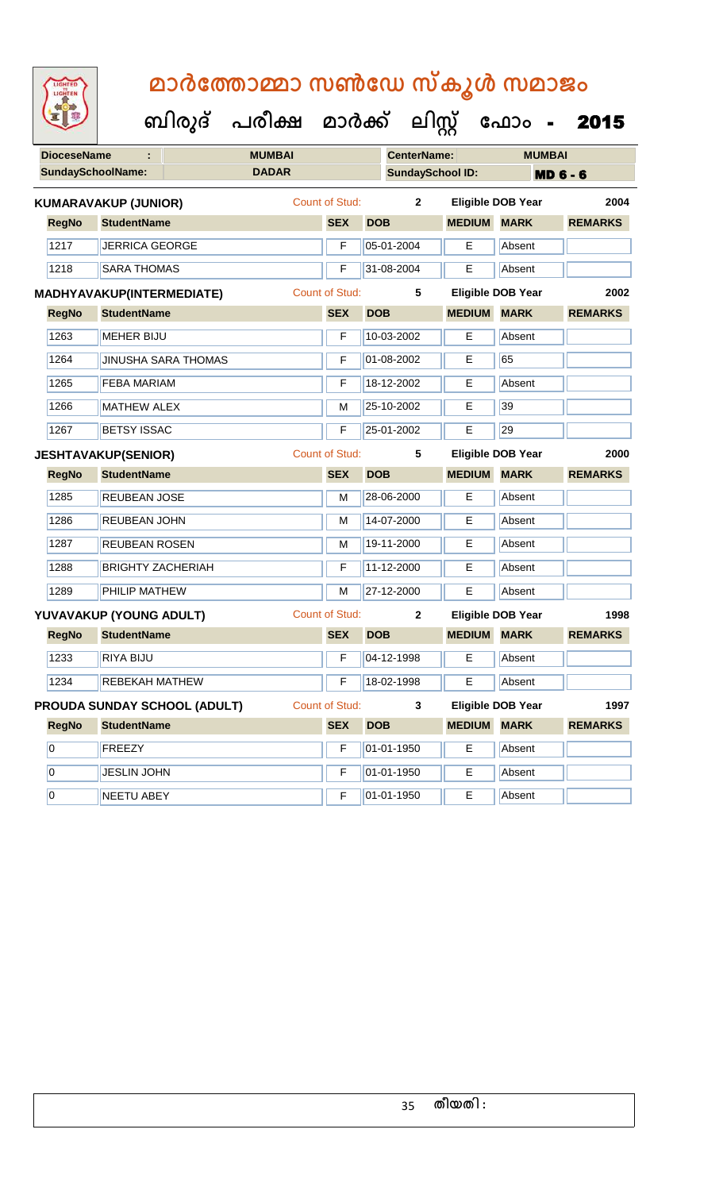| <b>IGHTED</b> |
|---------------|
|               |
|               |
|               |

| <b>DioceseName</b>       | ÷                                |                              | <b>MUMBAI</b> |                       |            | <b>CenterName:</b>      |                          |             | <b>MUMBAI</b>   |                |  |
|--------------------------|----------------------------------|------------------------------|---------------|-----------------------|------------|-------------------------|--------------------------|-------------|-----------------|----------------|--|
| <b>SundaySchoolName:</b> |                                  |                              | <b>DADAR</b>  |                       |            | <b>SundaySchool ID:</b> |                          |             | <b>MD 6 - 6</b> |                |  |
|                          | <b>KUMARAVAKUP (JUNIOR)</b>      |                              |               | <b>Count of Stud:</b> |            | $\mathbf{2}$            | <b>Eligible DOB Year</b> |             |                 | 2004           |  |
| <b>RegNo</b>             | <b>StudentName</b>               |                              |               | <b>SEX</b>            | <b>DOB</b> |                         | <b>MEDIUM</b>            | <b>MARK</b> |                 | <b>REMARKS</b> |  |
| 1217                     | <b>JERRICA GEORGE</b>            |                              |               | F                     |            | 05-01-2004              | E                        | Absent      |                 |                |  |
| 1218                     | <b>SARA THOMAS</b>               |                              |               | F                     |            | 31-08-2004              | E                        | Absent      |                 |                |  |
|                          | <b>MADHYAVAKUP(INTERMEDIATE)</b> |                              |               | <b>Count of Stud:</b> |            | $5\phantom{.0}$         | <b>Eligible DOB Year</b> |             |                 | 2002           |  |
| <b>RegNo</b>             | <b>StudentName</b>               |                              |               | <b>SEX</b>            | <b>DOB</b> |                         | <b>MEDIUM MARK</b>       |             |                 | <b>REMARKS</b> |  |
| 1263                     | <b>MEHER BIJU</b>                |                              |               | F                     |            | 10-03-2002              | E                        | Absent      |                 |                |  |
| 1264                     |                                  | <b>JINUSHA SARA THOMAS</b>   |               | F                     |            | 01-08-2002              | E                        | 65          |                 |                |  |
| 1265                     | <b>FEBA MARIAM</b>               |                              |               | F                     |            | 18-12-2002              | Е                        | Absent      |                 |                |  |
| 1266                     | <b>MATHEW ALEX</b>               |                              |               | M                     |            | 25-10-2002              | Е                        | 39          |                 |                |  |
| 1267                     | <b>BETSY ISSAC</b>               |                              |               | F                     |            | 25-01-2002              | E                        | 29          |                 |                |  |
|                          | <b>JESHTAVAKUP(SENIOR)</b>       |                              |               | <b>Count of Stud:</b> |            | 5                       | <b>Eligible DOB Year</b> |             |                 | 2000           |  |
| <b>RegNo</b>             | <b>StudentName</b>               |                              |               | <b>SEX</b>            | <b>DOB</b> |                         | <b>MEDIUM MARK</b>       |             |                 | <b>REMARKS</b> |  |
| 1285                     | <b>REUBEAN JOSE</b>              |                              |               | M                     |            | 28-06-2000              | E                        | Absent      |                 |                |  |
| 1286                     | REUBEAN JOHN                     |                              |               | M                     |            | 14-07-2000              | Е                        | Absent      |                 |                |  |
| 1287                     | REUBEAN ROSEN                    |                              |               | M                     |            | 19-11-2000              | Е                        | Absent      |                 |                |  |
| 1288                     | <b>BRIGHTY ZACHERIAH</b>         |                              |               | F                     |            | 11-12-2000              | Е                        | Absent      |                 |                |  |
| 1289                     | PHILIP MATHEW                    |                              |               | M                     |            | 27-12-2000              | E                        | Absent      |                 |                |  |
|                          | YUVAVAKUP (YOUNG ADULT)          |                              |               | <b>Count of Stud:</b> |            | $\mathbf{2}$            | <b>Eligible DOB Year</b> |             |                 | 1998           |  |
| <b>RegNo</b>             | <b>StudentName</b>               |                              |               | <b>SEX</b>            | <b>DOB</b> |                         | <b>MEDIUM</b>            | <b>MARK</b> |                 | <b>REMARKS</b> |  |
| 1233                     | <b>RIYA BIJU</b>                 |                              |               | F                     |            | 04-12-1998              | E                        | Absent      |                 |                |  |
| 1234                     | REBEKAH MATHEW                   |                              |               | F                     |            | 18-02-1998              | Е                        | Absent      |                 |                |  |
|                          |                                  | PROUDA SUNDAY SCHOOL (ADULT) |               | <b>Count of Stud:</b> |            | $\mathbf{3}$            | <b>Eligible DOB Year</b> |             |                 | 1997           |  |
| <b>RegNo</b>             | <b>StudentName</b>               |                              |               | <b>SEX</b>            | <b>DOB</b> |                         | <b>MEDIUM</b>            | <b>MARK</b> |                 | <b>REMARKS</b> |  |
| 0                        | <b>FREEZY</b>                    |                              |               | F                     |            | 01-01-1950              | E                        | Absent      |                 |                |  |
| $\vert 0 \vert$          | <b>JESLIN JOHN</b>               |                              |               | F                     |            | 01-01-1950              | Е                        | Absent      |                 |                |  |
| $\overline{0}$           | <b>NEETU ABEY</b>                |                              |               | F                     |            | 01-01-1950              | E                        | Absent      |                 |                |  |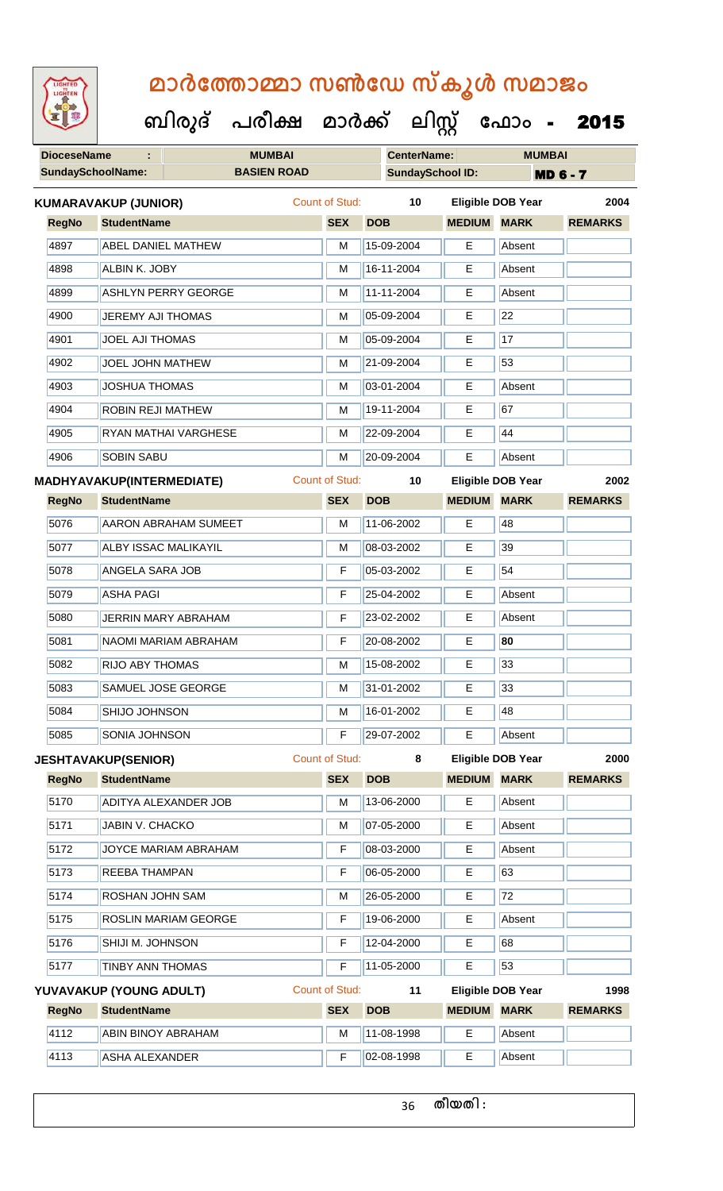| <b>IGHTED</b> |
|---------------|
|               |
|               |
|               |
|               |

 **ബിരുദ് പരീക്ഷ മാര്ക് ക ലിസ്റ്റ ക ഫ ാോം** - 2015

| <b>DioceseName</b>       | ÷                                | <b>MUMBAI</b>               |                       | <b>CenterName:</b>      |               | <b>MUMBAI</b>            |                |  |
|--------------------------|----------------------------------|-----------------------------|-----------------------|-------------------------|---------------|--------------------------|----------------|--|
| <b>SundaySchoolName:</b> |                                  | <b>BASIEN ROAD</b>          |                       | <b>SundaySchool ID:</b> |               | <b>MD 6 - 7</b>          |                |  |
|                          | <b>KUMARAVAKUP (JUNIOR)</b>      |                             | <b>Count of Stud:</b> | 10                      |               | <b>Eligible DOB Year</b> | 2004           |  |
| <b>RegNo</b>             | <b>StudentName</b>               |                             | <b>SEX</b>            | <b>DOB</b>              | <b>MEDIUM</b> | <b>MARK</b>              | <b>REMARKS</b> |  |
| 4897                     | ABEL DANIEL MATHEW               |                             | M                     | 15-09-2004              | E             | Absent                   |                |  |
| 4898                     | ALBIN K. JOBY                    |                             | M                     | 16-11-2004              | Е             | Absent                   |                |  |
| 4899                     |                                  | <b>ASHLYN PERRY GEORGE</b>  | M                     | 11-11-2004              | Е             | Absent                   |                |  |
| 4900                     | <b>JEREMY AJI THOMAS</b>         |                             | M                     | 05-09-2004              | Е             | $\overline{22}$          |                |  |
| 4901                     | <b>JOEL AJI THOMAS</b>           |                             | M                     | 05-09-2004              | E             | 17                       |                |  |
| 4902                     | JOEL JOHN MATHEW                 |                             | М                     | 21-09-2004              | Е             | 53                       |                |  |
| 4903                     | <b>JOSHUA THOMAS</b>             |                             | M                     | 03-01-2004              | E             | Absent                   |                |  |
| 4904                     | <b>ROBIN REJI MATHEW</b>         |                             | М                     | 19-11-2004              | Е             | 67                       |                |  |
| 4905                     |                                  | RYAN MATHAI VARGHESE        | M                     | 22-09-2004              | Е             | 44                       |                |  |
| 4906                     | <b>SOBIN SABU</b>                |                             | M                     | 20-09-2004              | E             | Absent                   |                |  |
|                          | <b>MADHYAVAKUP(INTERMEDIATE)</b> |                             | <b>Count of Stud:</b> | 10                      |               | <b>Eligible DOB Year</b> | 2002           |  |
| <b>RegNo</b>             | <b>StudentName</b>               |                             | <b>SEX</b>            | <b>DOB</b>              | <b>MEDIUM</b> | <b>MARK</b>              | <b>REMARKS</b> |  |
| 5076                     |                                  | <b>AARON ABRAHAM SUMEET</b> | M                     | 11-06-2002              | Е             | 48                       |                |  |
| 5077                     | <b>ALBY ISSAC MALIKAYIL</b>      |                             | м                     | 08-03-2002              | Е             | 39                       |                |  |
| 5078                     | ANGELA SARA JOB                  |                             | F                     | 05-03-2002              | E             | 54                       |                |  |
| 5079                     | <b>ASHA PAGI</b>                 |                             | F                     | 25-04-2002              | Е             | Absent                   |                |  |
| 5080                     |                                  | <b>JERRIN MARY ABRAHAM</b>  | F                     | 23-02-2002              | Е             | Absent                   |                |  |
| 5081                     |                                  | NAOMI MARIAM ABRAHAM        | F                     | 20-08-2002              | E             | 80                       |                |  |
| 5082                     | <b>RIJO ABY THOMAS</b>           |                             | M                     | 15-08-2002              | Е             | 33                       |                |  |
| 5083                     |                                  | SAMUEL JOSE GEORGE          | М                     | 31-01-2002              | Е             | 33                       |                |  |
| 5084                     | SHIJO JOHNSON                    |                             | M                     | 16-01-2002              | E             | 48                       |                |  |
| 5085                     | SONIA JOHNSON                    |                             | F                     | 29-07-2002              | E             | Absent                   |                |  |
|                          | <b>JESHTAVAKUP(SENIOR)</b>       |                             | Count of Stud:        | 8                       |               | <b>Eligible DOB Year</b> | 2000           |  |
| <b>RegNo</b>             | <b>StudentName</b>               |                             | <b>SEX</b>            | <b>DOB</b>              | <b>MEDIUM</b> | <b>MARK</b>              | <b>REMARKS</b> |  |
| 5170                     |                                  | ADITYA ALEXANDER JOB        | М                     | 13-06-2000              | Е             | Absent                   |                |  |
| 5171                     | JABIN V. CHACKO                  |                             | М                     | 07-05-2000              | E.            | Absent                   |                |  |
| 5172                     |                                  | JOYCE MARIAM ABRAHAM        | F                     | 08-03-2000              | Е             | Absent                   |                |  |
| 5173                     | REEBA THAMPAN                    |                             | F                     | 06-05-2000              | Е             | 63                       |                |  |
| 5174                     | ROSHAN JOHN SAM                  |                             | M                     | 26-05-2000              | E             | 72                       |                |  |
| 5175                     |                                  | ROSLIN MARIAM GEORGE        | F                     | 19-06-2000              | Е             | Absent                   |                |  |
| 5176                     | SHIJI M. JOHNSON                 |                             | F                     | 12-04-2000              | Е             | 68                       |                |  |
| 5177                     | <b>TINBY ANN THOMAS</b>          |                             | F                     | 11-05-2000              | Е             | 53                       |                |  |
|                          | YUVAVAKUP (YOUNG ADULT)          |                             | <b>Count of Stud:</b> | 11                      |               | <b>Eligible DOB Year</b> | 1998           |  |
| <b>RegNo</b>             | <b>StudentName</b>               |                             | <b>SEX</b>            | <b>DOB</b>              | <b>MEDIUM</b> | <b>MARK</b>              | <b>REMARKS</b> |  |
| 4112                     | <b>ABIN BINOY ABRAHAM</b>        |                             | M                     | 11-08-1998              | E             | Absent                   |                |  |

4113 ASHA ALEXANDER F 02-08-1998 E Absent

**തീയതി :**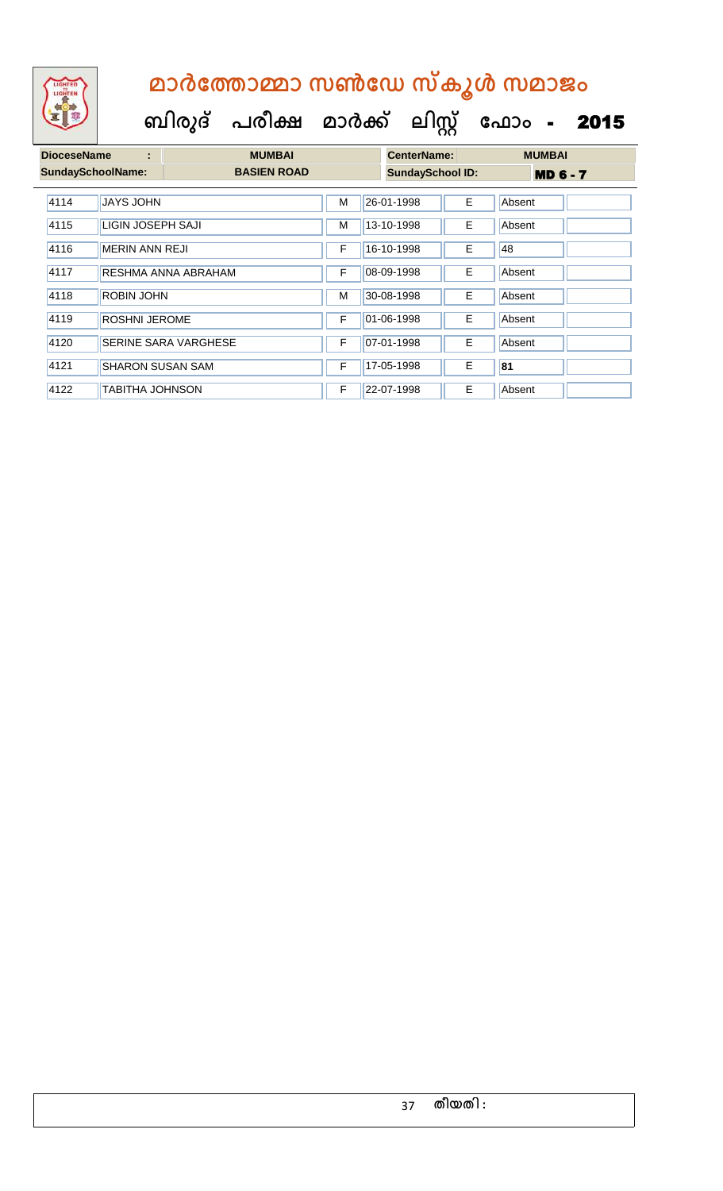| <b>DioceseName</b> | ÷                        | <b>MUMBAI</b>               |   |                         | <b>CenterName:</b> |                 | <b>MUMBAI</b> |  |
|--------------------|--------------------------|-----------------------------|---|-------------------------|--------------------|-----------------|---------------|--|
|                    | <b>SundaySchoolName:</b> | <b>BASIEN ROAD</b>          |   | <b>SundaySchool ID:</b> |                    | <b>MD 6 - 7</b> |               |  |
| 4114               | <b>JAYS JOHN</b>         |                             | M |                         | 26-01-1998         | E.              | Absent        |  |
| 4115               | LIGIN JOSEPH SAJI        |                             |   |                         | 13-10-1998         | E.              | Absent        |  |
| 4116               | <b>MERIN ANN REJI</b>    |                             |   |                         | 16-10-1998         | E.              | 48            |  |
| 4117               |                          | RESHMA ANNA ABRAHAM         | F |                         | 08-09-1998         | E.              | Absent        |  |
| 4118               | <b>ROBIN JOHN</b>        |                             | M |                         | 30-08-1998         | E.              | Absent        |  |
| 4119               | <b>ROSHNI JEROME</b>     |                             | F |                         | 01-06-1998         | E.              | Absent        |  |
| 4120               |                          | <b>SERINE SARA VARGHESE</b> | F |                         | 07-01-1998         | E.              | Absent        |  |
| 4121               | <b>SHARON SUSAN SAM</b>  |                             | F |                         | 17-05-1998         | E.              | 81            |  |
| 4122               | TABITHA JOHNSON          |                             | F |                         | 22-07-1998         | E.              | Absent        |  |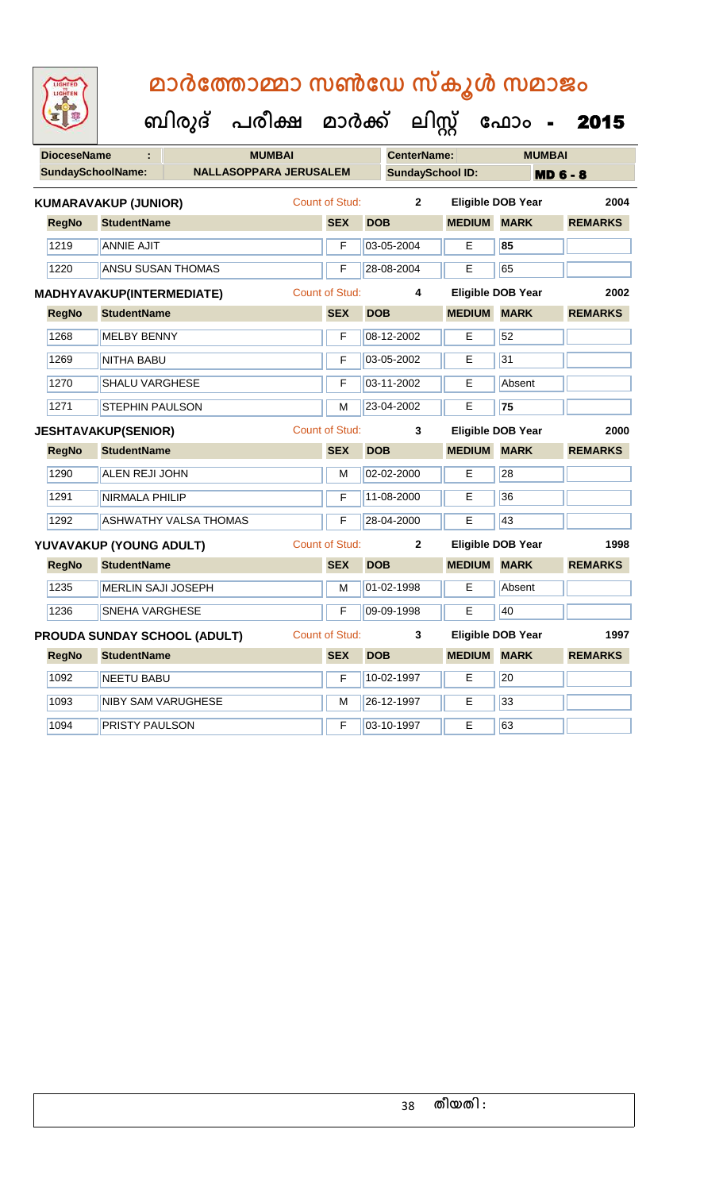| <b>IGHTED</b> |
|---------------|
|               |
|               |
|               |

 **ബിരുദ് പരീക്ഷ മാര്ക് ക ലിസ്റ്റ ക ഫ ാോം** - 2015

| <b>DioceseName</b> | ÷                                |                                     | <b>MUMBAI</b> |                       |            | <b>CenterName:</b>      |                    | <b>MUMBAI</b>            |                 |
|--------------------|----------------------------------|-------------------------------------|---------------|-----------------------|------------|-------------------------|--------------------|--------------------------|-----------------|
|                    | <b>SundaySchoolName:</b>         | <b>NALLASOPPARA JERUSALEM</b>       |               |                       |            | <b>SundaySchool ID:</b> |                    |                          | <b>MD 6 - 8</b> |
|                    | <b>KUMARAVAKUP (JUNIOR)</b>      |                                     |               | Count of Stud:        |            | $\mathbf{2}$            |                    | <b>Eligible DOB Year</b> | 2004            |
| <b>RegNo</b>       | <b>StudentName</b>               |                                     |               | <b>SEX</b>            | <b>DOB</b> |                         | <b>MEDIUM</b>      | <b>MARK</b>              | <b>REMARKS</b>  |
| 1219               | <b>ANNIE AJIT</b>                |                                     |               | F                     | 03-05-2004 |                         | E.                 | 85                       |                 |
| 1220               | <b>ANSU SUSAN THOMAS</b>         |                                     |               | F                     | 28-08-2004 |                         | Е                  | 65                       |                 |
|                    | <b>MADHYAVAKUP(INTERMEDIATE)</b> |                                     |               | <b>Count of Stud:</b> |            | 4                       |                    | Eligible DOB Year        | 2002            |
| <b>RegNo</b>       | <b>StudentName</b>               |                                     |               | <b>SEX</b>            | <b>DOB</b> |                         | <b>MEDIUM</b>      | <b>MARK</b>              | <b>REMARKS</b>  |
| 1268               | <b>MELBY BENNY</b>               |                                     |               | F                     | 08-12-2002 |                         | E                  | 52                       |                 |
| 1269               | <b>NITHA BABU</b>                |                                     |               | F                     | 03-05-2002 |                         | E                  | 31                       |                 |
| 1270               | <b>SHALU VARGHESE</b>            |                                     |               | F                     | 03-11-2002 |                         | E                  | Absent                   |                 |
| 1271               | <b>STEPHIN PAULSON</b>           |                                     |               | м                     | 23-04-2002 |                         | Е                  | $\overline{75}$          |                 |
|                    | <b>JESHTAVAKUP(SENIOR)</b>       |                                     |               | Count of Stud:        |            | 3                       |                    | <b>Eligible DOB Year</b> | 2000            |
| <b>RegNo</b>       | <b>StudentName</b>               |                                     |               | <b>SEX</b>            | <b>DOB</b> |                         | <b>MEDIUM</b>      | <b>MARK</b>              | <b>REMARKS</b>  |
| 1290               | <b>ALEN REJI JOHN</b>            |                                     |               | M                     | 02-02-2000 |                         | E                  | $\overline{28}$          |                 |
| 1291               | <b>NIRMALA PHILIP</b>            |                                     |               | F                     | 11-08-2000 |                         | Е                  | 36                       |                 |
| 1292               |                                  | <b>ASHWATHY VALSA THOMAS</b>        |               | F                     | 28-04-2000 |                         | E                  | 43                       |                 |
|                    | YUVAVAKUP (YOUNG ADULT)          |                                     |               | <b>Count of Stud:</b> |            | $\mathbf{2}$            |                    | <b>Eligible DOB Year</b> | 1998            |
| <b>RegNo</b>       | <b>StudentName</b>               |                                     |               | <b>SEX</b>            | <b>DOB</b> |                         | <b>MEDIUM MARK</b> |                          | <b>REMARKS</b>  |
| 1235               | MERLIN SAJI JOSEPH               |                                     |               | M                     | 01-02-1998 |                         | E                  | Absent                   |                 |
| 1236               | <b>SNEHA VARGHESE</b>            |                                     |               | F                     | 09-09-1998 |                         | E                  | 40                       |                 |
|                    |                                  | <b>PROUDA SUNDAY SCHOOL (ADULT)</b> |               | <b>Count of Stud:</b> |            | 3                       |                    | <b>Eligible DOB Year</b> | 1997            |
| <b>RegNo</b>       | <b>StudentName</b>               |                                     |               | <b>SEX</b>            | <b>DOB</b> |                         | <b>MEDIUM MARK</b> |                          | <b>REMARKS</b>  |
| 1092               | <b>NEETU BABU</b>                |                                     |               | F                     | 10-02-1997 |                         | E                  | $\overline{20}$          |                 |
| 1093               |                                  | <b>NIBY SAM VARUGHESE</b>           |               | M                     | 26-12-1997 |                         | E                  | 33                       |                 |

1094 **PRISTY PAULSON** F 03-10-1997 **E** 63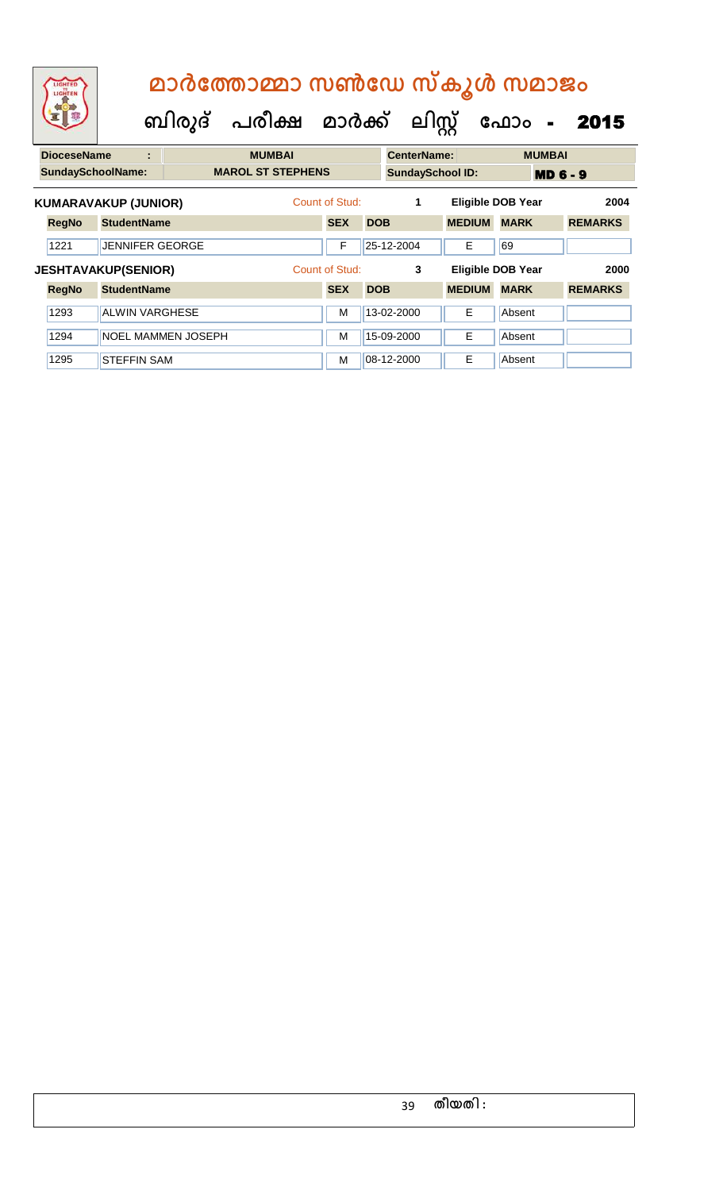| LIGHTED<br>LIGHTEN          |                       | ബിരുദ്                    | മാർത്തോമ്മാ സൺഡേ സ്കൂൾ സമാജം<br>പരീക്ഷ മാർക്ക് |                |            | ലിസ്റ്റ്                |               | ഫോം<br>$\blacksquare$    | 2015           |
|-----------------------------|-----------------------|---------------------------|------------------------------------------------|----------------|------------|-------------------------|---------------|--------------------------|----------------|
| <b>DioceseName</b>          | ٠                     |                           | <b>MUMBAI</b>                                  |                |            | <b>CenterName:</b>      |               | <b>MUMBAI</b>            |                |
| <b>SundaySchoolName:</b>    |                       |                           | <b>MAROL ST STEPHENS</b>                       |                |            | <b>SundaySchool ID:</b> |               | <b>MD 6 - 9</b>          |                |
| <b>KUMARAVAKUP (JUNIOR)</b> |                       |                           |                                                | Count of Stud: |            | 1                       |               | <b>Eligible DOB Year</b> | 2004           |
| <b>RegNo</b>                | <b>StudentName</b>    |                           |                                                | <b>SEX</b>     | <b>DOB</b> |                         | <b>MEDIUM</b> | <b>MARK</b>              | <b>REMARKS</b> |
| 1221                        |                       | <b>JENNIFER GEORGE</b>    |                                                | F              |            | 25-12-2004              | Е             | 69                       |                |
| <b>JESHTAVAKUP(SENIOR)</b>  |                       |                           |                                                | Count of Stud: |            | 3                       |               | Eligible DOB Year        | 2000           |
| <b>RegNo</b>                | <b>StudentName</b>    |                           |                                                | <b>SEX</b>     | <b>DOB</b> |                         | <b>MEDIUM</b> | <b>MARK</b>              | <b>REMARKS</b> |
| 1293                        | <b>ALWIN VARGHESE</b> |                           |                                                | M              |            | 13-02-2000              | Е             | Absent                   |                |
| 1294                        |                       | <b>NOEL MAMMEN JOSEPH</b> |                                                | М              |            | 15-09-2000              | E             | Absent                   |                |
| 1295                        | <b>STEFFIN SAM</b>    |                           |                                                | м              |            | 08-12-2000              | E             | Absent                   |                |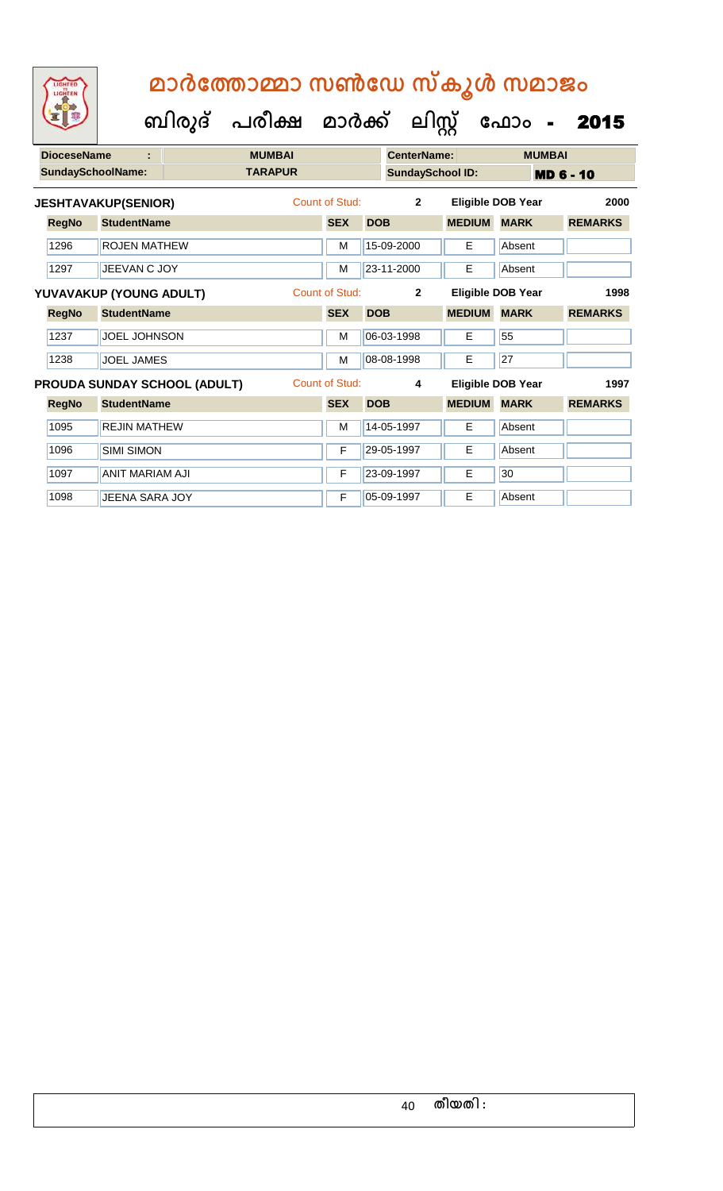| <b>DioceseName</b>       | t                          |                                     | <b>MUMBAI</b>  |                       |                | <b>CenterName:</b>      |               | <b>MUMBAI</b>     |                  |
|--------------------------|----------------------------|-------------------------------------|----------------|-----------------------|----------------|-------------------------|---------------|-------------------|------------------|
| <b>SundaySchoolName:</b> |                            |                                     | <b>TARAPUR</b> |                       |                | <b>SundaySchool ID:</b> |               |                   | <b>MD 6 - 10</b> |
|                          | <b>JESHTAVAKUP(SENIOR)</b> |                                     |                | Count of Stud:        | $\overline{2}$ |                         |               | Eligible DOB Year | 2000             |
| <b>RegNo</b>             | <b>StudentName</b>         |                                     |                | <b>SEX</b>            | <b>DOB</b>     |                         | <b>MEDIUM</b> | <b>MARK</b>       | <b>REMARKS</b>   |
| 1296                     | <b>ROJEN MATHEW</b>        |                                     |                | M                     |                | 15-09-2000              | E.            | Absent            |                  |
| 1297                     | JEEVAN C JOY               |                                     |                | М                     |                | 23-11-2000              | Е             | Absent            |                  |
|                          | YUVAVAKUP (YOUNG ADULT)    |                                     |                | <b>Count of Stud:</b> |                | $\overline{2}$          |               | Eligible DOB Year | 1998             |
| <b>RegNo</b>             | <b>StudentName</b>         |                                     |                | <b>SEX</b>            | <b>DOB</b>     |                         | <b>MEDIUM</b> | <b>MARK</b>       | <b>REMARKS</b>   |
| 1237                     | <b>JOEL JOHNSON</b>        |                                     |                | м                     |                | 06-03-1998              | E.            | 55                |                  |
| 1238                     | <b>JOEL JAMES</b>          |                                     |                | M                     |                | 08-08-1998              | E             | 27                |                  |
|                          |                            | <b>PROUDA SUNDAY SCHOOL (ADULT)</b> |                | Count of Stud:        |                | 4                       |               | Eligible DOB Year | 1997             |
| <b>RegNo</b>             | <b>StudentName</b>         |                                     |                | <b>SEX</b>            | <b>DOB</b>     |                         | <b>MEDIUM</b> | <b>MARK</b>       | <b>REMARKS</b>   |
| 1095                     | <b>REJIN MATHEW</b>        |                                     |                | M                     |                | 14-05-1997              | Е             | Absent            |                  |
| 1096                     | <b>SIMI SIMON</b>          |                                     |                | F                     |                | 29-05-1997              | Е             | Absent            |                  |
| 1097                     | <b>ANIT MARIAM AJI</b>     |                                     |                | F                     |                | 23-09-1997              | E             | 30                |                  |
| 1098                     | JEENA SARA JOY             |                                     |                | F                     |                | 05-09-1997              | E             | Absent            |                  |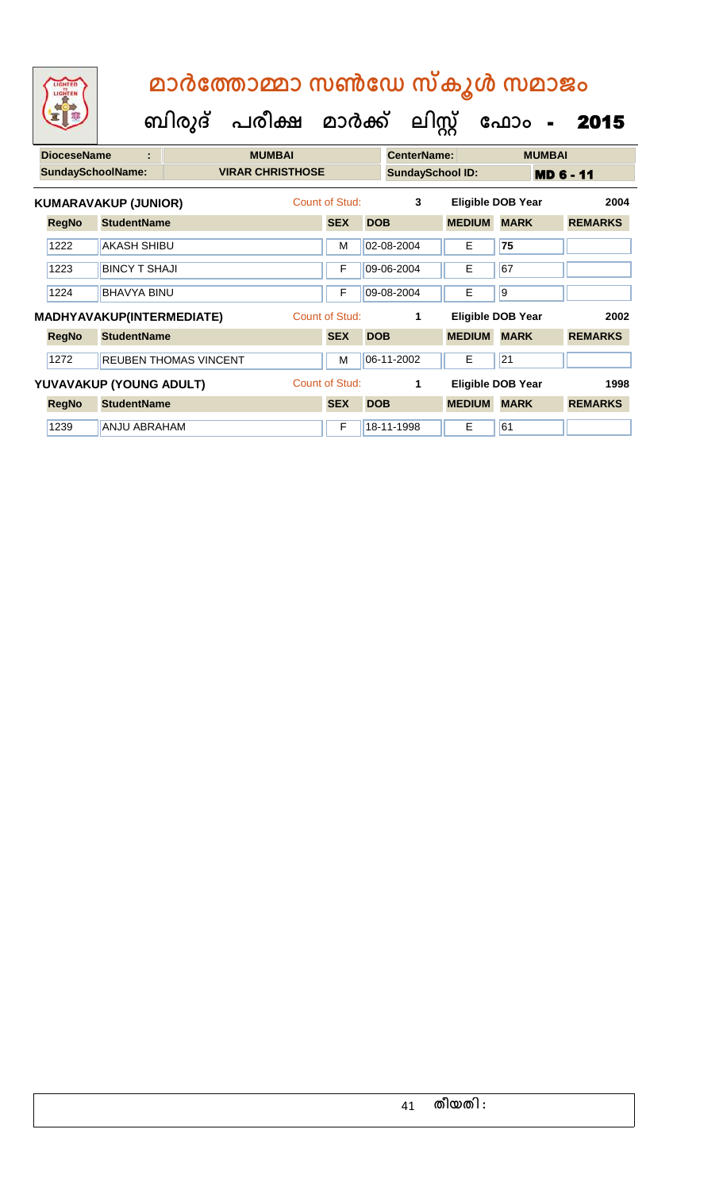| <b>DioceseName</b><br>t |                          |                                  |                              | <b>MUMBAI</b> |                |            | <b>CenterName:</b> |                         | <b>MUMBAI</b>            |                  |  |  |
|-------------------------|--------------------------|----------------------------------|------------------------------|---------------|----------------|------------|--------------------|-------------------------|--------------------------|------------------|--|--|
|                         | <b>SundaySchoolName:</b> |                                  | <b>VIRAR CHRISTHOSE</b>      |               |                |            |                    | <b>SundaySchool ID:</b> |                          | <b>MD 6 - 11</b> |  |  |
|                         |                          | <b>KUMARAVAKUP (JUNIOR)</b>      |                              |               | Count of Stud: |            | 3                  |                         | <b>Eligible DOB Year</b> | 2004             |  |  |
|                         | <b>RegNo</b>             | <b>StudentName</b>               |                              |               | <b>SEX</b>     | <b>DOB</b> |                    | <b>MEDIUM</b>           | <b>MARK</b>              | <b>REMARKS</b>   |  |  |
|                         | 1222                     | AKASH SHIBU                      |                              |               | M              | 02-08-2004 |                    | Е                       | 75                       |                  |  |  |
|                         | 1223                     | <b>BINCY T SHAJI</b>             |                              |               | F              | 09-06-2004 |                    | Е                       | 67                       |                  |  |  |
|                         | 1224                     | <b>BHAVYA BINU</b>               |                              |               | F              | 09-08-2004 |                    | Е                       | $\overline{9}$           |                  |  |  |
|                         |                          | <b>MADHYAVAKUP(INTERMEDIATE)</b> |                              |               | Count of Stud: |            | 1                  |                         | <b>Eligible DOB Year</b> | 2002             |  |  |
|                         | <b>RegNo</b>             | <b>StudentName</b>               |                              |               | <b>SEX</b>     | <b>DOB</b> |                    | <b>MEDIUM</b>           | <b>MARK</b>              | <b>REMARKS</b>   |  |  |
|                         | 1272                     |                                  | <b>REUBEN THOMAS VINCENT</b> |               | M              | 06-11-2002 |                    | E.                      | 21                       |                  |  |  |
| YUVAVAKUP (YOUNG ADULT) |                          |                                  |                              |               | Count of Stud: |            | 1                  |                         | <b>Eligible DOB Year</b> | 1998             |  |  |
|                         | <b>RegNo</b>             | <b>StudentName</b>               |                              |               | <b>SEX</b>     | <b>DOB</b> |                    | <b>MEDIUM</b>           | <b>MARK</b>              | <b>REMARKS</b>   |  |  |
|                         | 1239                     | <b>ANJU ABRAHAM</b>              |                              |               | F              | 18-11-1998 |                    | Е                       | 61                       |                  |  |  |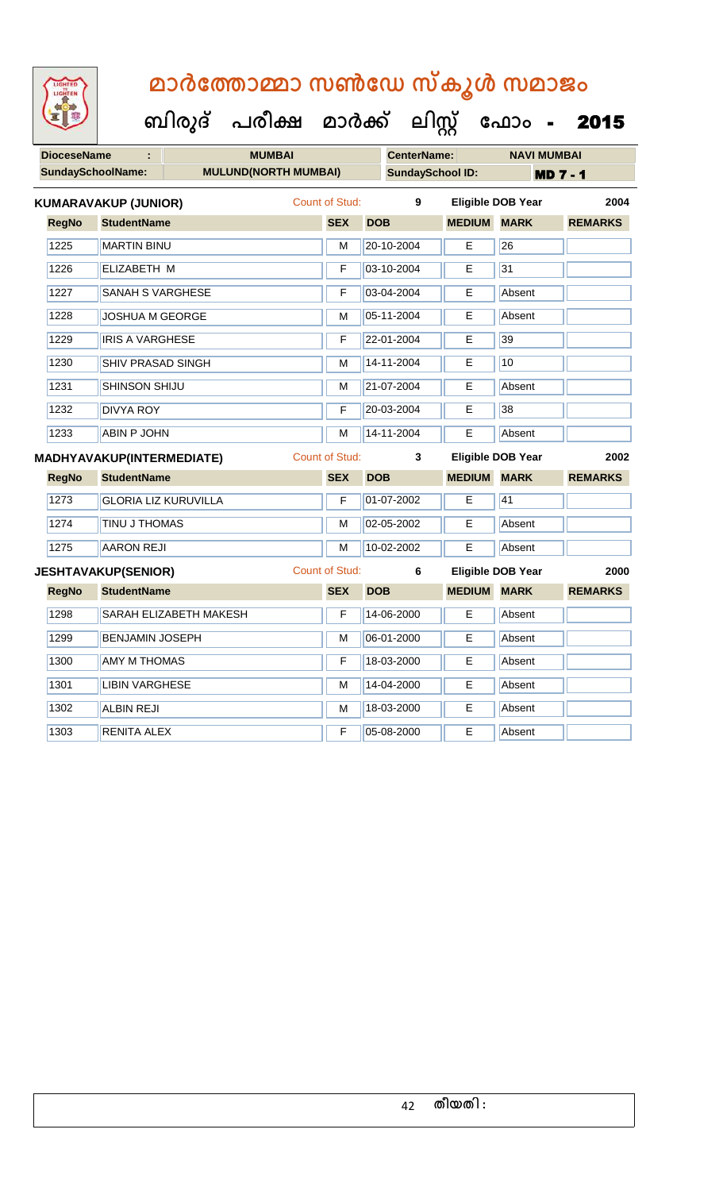| <b>IGHTED</b> |
|---------------|
|               |
|               |
|               |

| <b>DioceseName</b><br>ċ.         |              |                             | <b>MUMBAI</b>               |  |                       |            | <b>CenterName:</b>      | <b>NAVI MUMBAI</b>       |             |                 |                |      |
|----------------------------------|--------------|-----------------------------|-----------------------------|--|-----------------------|------------|-------------------------|--------------------------|-------------|-----------------|----------------|------|
|                                  |              | <b>SundaySchoolName:</b>    | <b>MULUND(NORTH MUMBAI)</b> |  |                       |            | <b>SundaySchool ID:</b> |                          |             | <b>MD 7 - 1</b> |                |      |
|                                  |              | <b>KUMARAVAKUP (JUNIOR)</b> |                             |  | <b>Count of Stud:</b> |            | $\overline{9}$          | <b>Eligible DOB Year</b> |             |                 |                | 2004 |
|                                  | <b>RegNo</b> | <b>StudentName</b>          |                             |  | <b>SEX</b>            | <b>DOB</b> |                         | <b>MEDIUM MARK</b>       |             |                 | <b>REMARKS</b> |      |
|                                  | 1225         | <b>MARTIN BINU</b>          |                             |  | M                     |            | 20-10-2004              | E                        | 26          |                 |                |      |
|                                  | 1226         | ELIZABETH M                 |                             |  | F                     |            | 03-10-2004              | Ε                        | 31          |                 |                |      |
|                                  | 1227         | <b>SANAH S VARGHESE</b>     |                             |  | F                     |            | 03-04-2004              | E                        | Absent      |                 |                |      |
|                                  | 1228         | <b>JOSHUA M GEORGE</b>      |                             |  | M                     |            | 05-11-2004              | Е                        | Absent      |                 |                |      |
|                                  | 1229         | <b>IRIS A VARGHESE</b>      |                             |  | F                     |            | 22-01-2004              | E                        | 39          |                 |                |      |
|                                  | 1230         | <b>SHIV PRASAD SINGH</b>    |                             |  | M                     |            | 14-11-2004              | Е                        | 10          |                 |                |      |
|                                  | 1231         | <b>SHINSON SHIJU</b>        |                             |  | M                     |            | 21-07-2004              | E                        | Absent      |                 |                |      |
|                                  | 1232         | <b>DIVYA ROY</b>            |                             |  | F                     |            | 20-03-2004              | E                        | 38          |                 |                |      |
|                                  | 1233         | <b>ABIN P JOHN</b>          |                             |  | м                     |            | 14-11-2004              | Е                        | Absent      |                 |                |      |
| <b>MADHYAVAKUP(INTERMEDIATE)</b> |              |                             |                             |  |                       |            |                         |                          |             |                 |                |      |
|                                  |              |                             |                             |  | <b>Count of Stud:</b> |            | 3                       | <b>Eligible DOB Year</b> |             |                 |                | 2002 |
|                                  | <b>RegNo</b> | <b>StudentName</b>          |                             |  | <b>SEX</b>            | <b>DOB</b> |                         | <b>MEDIUM</b>            | <b>MARK</b> |                 | <b>REMARKS</b> |      |
|                                  | 1273         |                             | <b>GLORIA LIZ KURUVILLA</b> |  | F                     |            | 01-07-2002              | E                        | 41          |                 |                |      |
|                                  | 1274         | TINU J THOMAS               |                             |  | M                     |            | 02-05-2002              | E.                       | Absent      |                 |                |      |
|                                  | 1275         | <b>AARON REJI</b>           |                             |  | М                     |            | 10-02-2002              | Е                        | Absent      |                 |                |      |
|                                  |              | <b>JESHTAVAKUP(SENIOR)</b>  |                             |  | <b>Count of Stud:</b> |            | 6                       | Eligible DOB Year        |             |                 |                | 2000 |
|                                  | <b>RegNo</b> | <b>StudentName</b>          |                             |  | <b>SEX</b>            | <b>DOB</b> |                         | <b>MEDIUM</b>            | <b>MARK</b> |                 | <b>REMARKS</b> |      |
|                                  | 1298         |                             | SARAH ELIZABETH MAKESH      |  | F                     |            | 14-06-2000              | E                        | Absent      |                 |                |      |
|                                  | 1299         | <b>BENJAMIN JOSEPH</b>      |                             |  | М                     |            | 06-01-2000              | E                        | Absent      |                 |                |      |
|                                  | 1300         | <b>AMY M THOMAS</b>         |                             |  | F                     |            | 18-03-2000              | Е                        | Absent      |                 |                |      |
|                                  | 1301         | <b>LIBIN VARGHESE</b>       |                             |  | M                     |            | 14-04-2000              | Е                        | Absent      |                 |                |      |
|                                  | 1302         | <b>ALBIN REJI</b>           |                             |  | M                     |            | 18-03-2000              | Е                        | Absent      |                 |                |      |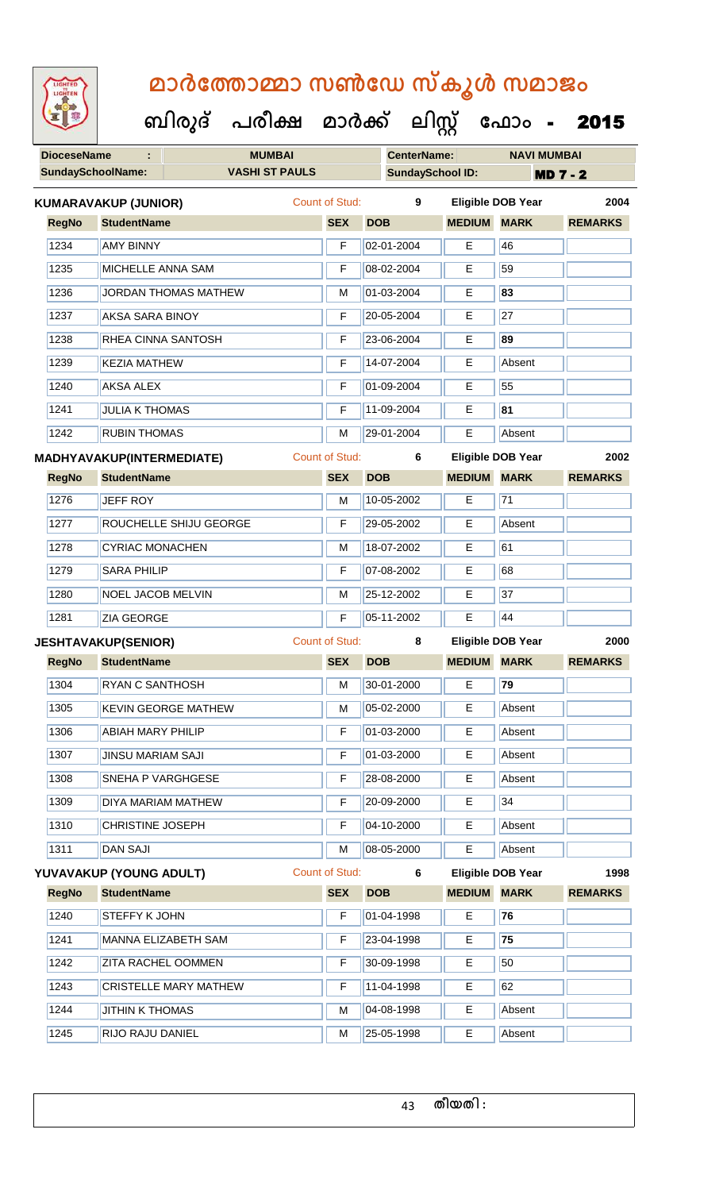| <b>IGHTED</b> |
|---------------|
|               |
|               |
|               |
|               |

 **ബിരുദ് പരീക്ഷ മാര്ക് ക ലിസ്റ്റ ക ഫ ാോം** - 2015

| <b>DioceseName</b><br><b>MUMBAI</b><br>÷ |              |                             |                              | <b>CenterName:</b>    |            | <b>NAVI MUMBAI</b>      |                          |                          |                 |
|------------------------------------------|--------------|-----------------------------|------------------------------|-----------------------|------------|-------------------------|--------------------------|--------------------------|-----------------|
|                                          |              | <b>SundaySchoolName:</b>    | <b>VASHI ST PAULS</b>        |                       |            | <b>SundaySchool ID:</b> |                          |                          | <b>MD 7 - 2</b> |
|                                          |              | <b>KUMARAVAKUP (JUNIOR)</b> |                              | <b>Count of Stud:</b> |            | 9                       |                          | <b>Eligible DOB Year</b> | 2004            |
|                                          | <b>RegNo</b> | <b>StudentName</b>          |                              | <b>SEX</b>            | <b>DOB</b> |                         | <b>MEDIUM MARK</b>       |                          | <b>REMARKS</b>  |
|                                          | 1234         | <b>AMY BINNY</b>            |                              | F                     |            | 02-01-2004              | E                        | 46                       |                 |
|                                          | 1235         | <b>MICHELLE ANNA SAM</b>    |                              | F                     |            | 08-02-2004              | E                        | 59                       |                 |
|                                          | 1236         |                             | <b>JORDAN THOMAS MATHEW</b>  | M                     |            | 01-03-2004              | Е                        | 83                       |                 |
|                                          | 1237         | <b>AKSA SARA BINOY</b>      |                              | F                     |            | 20-05-2004              | Е                        | 27                       |                 |
|                                          | 1238         |                             | RHEA CINNA SANTOSH           | F                     |            | 23-06-2004              | E                        | 89                       |                 |
|                                          | 1239         | <b>KEZIA MATHEW</b>         |                              | F                     |            | 14-07-2004              | Е                        | Absent                   |                 |
|                                          | 1240         | <b>AKSA ALEX</b>            |                              | F                     |            | 01-09-2004              | E                        | 55                       |                 |
|                                          | 1241         | <b>JULIA K THOMAS</b>       |                              | F                     |            | 11-09-2004              | E                        | 81                       |                 |
|                                          | 1242         | <b>RUBIN THOMAS</b>         |                              | M                     |            | 29-01-2004              | E                        | Absent                   |                 |
|                                          |              | MADHYAVAKUP(INTERMEDIATE)   |                              | Count of Stud:        |            | 6                       |                          | <b>Eligible DOB Year</b> | 2002            |
|                                          | <b>RegNo</b> | <b>StudentName</b>          |                              | <b>SEX</b>            | <b>DOB</b> |                         | <b>MEDIUM MARK</b>       |                          | <b>REMARKS</b>  |
|                                          | 1276         | <b>JEFF ROY</b>             |                              | M                     |            | 10-05-2002              | Е                        | 71                       |                 |
|                                          | 1277         |                             | ROUCHELLE SHIJU GEORGE       | F                     |            | 29-05-2002              | Е                        | Absent                   |                 |
|                                          | 1278         | <b>CYRIAC MONACHEN</b>      |                              | M                     |            | 18-07-2002              | Е                        | 61                       |                 |
|                                          | 1279         | <b>SARA PHILIP</b>          |                              | F                     |            | 07-08-2002              | E                        | 68                       |                 |
|                                          | 1280         | <b>NOEL JACOB MELVIN</b>    |                              | M                     |            | 25-12-2002              | E                        | 37                       |                 |
|                                          | 1281         | <b>ZIA GEORGE</b>           |                              | F                     |            | 05-11-2002              | E                        | 44                       |                 |
|                                          |              | <b>JESHTAVAKUP(SENIOR)</b>  |                              | <b>Count of Stud:</b> | 8          |                         | <b>Eligible DOB Year</b> |                          | 2000            |
|                                          | <b>RegNo</b> | <b>StudentName</b>          |                              | <b>SEX</b>            | <b>DOB</b> |                         | <b>MEDIUM MARK</b>       |                          | <b>REMARKS</b>  |
|                                          | 1304         | <b>RYAN C SANTHOSH</b>      |                              | M                     |            | 30-01-2000              | E                        | 79                       |                 |
|                                          | 1305         |                             | <b>KEVIN GEORGE MATHEW</b>   | М                     |            | 05-02-2000              | Е                        | Absent                   |                 |
|                                          | 1306         | <b>ABIAH MARY PHILIP</b>    |                              | F                     |            | 01-03-2000              | E                        | Absent                   |                 |
|                                          | 1307         | <b>JINSU MARIAM SAJI</b>    |                              | F                     |            | 01-03-2000              | Е                        | Absent                   |                 |
|                                          | 1308         | SNEHA P VARGHGESE           |                              | F                     |            | 28-08-2000              | Е                        | Absent                   |                 |
|                                          | 1309         |                             | DIYA MARIAM MATHEW           | F                     |            | 20-09-2000              | Е                        | 34                       |                 |
|                                          | 1310         | <b>CHRISTINE JOSEPH</b>     |                              | F                     |            | 04-10-2000              | Е                        | Absent                   |                 |
|                                          | 1311         | <b>DAN SAJI</b>             |                              | M                     |            | 08-05-2000              | E                        | Absent                   |                 |
|                                          |              | YUVAVAKUP (YOUNG ADULT)     |                              | Count of Stud:        |            | 6                       |                          | <b>Eligible DOB Year</b> | 1998            |
|                                          | <b>RegNo</b> | <b>StudentName</b>          |                              | <b>SEX</b>            | <b>DOB</b> |                         | <b>MEDIUM</b>            | <b>MARK</b>              | <b>REMARKS</b>  |
|                                          | 1240         | STEFFY K JOHN               |                              | F                     |            | 01-04-1998              | Е                        | 76                       |                 |
|                                          | 1241         |                             | MANNA ELIZABETH SAM          | F                     |            | 23-04-1998              | E                        | 75                       |                 |
|                                          | 1242         |                             | <b>ZITA RACHEL OOMMEN</b>    | F                     |            | 30-09-1998              | E                        | 50                       |                 |
|                                          | 1243         |                             | <b>CRISTELLE MARY MATHEW</b> | F                     |            | 11-04-1998              | Е                        | 62                       |                 |
|                                          | 1244         | <b>JITHIN K THOMAS</b>      |                              | М                     |            | 04-08-1998              | Е                        | Absent                   |                 |
|                                          | 1245         | RIJO RAJU DANIEL            |                              | М                     |            | 25-05-1998              | E                        | Absent                   |                 |

**തീയതി :**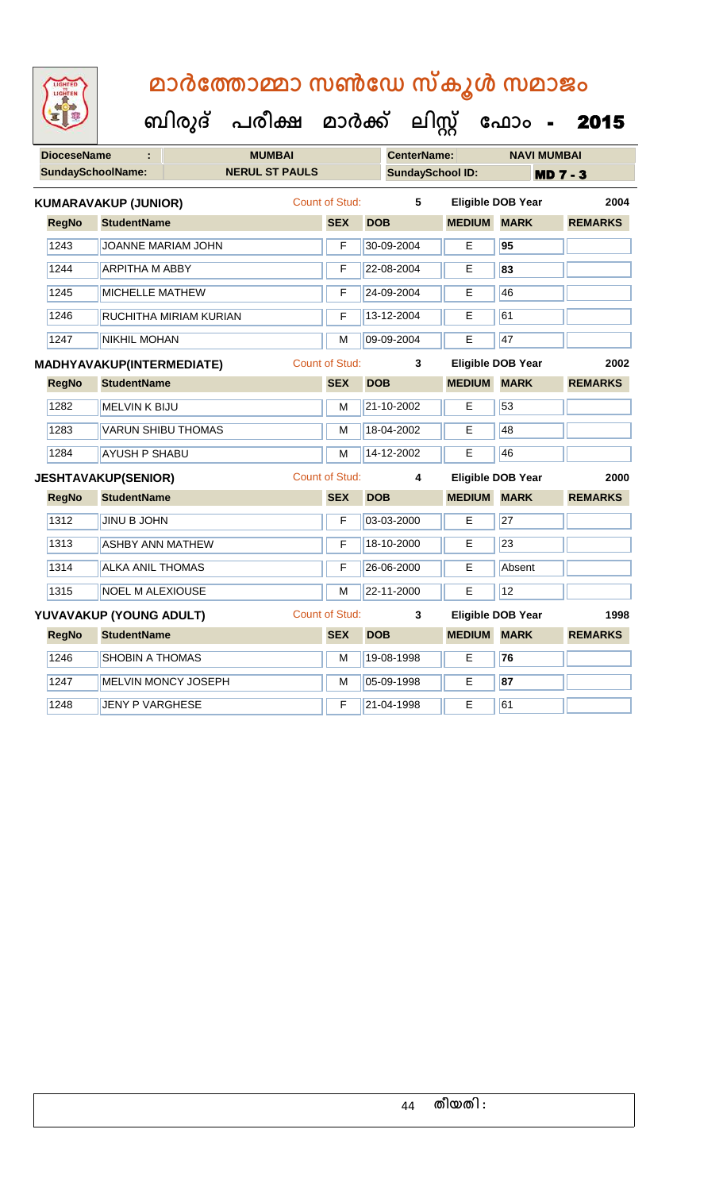| <b>IGHTED</b><br>GHTE |
|-----------------------|
|                       |
|                       |
|                       |

| <b>DioceseName</b> |                             |                        | <b>MUMBAI</b>         |                       |            | <b>CenterName:</b>      |                          |             | <b>NAVI MUMBAI</b> |                |      |
|--------------------|-----------------------------|------------------------|-----------------------|-----------------------|------------|-------------------------|--------------------------|-------------|--------------------|----------------|------|
|                    | <b>SundaySchoolName:</b>    |                        | <b>NERUL ST PAULS</b> |                       |            | <b>SundaySchool ID:</b> |                          |             | <b>MD 7 - 3</b>    |                |      |
|                    | <b>KUMARAVAKUP (JUNIOR)</b> |                        |                       | <b>Count of Stud:</b> |            | 5                       | <b>Eligible DOB Year</b> |             |                    |                | 2004 |
| <b>RegNo</b>       | <b>StudentName</b>          |                        |                       | <b>SEX</b>            | <b>DOB</b> |                         | <b>MEDIUM MARK</b>       |             |                    | <b>REMARKS</b> |      |
| 1243               | JOANNE MARIAM JOHN          |                        |                       | F                     |            | 30-09-2004              | E                        | 95          |                    |                |      |
| 1244               | <b>ARPITHA M ABBY</b>       |                        |                       | F                     |            | 22-08-2004              | E                        | 83          |                    |                |      |
| 1245               | <b>MICHELLE MATHEW</b>      |                        |                       | F                     |            | 24-09-2004              | Е                        | 46          |                    |                |      |
| 1246               |                             | RUCHITHA MIRIAM KURIAN |                       | F                     |            | 13-12-2004              | Е                        | 61          |                    |                |      |
| 1247               | <b>NIKHIL MOHAN</b>         |                        |                       | M                     |            | 09-09-2004              | E                        | 47          |                    |                |      |
|                    | MADHYAVAKUP(INTERMEDIATE)   |                        |                       | <b>Count of Stud:</b> |            | 3                       | <b>Eligible DOB Year</b> |             |                    |                | 2002 |
| <b>RegNo</b>       | <b>StudentName</b>          |                        |                       | <b>SEX</b>            | <b>DOB</b> |                         | <b>MEDIUM</b>            | <b>MARK</b> |                    | <b>REMARKS</b> |      |
| 1282               | <b>MELVIN K BIJU</b>        |                        |                       | M                     |            | $21 - 10 - 2002$        | Е                        | 53          |                    |                |      |
| 1283               | <b>VARUN SHIBU THOMAS</b>   |                        |                       | M                     |            | 18-04-2002              | E                        | 48          |                    |                |      |
| 1284               | <b>AYUSH P SHABU</b>        |                        |                       | M                     |            | 14-12-2002              | E                        | 46          |                    |                |      |
|                    | <b>JESHTAVAKUP(SENIOR)</b>  |                        |                       | <b>Count of Stud:</b> |            | 4                       | <b>Eligible DOB Year</b> |             |                    |                | 2000 |
| <b>RegNo</b>       | <b>StudentName</b>          |                        |                       | <b>SEX</b>            | <b>DOB</b> |                         | <b>MEDIUM</b>            | <b>MARK</b> |                    | <b>REMARKS</b> |      |
| 1312               | JINU B JOHN                 |                        |                       | F                     |            | 03-03-2000              | E                        | 27          |                    |                |      |
| 1313               | <b>ASHBY ANN MATHEW</b>     |                        |                       | F                     |            | 18-10-2000              | E                        | 23          |                    |                |      |
| 1314               | <b>ALKA ANIL THOMAS</b>     |                        |                       | F                     |            | 26-06-2000              | E                        | Absent      |                    |                |      |
| 1315               | <b>NOEL M ALEXIOUSE</b>     |                        |                       | M                     |            | 22-11-2000              | E                        | 12          |                    |                |      |
|                    | YUVAVAKUP (YOUNG ADULT)     |                        |                       | Count of Stud:        |            | 3                       | <b>Eligible DOB Year</b> |             |                    |                | 1998 |
| <b>RegNo</b>       | <b>StudentName</b>          |                        |                       | <b>SEX</b>            | <b>DOB</b> |                         | <b>MEDIUM MARK</b>       |             |                    | <b>REMARKS</b> |      |
| 1246               | SHOBIN A THOMAS             |                        |                       | M                     |            | 19-08-1998              | E                        | 76          |                    |                |      |
| 1247               |                             | MELVIN MONCY JOSEPH    |                       | M                     |            | 05-09-1998              | E                        | 87          |                    |                |      |
| 1248               | <b>JENY P VARGHESE</b>      |                        |                       | F                     |            | 21-04-1998              | E                        | 61          |                    |                |      |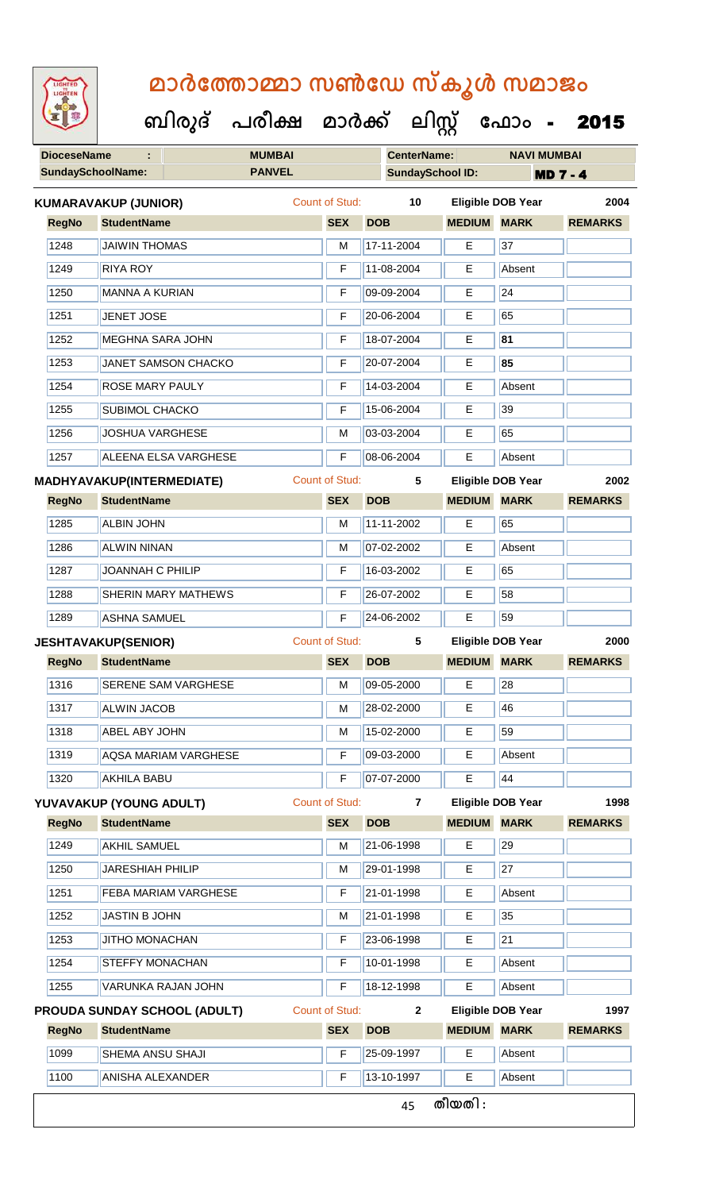|  | <b>IGHTED</b> |  |
|--|---------------|--|
|  |               |  |
|  |               |  |
|  |               |  |
|  |               |  |

|              | <b>DioceseName</b>                                                   | <b>MUMBAI</b> |                       | <b>CenterName:</b>    |                    | <b>NAVI MUMBAI</b>       |                      |
|--------------|----------------------------------------------------------------------|---------------|-----------------------|-----------------------|--------------------|--------------------------|----------------------|
|              | <b>PANVEL</b><br><b>SundaySchoolName:</b><br><b>SundaySchool ID:</b> |               |                       | <b>MD 7 - 4</b>       |                    |                          |                      |
|              | <b>KUMARAVAKUP (JUNIOR)</b>                                          |               | <b>Count of Stud:</b> | 10                    |                    | <b>Eligible DOB Year</b> | 2004                 |
| <b>RegNo</b> | <b>StudentName</b>                                                   |               | <b>SEX</b>            | <b>DOB</b>            | <b>MEDIUM MARK</b> |                          | <b>REMARKS</b>       |
| 1248         | <b>JAIWIN THOMAS</b>                                                 |               | M                     | 17-11-2004            | Е                  | 37                       |                      |
| 1249         | <b>RIYA ROY</b>                                                      |               | F                     | 11-08-2004            | Е                  | Absent                   |                      |
| 1250         | <b>MANNA A KURIAN</b>                                                |               | F                     | 09-09-2004            | E                  | $\overline{24}$          |                      |
| 1251         | <b>JENET JOSE</b>                                                    |               | F                     | 20-06-2004            | E                  | 65                       |                      |
| 1252         | <b>MEGHNA SARA JOHN</b>                                              |               | F                     | 18-07-2004            | Е                  | 81                       |                      |
| 1253         | JANET SAMSON CHACKO                                                  |               | F                     | 20-07-2004            | E                  | 85                       |                      |
| 1254         | <b>ROSE MARY PAULY</b>                                               |               | F                     | 14-03-2004            | Е                  | Absent                   |                      |
| 1255         | <b>SUBIMOL CHACKO</b>                                                |               | F                     | 15-06-2004            | Е                  | 39                       |                      |
| 1256         | <b>JOSHUA VARGHESE</b>                                               |               | M                     | 03-03-2004            | E                  | 65                       |                      |
| 1257         | <b>ALEENA ELSA VARGHESE</b>                                          |               | F                     | 08-06-2004            | Е                  | Absent                   |                      |
|              | MADHYAVAKUP(INTERMEDIATE)                                            |               | <b>Count of Stud:</b> | 5                     |                    | <b>Eligible DOB Year</b> | 2002                 |
| <b>RegNo</b> | <b>StudentName</b>                                                   |               | <b>SEX</b>            | <b>DOB</b>            | <b>MEDIUM MARK</b> |                          | <b>REMARKS</b>       |
| 1285         | <b>ALBIN JOHN</b>                                                    |               | M                     | 11-11-2002            | Е                  | 65                       |                      |
| 1286         | <b>ALWIN NINAN</b>                                                   |               | M                     | 07-02-2002            | E                  | Absent                   |                      |
| 1287         | JOANNAH C PHILIP                                                     |               | F                     | 16-03-2002            | Е                  | 65                       |                      |
|              |                                                                      |               |                       | 26-07-2002            | Е                  | 58                       |                      |
| 1288         | SHERIN MARY MATHEWS                                                  |               | F                     |                       |                    |                          |                      |
| 1289         | <b>ASHNA SAMUEL</b>                                                  |               | F                     | 24-06-2002            | E                  | 59                       |                      |
|              | <b>JESHTAVAKUP(SENIOR)</b>                                           |               | <b>Count of Stud:</b> | 5                     |                    | Eligible DOB Year        |                      |
| <b>RegNo</b> | <b>StudentName</b>                                                   |               | <b>SEX</b>            | <b>DOB</b>            | <b>MEDIUM MARK</b> |                          | <b>REMARKS</b>       |
| 1316         | <b>SERENE SAM VARGHESE</b>                                           |               |                       | $\sqrt{M}$ 09-05-2000 | E                  | $\sqrt{28}$              |                      |
| 1317         | <b>ALWIN JACOB</b>                                                   |               | M                     | 28-02-2000            | Е                  | 46                       |                      |
| 1318         | <b>ABEL ABY JOHN</b>                                                 |               | M                     | 15-02-2000            | Е                  | 59                       |                      |
| 1319         | <b>AQSA MARIAM VARGHESE</b>                                          |               | F                     | 09-03-2000            | E                  | Absent                   |                      |
| 1320         | <b>AKHILA BABU</b>                                                   |               | F                     | 07-07-2000            | E                  | 44                       |                      |
|              | YUVAVAKUP (YOUNG ADULT)                                              |               | <b>Count of Stud:</b> | $\overline{7}$        |                    | <b>Eligible DOB Year</b> |                      |
| <b>RegNo</b> | <b>StudentName</b>                                                   |               | <b>SEX</b>            | <b>DOB</b>            | <b>MEDIUM MARK</b> |                          | <b>REMARKS</b>       |
| 1249         | <b>AKHIL SAMUEL</b>                                                  |               | M                     | 21-06-1998            | Е                  | 29                       |                      |
| 1250         | <b>JARESHIAH PHILIP</b>                                              |               | M                     | 29-01-1998            | Е                  | $\overline{27}$          |                      |
| 1251         | <b>FEBA MARIAM VARGHESE</b>                                          |               | F                     | 21-01-1998            | E                  | Absent                   |                      |
| 1252         | <b>JASTIN B JOHN</b>                                                 |               | M                     | 21-01-1998            | E                  | 35                       |                      |
| 1253         | JITHO MONACHAN                                                       |               | F                     | 23-06-1998            | Е                  | $\overline{21}$          |                      |
| 1254         | <b>STEFFY MONACHAN</b>                                               |               | F                     | 10-01-1998            | Е                  | Absent                   |                      |
| 1255         | VARUNKA RAJAN JOHN                                                   |               | F                     | 18-12-1998            | E                  | Absent                   |                      |
|              | <b>PROUDA SUNDAY SCHOOL (ADULT)</b>                                  |               | Count of Stud:        | $\mathbf{2}$          |                    | <b>Eligible DOB Year</b> |                      |
| <b>RegNo</b> | <b>StudentName</b>                                                   |               | <b>SEX</b>            | <b>DOB</b>            | <b>MEDIUM</b>      | <b>MARK</b>              | <b>REMARKS</b>       |
| 1099         | SHEMA ANSU SHAJI                                                     |               | F                     | 25-09-1997            | Е                  | Absent                   | 2000<br>1998<br>1997 |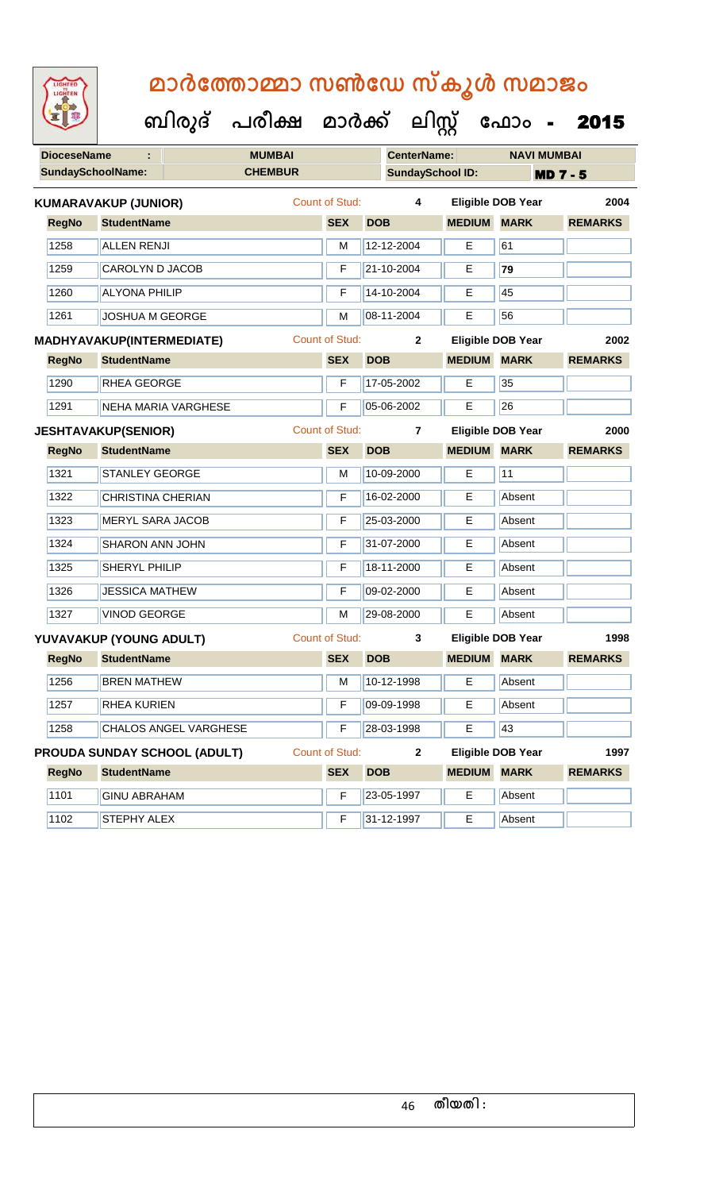| <b>IGHTED</b> |
|---------------|
|               |
|               |
|               |

| <b>DioceseName</b> |                                  |                                     | <b>MUMBAI</b>  |                       |            | <b>CenterName:</b>      |                    | <b>NAVI MUMBAI</b>       |                 |
|--------------------|----------------------------------|-------------------------------------|----------------|-----------------------|------------|-------------------------|--------------------|--------------------------|-----------------|
|                    | <b>SundaySchoolName:</b>         |                                     | <b>CHEMBUR</b> |                       |            | <b>SundaySchool ID:</b> |                    |                          | <b>MD 7 - 5</b> |
|                    | <b>KUMARAVAKUP (JUNIOR)</b>      |                                     |                | <b>Count of Stud:</b> |            | 4                       |                    | <b>Eligible DOB Year</b> | 2004            |
| <b>RegNo</b>       | <b>StudentName</b>               |                                     |                | <b>SEX</b>            | <b>DOB</b> |                         | <b>MEDIUM</b>      | <b>MARK</b>              | <b>REMARKS</b>  |
| 1258               | <b>ALLEN RENJI</b>               |                                     |                | M                     |            | 12-12-2004              | E                  | 61                       |                 |
| 1259               | CAROLYN D JACOB                  |                                     |                | F                     |            | 21-10-2004              | Е                  | 79                       |                 |
| 1260               | <b>ALYONA PHILIP</b>             |                                     |                | F                     |            | 14-10-2004              | E                  | 45                       |                 |
| 1261               | <b>JOSHUA M GEORGE</b>           |                                     |                | M                     |            | 08-11-2004              | Е                  | 56                       |                 |
|                    | <b>MADHYAVAKUP(INTERMEDIATE)</b> |                                     |                | <b>Count of Stud:</b> |            | $\mathbf{2}$            |                    | <b>Eligible DOB Year</b> | 2002            |
| <b>RegNo</b>       | <b>StudentName</b>               |                                     |                | <b>SEX</b>            | <b>DOB</b> |                         | <b>MEDIUM MARK</b> |                          | <b>REMARKS</b>  |
| 1290               | RHEA GEORGE                      |                                     |                | F                     |            | 17-05-2002              | Е                  | 35                       |                 |
| 1291               |                                  | <b>NEHA MARIA VARGHESE</b>          |                | F                     |            | 05-06-2002              | E                  | 26                       |                 |
|                    | <b>JESHTAVAKUP(SENIOR)</b>       |                                     |                | <b>Count of Stud:</b> |            | $\overline{7}$          |                    | <b>Eligible DOB Year</b> | 2000            |
| <b>RegNo</b>       | <b>StudentName</b>               |                                     |                | <b>SEX</b>            | <b>DOB</b> |                         | <b>MEDIUM</b>      | <b>MARK</b>              | <b>REMARKS</b>  |
| 1321               | STANLEY GEORGE                   |                                     |                | M                     |            | 10-09-2000              | Е                  | 11                       |                 |
| 1322               | <b>CHRISTINA CHERIAN</b>         |                                     |                | F                     |            | 16-02-2000              | Е                  | Absent                   |                 |
| 1323               | <b>MERYL SARA JACOB</b>          |                                     |                | F                     |            | 25-03-2000              | Е                  | Absent                   |                 |
| 1324               | <b>SHARON ANN JOHN</b>           |                                     |                | F                     |            | 31-07-2000              | Е                  | Absent                   |                 |
| 1325               | SHERYL PHILIP                    |                                     |                | F                     |            | 18-11-2000              | Е                  | Absent                   |                 |
| 1326               | <b>JESSICA MATHEW</b>            |                                     |                | F                     |            | 09-02-2000              | Е                  | Absent                   |                 |
| 1327               | <b>VINOD GEORGE</b>              |                                     |                | M                     |            | 29-08-2000              | E                  | Absent                   |                 |
|                    | YUVAVAKUP (YOUNG ADULT)          |                                     |                | <b>Count of Stud:</b> |            | 3                       |                    | <b>Eligible DOB Year</b> | 1998            |
| <b>RegNo</b>       | <b>StudentName</b>               |                                     |                | <b>SEX</b>            | <b>DOB</b> |                         | <b>MEDIUM MARK</b> |                          | <b>REMARKS</b>  |
| 1256               | <b>BREN MATHEW</b>               |                                     |                | M                     |            | 10-12-1998              | E                  | Absent                   |                 |
| 1257               | RHEA KURIEN                      |                                     |                | F                     |            | 09-09-1998              | Е                  | Absent                   |                 |
| 1258               |                                  | CHALOS ANGEL VARGHESE               |                | F                     |            | 28-03-1998              | E                  | 43                       |                 |
|                    |                                  | <b>PROUDA SUNDAY SCHOOL (ADULT)</b> |                | <b>Count of Stud:</b> |            | $\mathbf{2}$            |                    | <b>Eligible DOB Year</b> | 1997            |
| <b>RegNo</b>       | <b>StudentName</b>               |                                     |                | <b>SEX</b>            | <b>DOB</b> |                         | <b>MEDIUM MARK</b> |                          | <b>REMARKS</b>  |
| 1101               | <b>GINU ABRAHAM</b>              |                                     |                | F                     |            | 23-05-1997              | Е                  | Absent                   |                 |
| 1102               | STEPHY ALEX                      |                                     |                | F                     |            | 31-12-1997              | Е                  | Absent                   |                 |
|                    |                                  |                                     |                |                       |            |                         |                    |                          |                 |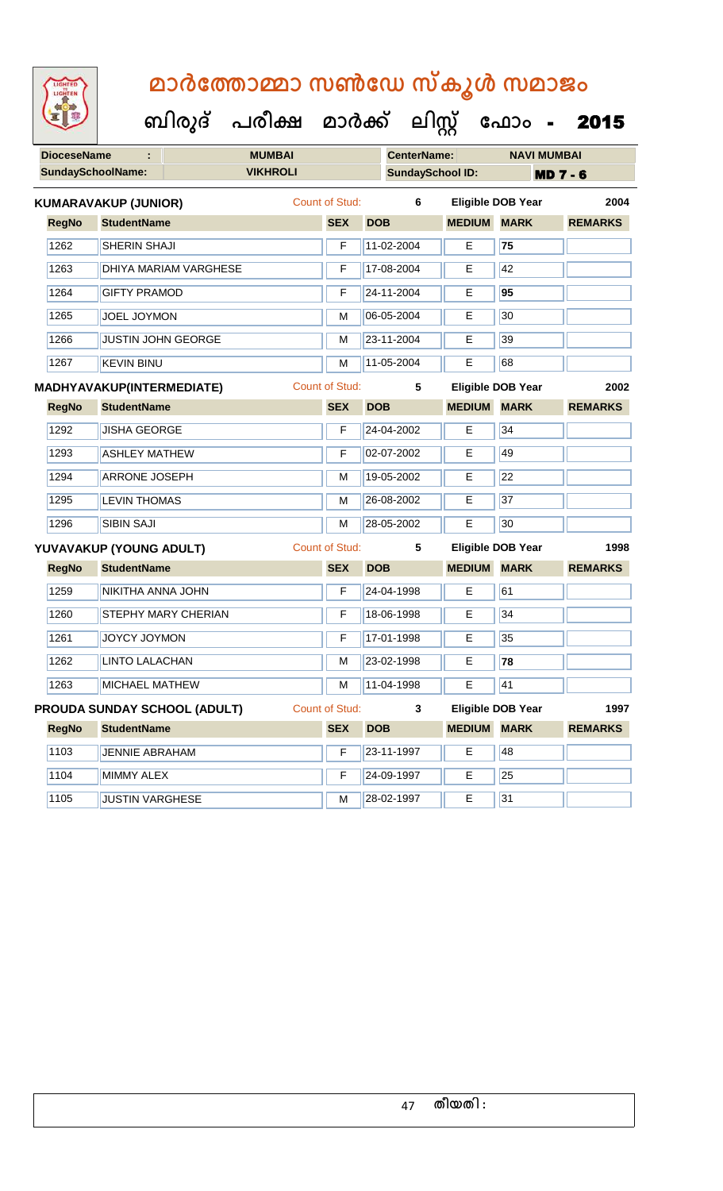| LIGHTED<br>LIGHTEN |                                     |                              | മാർത്തോമ്മാ സൺഡേ സ്കൂൾ സമാജം         |                       |            |                    |                         |                          |                 |
|--------------------|-------------------------------------|------------------------------|--------------------------------------|-----------------------|------------|--------------------|-------------------------|--------------------------|-----------------|
|                    |                                     |                              | ബിരുദ് പരീക്ഷ മാർക്ക് ലിസ്റ്റ് ഫോം - |                       |            |                    |                         |                          | 2015            |
| <b>DioceseName</b> |                                     |                              | <b>MUMBAI</b>                        |                       |            | <b>CenterName:</b> |                         | <b>NAVI MUMBAI</b>       |                 |
|                    | <b>SundaySchoolName:</b>            |                              | <b>VIKHROLI</b>                      |                       |            |                    | <b>SundaySchool ID:</b> |                          | <b>MD 7 - 6</b> |
|                    | <b>KUMARAVAKUP (JUNIOR)</b>         |                              |                                      | <b>Count of Stud:</b> |            | 6                  |                         | <b>Eligible DOB Year</b> | 2004            |
| <b>RegNo</b>       | <b>StudentName</b>                  |                              |                                      | <b>SEX</b>            | <b>DOB</b> |                    | <b>MEDIUM</b>           | <b>MARK</b>              | <b>REMARKS</b>  |
| 1262               | SHERIN SHAJI                        |                              |                                      | F                     | 11-02-2004 |                    | E                       | 75                       |                 |
| 1263               |                                     | <b>DHIYA MARIAM VARGHESE</b> |                                      | F                     | 17-08-2004 |                    | Е                       | 42                       |                 |
| 1264               | <b>GIFTY PRAMOD</b>                 |                              | F                                    | 24-11-2004            |            | Е                  | 95                      |                          |                 |
| 1265               | <b>JOEL JOYMON</b>                  |                              |                                      | М                     | 06-05-2004 |                    | Е                       | 30                       |                 |
| 1266               |                                     | <b>JUSTIN JOHN GEORGE</b>    |                                      | М                     | 23-11-2004 |                    | Е                       | 39                       |                 |
| 1267               | <b>KEVIN BINU</b>                   |                              |                                      | M                     | 11-05-2004 |                    | Е                       | 68                       |                 |
|                    | <b>MADHYAVAKUP(INTERMEDIATE)</b>    |                              |                                      | <b>Count of Stud:</b> |            | 5                  |                         | <b>Eligible DOB Year</b> | 2002            |
| <b>RegNo</b>       | <b>StudentName</b>                  |                              |                                      | <b>SEX</b>            | <b>DOB</b> |                    | <b>MEDIUM</b>           | <b>MARK</b>              | <b>REMARKS</b>  |
| 1292               | <b>JISHA GEORGE</b>                 |                              |                                      | F                     | 24-04-2002 |                    | E                       | 34                       |                 |
| 1293               | <b>ASHLEY MATHEW</b>                |                              |                                      | F                     | 02-07-2002 |                    | Е                       | 49                       |                 |
| 1294               | <b>ARRONE JOSEPH</b>                |                              |                                      | м                     | 19-05-2002 |                    | Е                       | 22                       |                 |
| 1295               | <b>LEVIN THOMAS</b>                 |                              |                                      | М                     | 26-08-2002 |                    | Е                       | 37                       |                 |
| 1296               | <b>SIBIN SAJI</b>                   |                              |                                      | M                     | 28-05-2002 |                    | Е                       | 30                       |                 |
|                    | YUVAVAKUP (YOUNG ADULT)             |                              |                                      | <b>Count of Stud:</b> |            | 5                  |                         | <b>Eligible DOB Year</b> | 1998            |
| <b>RegNo</b>       | <b>StudentName</b>                  |                              |                                      | <b>SEX</b>            | <b>DOB</b> |                    | <b>MEDIUM</b>           | <b>MARK</b>              | <b>REMARKS</b>  |
| 1259               | NIKITHA ANNA JOHN                   |                              |                                      | F                     | 24-04-1998 |                    | Е                       | 61                       |                 |
| 1260               |                                     | STEPHY MARY CHERIAN          |                                      | F                     | 18-06-1998 |                    | E                       | 34                       |                 |
| 1261               | JOYCY JOYMON                        |                              |                                      | F                     | 17-01-1998 |                    | Е                       | 35                       |                 |
| 1262               | <b>LINTO LALACHAN</b>               |                              |                                      | М                     | 23-02-1998 |                    | Е                       | 78                       |                 |
| 1263               | <b>MICHAEL MATHEW</b>               |                              |                                      | M                     | 11-04-1998 |                    | E.                      | 41                       |                 |
|                    | <b>PROUDA SUNDAY SCHOOL (ADULT)</b> |                              |                                      | Count of Stud:        |            | 3                  |                         | <b>Eligible DOB Year</b> | 1997            |
| <b>RegNo</b>       | <b>StudentName</b>                  |                              |                                      | <b>SEX</b>            | <b>DOB</b> |                    | <b>MEDIUM</b>           | <b>MARK</b>              | <b>REMARKS</b>  |
| 1103               | <b>JENNIE ABRAHAM</b>               |                              |                                      | F                     | 23-11-1997 |                    | E                       | 48                       |                 |
| 1104               | <b>MIMMY ALEX</b>                   |                              |                                      | F                     | 24-09-1997 |                    | E.                      | 25                       |                 |
| 1105               | <b>JUSTIN VARGHESE</b>              |                              |                                      | M                     | 28-02-1997 |                    | E.                      | 31                       |                 |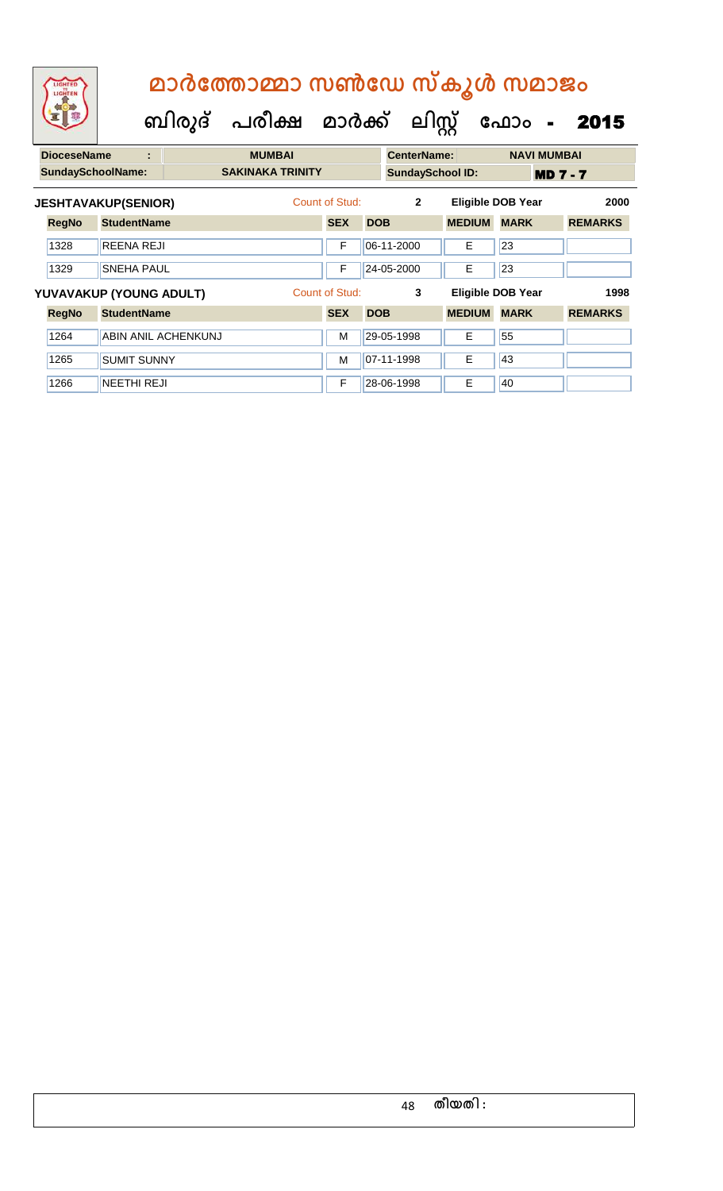| മാർത്തോമ്മാ സൺഡേ സ്കൂൾ സമാജം |  |                                                  |  |  |  |  |  |  |  |
|------------------------------|--|--------------------------------------------------|--|--|--|--|--|--|--|
|                              |  | ബിരുദ് പരീക്ഷ മാർക്ക് ലിസ്റ്റ് ഫോം <b>- 2015</b> |  |  |  |  |  |  |  |

| <b>DioceseName</b>       | ÷                          | <b>MUMBAI</b>           |                |            | <b>CenterName:</b>      |               | <b>NAVI MUMBAI</b>       |                 |      |
|--------------------------|----------------------------|-------------------------|----------------|------------|-------------------------|---------------|--------------------------|-----------------|------|
| <b>SundaySchoolName:</b> |                            | <b>SAKINAKA TRINITY</b> |                |            | <b>SundaySchool ID:</b> |               |                          | <b>MD 7 - 7</b> |      |
|                          | <b>JESHTAVAKUP(SENIOR)</b> |                         | Count of Stud: |            | $\overline{2}$          |               | <b>Eligible DOB Year</b> |                 | 2000 |
| <b>RegNo</b>             | <b>StudentName</b>         |                         | <b>SEX</b>     | <b>DOB</b> |                         | <b>MEDIUM</b> | <b>MARK</b>              | <b>REMARKS</b>  |      |
| 1328                     | REENA REJI                 |                         | F              |            | 06-11-2000              | Е             | 23                       |                 |      |
| 1329                     | <b>SNEHA PAUL</b>          |                         | F              |            | 24-05-2000              | E             | 23                       |                 |      |
|                          | YUVAVAKUP (YOUNG ADULT)    |                         | Count of Stud: |            | 3                       |               | <b>Eligible DOB Year</b> |                 | 1998 |
| <b>RegNo</b>             | <b>StudentName</b>         |                         | <b>SEX</b>     | <b>DOB</b> |                         | <b>MEDIUM</b> | <b>MARK</b>              | <b>REMARKS</b>  |      |
| 1264                     | ABIN ANIL ACHENKUNJ        |                         | M              |            | 29-05-1998              | E             | 55                       |                 |      |
| 1265                     | <b>SUMIT SUNNY</b>         |                         | M              |            | 07-11-1998              | E             | 43                       |                 |      |
| 1266                     | <b>NEETHI REJI</b>         |                         | F              |            | 28-06-1998              | E             | 40                       |                 |      |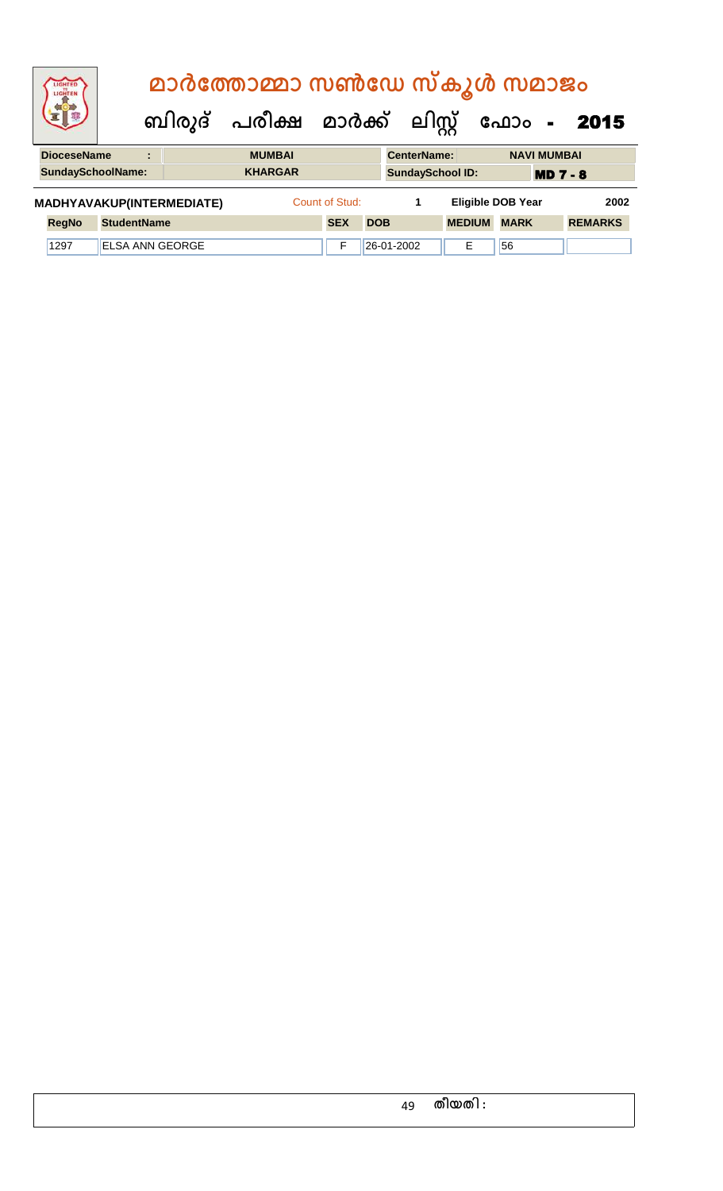|  | LIGHTED<br>LIGHTEN       |                    |                                |                           | മാർത്തോമ്മാ സൺഡേ സ്കൂൾ സമാജം |  |                |            |                         |                          |             |                    |                |
|--|--------------------------|--------------------|--------------------------------|---------------------------|------------------------------|--|----------------|------------|-------------------------|--------------------------|-------------|--------------------|----------------|
|  |                          |                    | ബിരുദ് പരീക്ഷ മാർക്ക് ലിസ്റ്റ് |                           |                              |  |                |            |                         |                          | ഫോം -       |                    | 2015           |
|  | <b>DioceseName</b>       |                    | ÷                              |                           | <b>MUMBAI</b>                |  |                |            | <b>CenterName:</b>      |                          |             | <b>NAVI MUMBAI</b> |                |
|  | <b>SundaySchoolName:</b> |                    |                                |                           | <b>KHARGAR</b>               |  |                |            | <b>SundaySchool ID:</b> |                          |             | <b>MD 7 - 8</b>    |                |
|  |                          |                    |                                | MADHYAVAKUP(INTERMEDIATE) |                              |  | Count of Stud: |            | 1                       | <b>Eligible DOB Year</b> |             |                    | 2002           |
|  | <b>RegNo</b>             | <b>StudentName</b> |                                |                           |                              |  | <b>SEX</b>     | <b>DOB</b> |                         | <b>MEDIUM</b>            | <b>MARK</b> |                    | <b>REMARKS</b> |
|  | 1297                     |                    |                                | <b>ELSA ANN GEORGE</b>    |                              |  | F              |            | 26-01-2002              | Е                        | 56          |                    |                |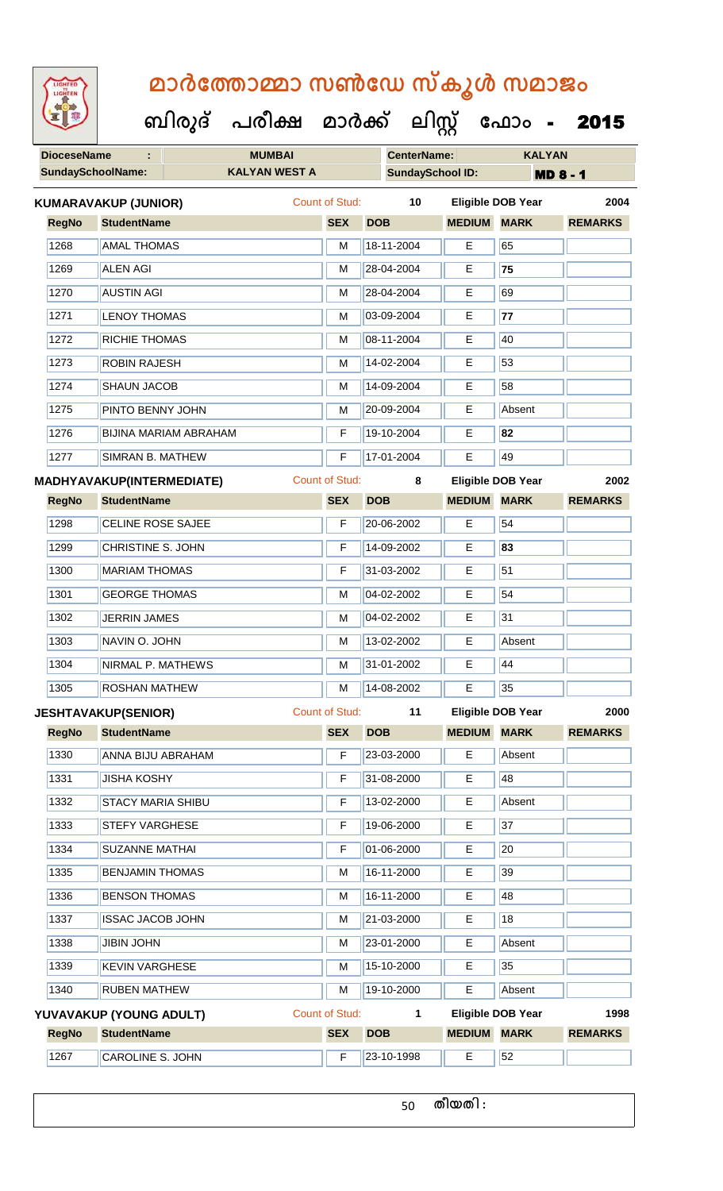| <b>IGHTED</b> |
|---------------|
|               |
|               |
|               |
|               |

 **ബിരുദ് പരീക്ഷ മാര്ക് ക ലിസ്റ്റ ക ഫ ാോം** - 2015

**DioceseName : MUMBAI CenterName: KALYAN**

|              | <b>SundaySchoolName:</b><br><b>KALYAN WEST A</b> |  | <b>SundaySchool ID:</b> |            | <b>MD 8 - 1</b>    |                          |                |
|--------------|--------------------------------------------------|--|-------------------------|------------|--------------------|--------------------------|----------------|
|              | <b>KUMARAVAKUP (JUNIOR)</b>                      |  | <b>Count of Stud:</b>   | 10         |                    | <b>Eligible DOB Year</b> | 2004           |
| <b>RegNo</b> | <b>StudentName</b>                               |  | <b>SEX</b>              | <b>DOB</b> | <b>MEDIUM</b>      | <b>MARK</b>              | <b>REMARKS</b> |
| 1268         | <b>AMAL THOMAS</b>                               |  | M                       | 18-11-2004 | Е                  | 65                       |                |
| 1269         | <b>ALEN AGI</b>                                  |  | M                       | 28-04-2004 | Е                  | 75                       |                |
| 1270         | <b>AUSTIN AGI</b>                                |  | М                       | 28-04-2004 | Е                  | 69                       |                |
| 1271         | <b>LENOY THOMAS</b>                              |  | M                       | 03-09-2004 | E                  | 77                       |                |
| 1272         | <b>RICHIE THOMAS</b>                             |  | м                       | 08-11-2004 | Е                  | 40                       |                |
| 1273         | <b>ROBIN RAJESH</b>                              |  | м                       | 14-02-2004 | Е                  | 53                       |                |
| 1274         | <b>SHAUN JACOB</b>                               |  | M                       | 14-09-2004 | E                  | 58                       |                |
| 1275         | PINTO BENNY JOHN                                 |  | М                       | 20-09-2004 | Е                  | Absent                   |                |
| 1276         | <b>BIJINA MARIAM ABRAHAM</b>                     |  | F                       | 19-10-2004 | Е                  | 82                       |                |
| 1277         | <b>SIMRAN B. MATHEW</b>                          |  | F                       | 17-01-2004 | E                  | 49                       |                |
|              | <b>MADHYAVAKUP(INTERMEDIATE)</b>                 |  | <b>Count of Stud:</b>   | 8          |                    | <b>Eligible DOB Year</b> | 2002           |
| <b>RegNo</b> | <b>StudentName</b>                               |  | <b>SEX</b>              | <b>DOB</b> | <b>MEDIUM</b>      | <b>MARK</b>              | <b>REMARKS</b> |
| 1298         | <b>CELINE ROSE SAJEE</b>                         |  | F                       | 20-06-2002 | E                  | 54                       |                |
| 1299         | <b>CHRISTINE S. JOHN</b>                         |  | F                       | 14-09-2002 | Е                  | 83                       |                |
| 1300         | <b>MARIAM THOMAS</b>                             |  | F                       | 31-03-2002 | E                  | $\overline{51}$          |                |
| 1301         | <b>GEORGE THOMAS</b>                             |  | М                       | 04-02-2002 | Е                  | 54                       |                |
| 1302         | <b>JERRIN JAMES</b>                              |  | М                       | 04-02-2002 | Е                  | $\overline{31}$          |                |
| 1303         | NAVIN O. JOHN                                    |  | M                       | 13-02-2002 | E                  | Absent                   |                |
| 1304         | NIRMAL P. MATHEWS                                |  | м                       | 31-01-2002 | E                  | 44                       |                |
| 1305         | <b>Example 3</b> ROSHAN MATHEW                   |  | м                       | 14-08-2002 | E                  | 35                       |                |
|              | <b>JESHTAVAKUP(SENIOR)</b>                       |  | Count of Stud:          | 11         |                    | <b>Eligible DOB Year</b> | 2000           |
| <b>RegNo</b> | <b>StudentName</b>                               |  | <b>SEX</b>              | <b>DOB</b> | <b>MEDIUM MARK</b> |                          | <b>REMARKS</b> |
| 1330         | ANNA BIJU ABRAHAM                                |  | F                       | 23-03-2000 | E                  | Absent                   |                |
| 1331         | <b>JISHA KOSHY</b>                               |  | F                       | 31-08-2000 | E.                 | 48                       |                |
| 1332         | <b>STACY MARIA SHIBU</b>                         |  | F                       | 13-02-2000 | Е                  | Absent                   |                |
| 1333         | <b>STEFY VARGHESE</b>                            |  | F                       | 19-06-2000 | E                  | 37                       |                |
| 1334         | <b>SUZANNE MATHAI</b>                            |  | F                       | 01-06-2000 | Е                  | 20                       |                |
| 1335         | <b>BENJAMIN THOMAS</b>                           |  | М                       | 16-11-2000 | Е                  | 39                       |                |
| 1336         | <b>BENSON THOMAS</b>                             |  | М                       | 16-11-2000 | Е                  | 48                       |                |
| 1337         | <b>ISSAC JACOB JOHN</b>                          |  | M                       | 21-03-2000 | E                  | 18                       |                |
| 1338         | <b>JIBIN JOHN</b>                                |  | М                       | 23-01-2000 | Е                  | Absent                   |                |
| 1339         | <b>KEVIN VARGHESE</b>                            |  | М                       | 15-10-2000 | Е                  | 35                       |                |
| 1340         | <b>RUBEN MATHEW</b>                              |  | M                       | 19-10-2000 | Е                  | Absent                   |                |

**RegNo StudentName SEX DOB MEDIUM MARK REMARKS YUVAVAKUP (YOUNG ADULT)** Count of Stud: **1 Eligible DOB Year 1998** 1267 CAROLINE S. JOHN F 23-10-1998 E 52

**തീയതി :**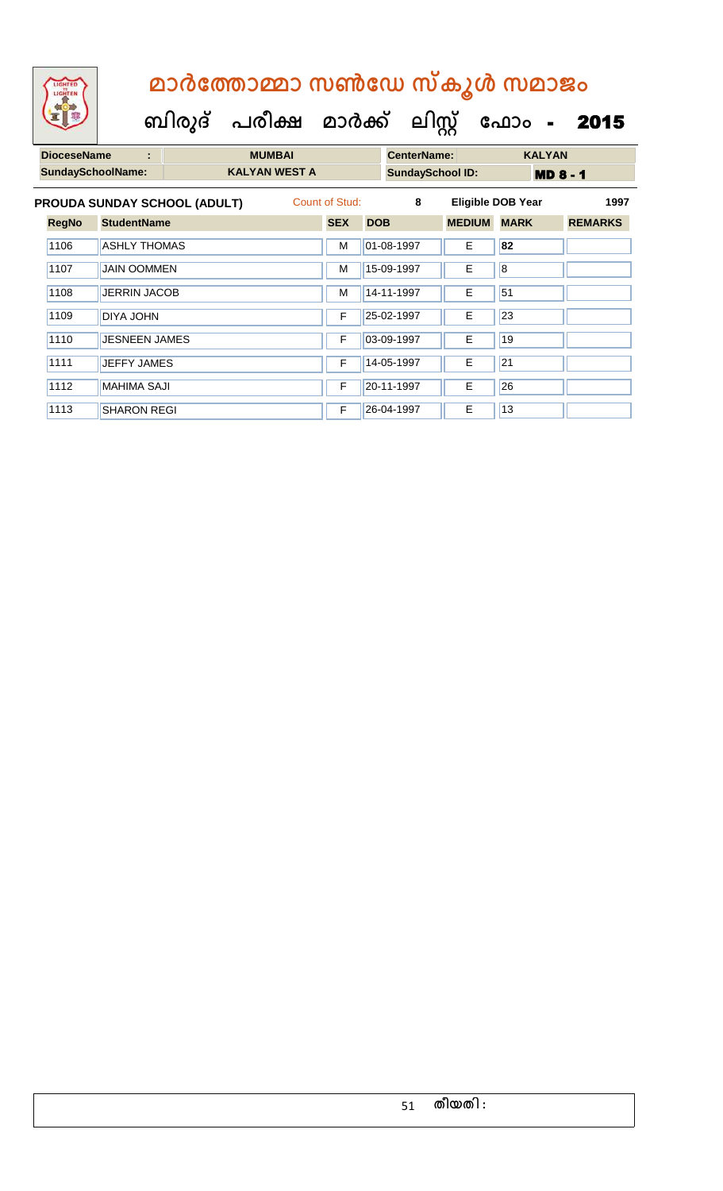| <b>IGHTED</b><br>LIGHTEN |                     |   |                              | മാർത്തോമ്മാ സൺഡേ സ്കൂൾ സമാജം   |                |            |            |                    |                          |             |                 |                |
|--------------------------|---------------------|---|------------------------------|--------------------------------|----------------|------------|------------|--------------------|--------------------------|-------------|-----------------|----------------|
|                          |                     |   |                              | ബിരുദ് പരീക്ഷ മാർക്ക് ലിസ്റ്റ് |                |            |            |                    |                          | ഫോം -       |                 | 2015           |
| <b>DioceseName</b>       |                     | ÷ |                              | <b>MUMBAI</b>                  |                |            |            | <b>CenterName:</b> |                          |             | <b>KALYAN</b>   |                |
| <b>SundaySchoolName:</b> |                     |   |                              | <b>KALYAN WEST A</b>           |                |            |            |                    | <b>SundaySchool ID:</b>  |             | <b>MD 8 - 1</b> |                |
|                          |                     |   | PROUDA SUNDAY SCHOOL (ADULT) |                                | Count of Stud: |            |            | 8                  | <b>Eligible DOB Year</b> |             |                 | 1997           |
| <b>RegNo</b>             | <b>StudentName</b>  |   |                              |                                | <b>SEX</b>     | <b>DOB</b> |            |                    | <b>MEDIUM</b>            | <b>MARK</b> |                 | <b>REMARKS</b> |
| 1106                     | <b>ASHLY THOMAS</b> |   |                              |                                | M              |            | 01-08-1997 |                    | F                        | 82          |                 |                |

1107 JAIN OOMMEN M 15-09-1997 E 8 1108 JERRIN JACOB M 14-11-1997 E 51

1109 DIYA JOHN F 25-02-1997 E 23

1110 JESNEEN JAMES F 03-09-1997 E 19

1111 JEFFY JAMES **F 14-05-1997** E 21 1112 | MAHIMA SAJI **F 20-11-1997** E 26 1113 SHARON REGI F 26-04-1997 E 13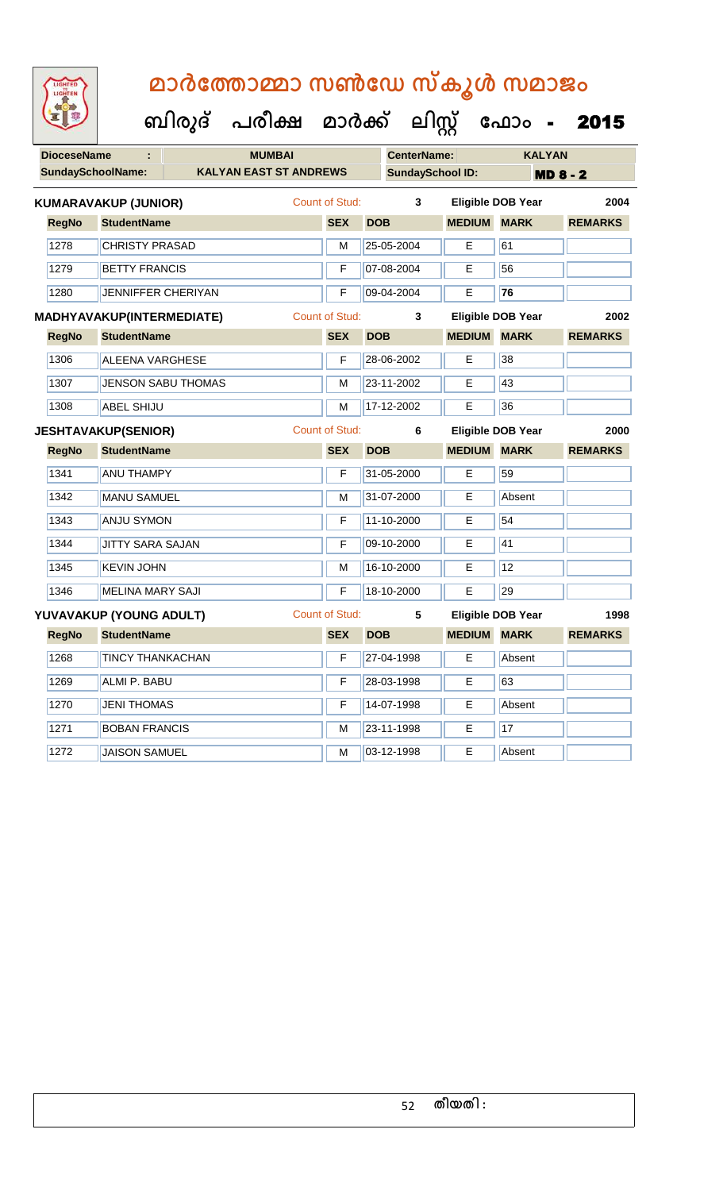| <b>IGHTED</b> |
|---------------|
|               |
|               |
|               |

| <b>DioceseName</b> |                                  | <b>MUMBAI</b>                 |                       |            | <b>CenterName:</b>      |                          |             | <b>KALYAN</b>   |                |  |
|--------------------|----------------------------------|-------------------------------|-----------------------|------------|-------------------------|--------------------------|-------------|-----------------|----------------|--|
|                    | <b>SundaySchoolName:</b>         | <b>KALYAN EAST ST ANDREWS</b> |                       |            | <b>SundaySchool ID:</b> |                          |             | <b>MD 8 - 2</b> |                |  |
|                    | <b>KUMARAVAKUP (JUNIOR)</b>      |                               | Count of Stud:        |            | 3                       | <b>Eligible DOB Year</b> |             |                 | 2004           |  |
| <b>RegNo</b>       | <b>StudentName</b>               |                               | <b>SEX</b>            | <b>DOB</b> |                         | <b>MEDIUM</b>            | <b>MARK</b> |                 | <b>REMARKS</b> |  |
| 1278               | <b>CHRISTY PRASAD</b>            |                               | М                     |            | 25-05-2004              | E                        | 61          |                 |                |  |
| 1279               | <b>BETTY FRANCIS</b>             |                               | F                     |            | 07-08-2004              | E                        | 56          |                 |                |  |
| 1280               | JENNIFFER CHERIYAN               |                               | F                     |            | 09-04-2004              | E.                       | 76          |                 |                |  |
|                    | <b>MADHYAVAKUP(INTERMEDIATE)</b> |                               | <b>Count of Stud:</b> |            | 3                       | <b>Eligible DOB Year</b> |             |                 | 2002           |  |
| <b>RegNo</b>       | <b>StudentName</b>               |                               | <b>SEX</b>            | <b>DOB</b> |                         | <b>MEDIUM</b>            | <b>MARK</b> |                 | <b>REMARKS</b> |  |
| 1306               | <b>ALEENA VARGHESE</b>           |                               | F                     |            | 28-06-2002              | Е                        | 38          |                 |                |  |
| 1307               |                                  | <b>JENSON SABU THOMAS</b>     | M                     |            | 23-11-2002              | Е                        | 43          |                 |                |  |
| 1308               | <b>ABEL SHIJU</b>                |                               | М                     |            | 17-12-2002              | E                        | 36          |                 |                |  |
|                    | <b>JESHTAVAKUP(SENIOR)</b>       |                               | <b>Count of Stud:</b> |            | 6                       | Eligible DOB Year        |             |                 | 2000           |  |
| <b>RegNo</b>       | <b>StudentName</b>               |                               | <b>SEX</b>            | <b>DOB</b> |                         | <b>MEDIUM</b>            | <b>MARK</b> |                 | <b>REMARKS</b> |  |
| 1341               | <b>ANU THAMPY</b>                |                               | F                     |            | 31-05-2000              | E.                       | 59          |                 |                |  |
| 1342               | <b>MANU SAMUEL</b>               |                               | M                     |            | 31-07-2000              | E                        | Absent      |                 |                |  |
| 1343               | <b>ANJU SYMON</b>                |                               | F                     |            | 11-10-2000              | Е                        | 54          |                 |                |  |
| 1344               | JITTY SARA SAJAN                 |                               | F                     |            | 09-10-2000              | E                        | 41          |                 |                |  |
| 1345               | <b>KEVIN JOHN</b>                |                               | М                     |            | 16-10-2000              | E                        | 12          |                 |                |  |
| 1346               | <b>MELINA MARY SAJI</b>          |                               | F                     |            | 18-10-2000              | E                        | 29          |                 |                |  |
|                    | YUVAVAKUP (YOUNG ADULT)          |                               | <b>Count of Stud:</b> |            | 5                       | <b>Eligible DOB Year</b> |             |                 | 1998           |  |
| <b>RegNo</b>       | <b>StudentName</b>               |                               | <b>SEX</b>            | <b>DOB</b> |                         | <b>MEDIUM</b>            | <b>MARK</b> |                 | <b>REMARKS</b> |  |
| 1268               | <b>TINCY THANKACHAN</b>          |                               | F                     |            | 27-04-1998              | E.                       | Absent      |                 |                |  |
| 1269               | <b>ALMI P. BABU</b>              |                               | F                     |            | 28-03-1998              | Е                        | 63          |                 |                |  |
| 1270               | <b>JENI THOMAS</b>               |                               | F                     |            | 14-07-1998              | E.                       | Absent      |                 |                |  |
| 1271               | <b>BOBAN FRANCIS</b>             |                               | М                     |            | 23-11-1998              | E.                       | 17          |                 |                |  |
| 1272               | <b>JAISON SAMUEL</b>             |                               | M                     |            | 03-12-1998              | E                        | Absent      |                 |                |  |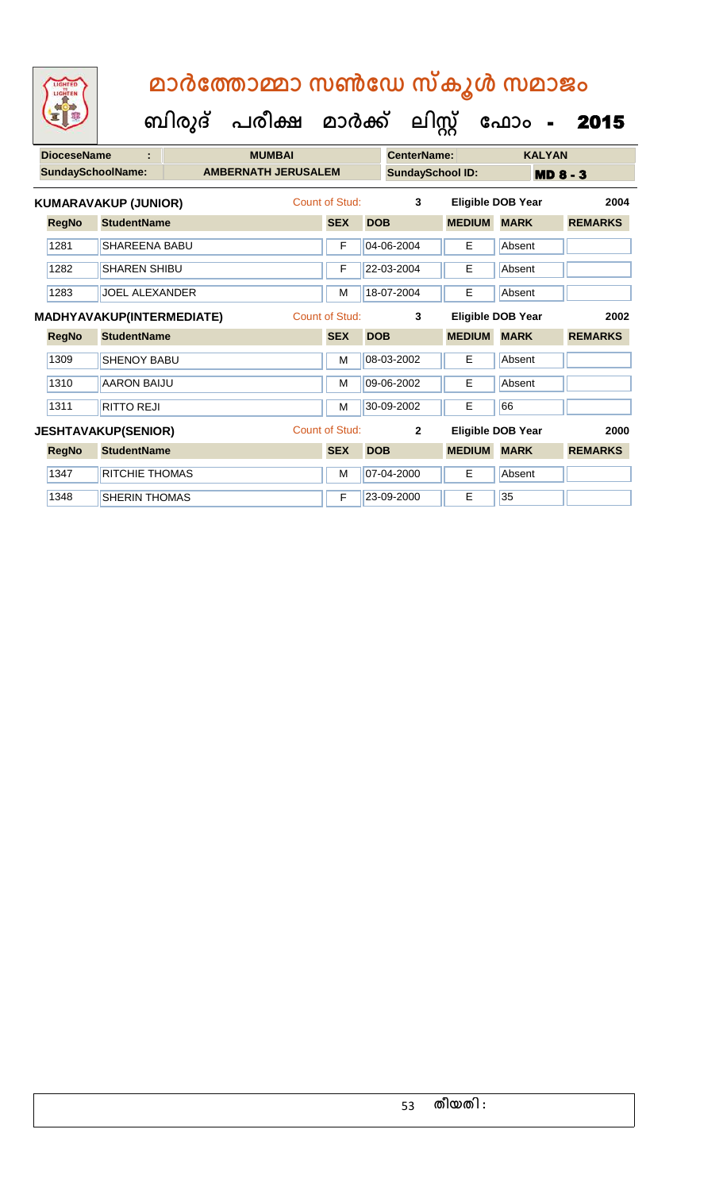| <b>DioceseName</b> |              | <b>MUMBAI</b>               |  |                            |  | <b>CenterName:</b> |            | <b>KALYAN</b>           |                          |             |                 |                |
|--------------------|--------------|-----------------------------|--|----------------------------|--|--------------------|------------|-------------------------|--------------------------|-------------|-----------------|----------------|
|                    |              | <b>SundaySchoolName:</b>    |  | <b>AMBERNATH JERUSALEM</b> |  |                    |            | <b>SundaySchool ID:</b> |                          |             | <b>MD 8 - 3</b> |                |
|                    |              | <b>KUMARAVAKUP (JUNIOR)</b> |  |                            |  | Count of Stud:     |            | 3                       | Eligible DOB Year        |             |                 | 2004           |
|                    | <b>RegNo</b> | <b>StudentName</b>          |  |                            |  | <b>SEX</b>         | <b>DOB</b> |                         | <b>MEDIUM</b>            | <b>MARK</b> |                 | <b>REMARKS</b> |
|                    | 1281         | <b>SHAREENA BABU</b>        |  |                            |  | F                  |            | 04-06-2004              | E.                       | Absent      |                 |                |
|                    | 1282         | <b>SHAREN SHIBU</b>         |  |                            |  | F                  |            | 22-03-2004              | E.                       | Absent      |                 |                |
|                    | 1283         | <b>JOEL ALEXANDER</b>       |  |                            |  | M                  |            | 18-07-2004              | E.                       | Absent      |                 |                |
|                    |              | MADHYAVAKUP(INTERMEDIATE)   |  |                            |  | Count of Stud:     |            | 3                       | <b>Eligible DOB Year</b> |             |                 | 2002           |
|                    | <b>RegNo</b> | <b>StudentName</b>          |  |                            |  | <b>SEX</b>         | <b>DOB</b> |                         | <b>MEDIUM</b>            | <b>MARK</b> |                 | <b>REMARKS</b> |
|                    | 1309         | <b>SHENOY BABU</b>          |  |                            |  | M                  |            | 08-03-2002              | E.                       | Absent      |                 |                |
|                    | 1310         | <b>AARON BAIJU</b>          |  |                            |  | м                  |            | 09-06-2002              | E.                       | Absent      |                 |                |
|                    | 1311         | <b>RITTO REJI</b>           |  |                            |  | M                  |            | 30-09-2002              | Е                        | 66          |                 |                |
|                    |              | <b>JESHTAVAKUP(SENIOR)</b>  |  |                            |  | Count of Stud:     |            | $\overline{2}$          | Eligible DOB Year        |             |                 | 2000           |
|                    | <b>RegNo</b> | <b>StudentName</b>          |  |                            |  | <b>SEX</b>         | <b>DOB</b> |                         | <b>MEDIUM</b>            | <b>MARK</b> |                 | <b>REMARKS</b> |
|                    | 1347         | RITCHIE THOMAS              |  |                            |  | M                  |            | 07-04-2000              | Е                        | Absent      |                 |                |
|                    | 1348         | <b>SHERIN THOMAS</b>        |  |                            |  | F                  |            | 23-09-2000              | Е                        | 35          |                 |                |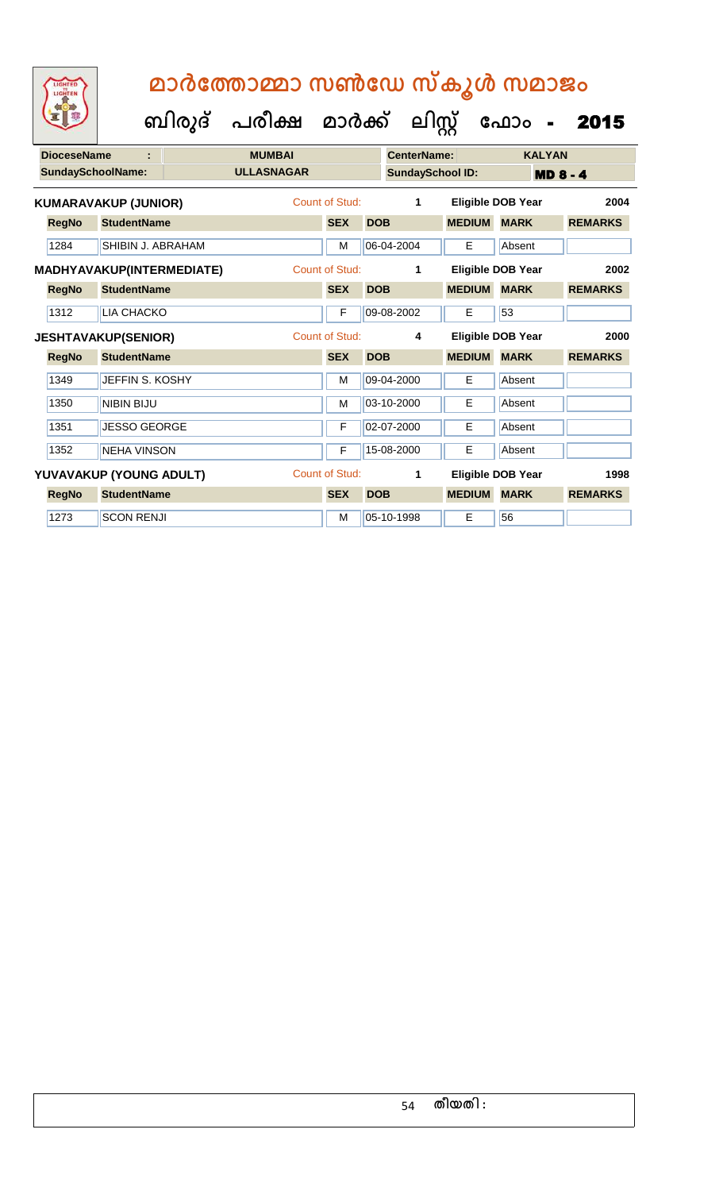**ക ഫ ാോം** - 2015

 **ബിരുദ് പരീക്ഷ മാര്ക്**

**ക ലിസ്റ്റ**

**DioceseName : MUMBAI CenterName: KALYAN SundaySchoolName: ULLASNAGAR SundaySchool ID: MD 8 - 4 RegNo StudentName SEX DOB MEDIUM MARK REMARKS KUMARAVAKUP (JUNIOR)** Count of Stud: **1 Eligible DOB Year 2004** 1284 SHIBIN J. ABRAHAM M M 06-04-2004 E Absent **RegNo StudentName SEX DOB MEDIUM MARK REMARKS MADHYAVAKUP(INTERMEDIATE)** Count of Stud: **1 Eligible DOB Year 2002** 1312 LIA CHACKO **F 09-08-2002** E 53 **RegNo StudentName SEX DOB MEDIUM MARK REMARKS JESHTAVAKUP(SENIOR)** Count of Stud: **4 Eligible DOB Year 2000** 1349 JEFFIN S. KOSHY M 09-04-2000 E Absent 1350 NIBIN BIJU **M** 03-10-2000 E Absent 1351 JESSO GEORGE **F 02-07-2000** E Absent 1352 NEHA VINSON F 15-08-2000 E Absent **RegNo StudentName SEX DOB MEDIUM MARK REMARKS YUVAVAKUP (YOUNG ADULT)** Count of Stud: **1 Eligible DOB Year 1998** 1273 SCON RENJI M 05-10-1998 E 56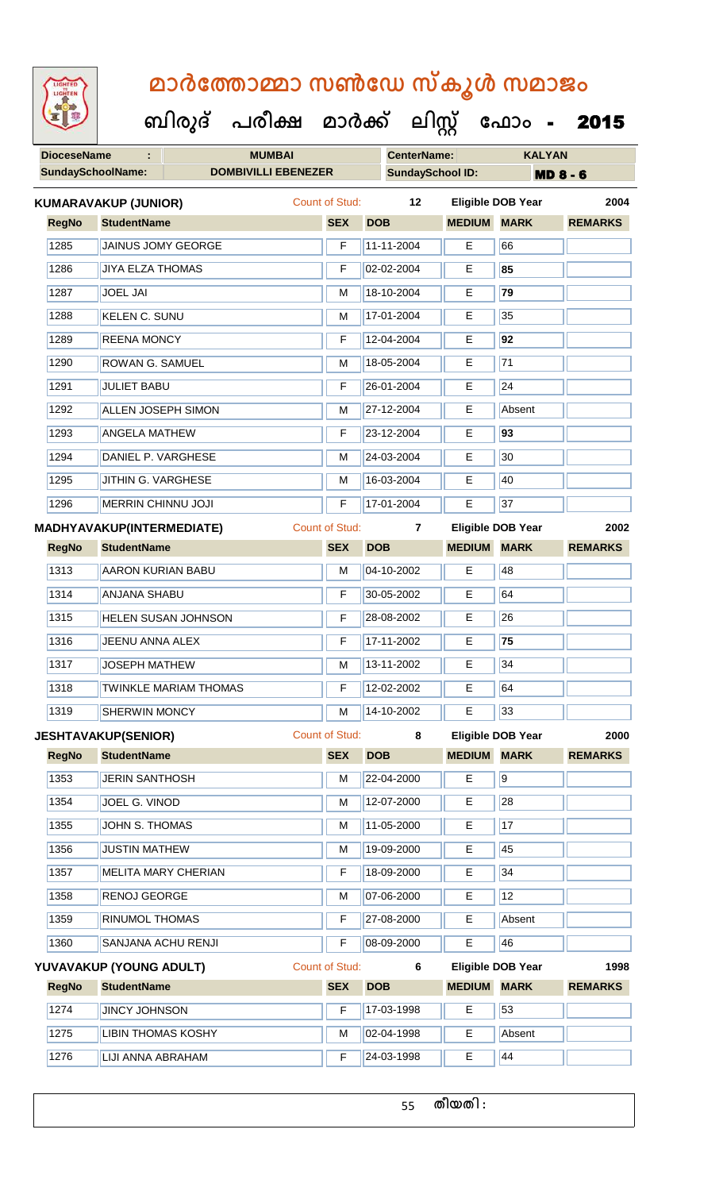| <b>IGHTED</b> |  |
|---------------|--|
|               |  |
|               |  |
|               |  |
|               |  |

| <b>DOMBIVILLI EBENEZER</b><br><b>SundaySchool ID:</b><br><b>SundaySchoolName:</b><br><b>MD 8 - 6</b><br>Count of Stud:<br>12<br><b>Eligible DOB Year</b><br><b>KUMARAVAKUP (JUNIOR)</b><br><b>MARK</b><br><b>RegNo</b><br><b>StudentName</b><br><b>SEX</b><br><b>MEDIUM</b><br><b>DOB</b><br>1285<br><b>JAINUS JOMY GEORGE</b><br>11-11-2004<br>E<br>66<br>F<br>1286<br>02-02-2004<br>E<br>85<br><b>JIYA ELZA THOMAS</b><br>F<br>18-10-2004<br>79<br>1287<br><b>JOEL JAI</b><br>Е<br>M<br>35<br>1288<br>17-01-2004<br><b>KELEN C. SUNU</b><br>Е<br>M<br>1289<br>12-04-2004<br>E<br>92<br><b>REENA MONCY</b><br>F<br>71<br><b>ROWAN G. SAMUEL</b><br>18-05-2004<br>1290<br>E<br>M<br><b>JULIET BABU</b><br>24<br>1291<br>26-01-2004<br>Е<br>F<br>1292<br><b>ALLEN JOSEPH SIMON</b><br>27-12-2004<br>E<br>Absent<br>M<br>93<br>1293<br><b>ANGELA MATHEW</b><br>23-12-2004<br>F<br>Е<br>30<br>1294<br>DANIEL P. VARGHESE<br>24-03-2004<br>E<br>М<br>1295<br>JITHIN G. VARGHESE<br>16-03-2004<br>40<br>M<br>E<br>37<br>MERRIN CHINNU JOJI<br>17-01-2004<br>1296<br>F<br>E<br><b>Count of Stud:</b><br><b>Eligible DOB Year</b><br>MADHYAVAKUP(INTERMEDIATE)<br>$\overline{7}$<br><b>StudentName</b><br><b>SEX</b><br><b>MEDIUM</b><br><b>MARK</b><br><b>RegNo</b><br><b>DOB</b><br>48<br>1313<br>04-10-2002<br>E<br><b>AARON KURIAN BABU</b><br>M<br>1314<br>30-05-2002<br>E<br>64<br><b>ANJANA SHABU</b><br>F<br>1315<br>28-08-2002<br>26<br><b>HELEN SUSAN JOHNSON</b><br>Е<br>F<br>1316<br>17-11-2002<br>75<br>Е<br>JEENU ANNA ALEX<br>F<br>1317<br>13-11-2002<br>E<br>34<br><b>JOSEPH MATHEW</b><br>M<br>1318<br>12-02-2002<br>E<br>64<br><b>TWINKLE MARIAM THOMAS</b><br>F<br>33<br>1319<br>14-10-2002<br><b>SHERWIN MONCY</b><br>M<br>Е<br><b>Count of Stud:</b><br><b>Eligible DOB Year</b><br>8<br><b>JESHTAVAKUP(SENIOR)</b><br><b>RegNo</b><br><b>StudentName</b><br><b>SEX</b><br><b>DOB</b><br><b>MEDIUM MARK</b><br>$\overline{9}$<br>1353<br>E<br><b>JERIN SANTHOSH</b><br>22-04-2000<br>M<br>1354<br>28<br>JOEL G. VINOD<br>12-07-2000<br>Е<br>M<br>1355<br>11-05-2000<br>E<br>17<br>JOHN S. THOMAS<br>M<br>1356<br>19-09-2000<br>E<br>45<br><b>JUSTIN MATHEW</b><br>M<br>34<br>1357<br>18-09-2000<br>E<br><b>MELITA MARY CHERIAN</b><br>F<br>12<br>1358<br>07-06-2000<br>RENOJ GEORGE<br>Е<br>M<br>1359<br>27-08-2000<br><b>RINUMOL THOMAS</b><br>Е<br>Absent<br>F<br>E<br>46<br>1360<br>08-09-2000<br>SANJANA ACHU RENJI<br>F<br><b>Count of Stud:</b><br>YUVAVAKUP (YOUNG ADULT)<br>Eligible DOB Year<br>6<br><b>SEX</b><br><b>MEDIUM</b><br><b>MARK</b><br><b>RegNo</b><br><b>StudentName</b><br><b>DOB</b><br>53<br>1274<br>F<br>17-03-1998<br>E<br><b>JINCY JOHNSON</b><br>1275<br><b>LIBIN THOMAS KOSHY</b><br>02-04-1998<br>E<br>Absent<br>M | <b>DioceseName</b> | ÷                 | <b>MUMBAI</b> |   | <b>CenterName:</b> |   |    | <b>KALYAN</b> |                |
|-----------------------------------------------------------------------------------------------------------------------------------------------------------------------------------------------------------------------------------------------------------------------------------------------------------------------------------------------------------------------------------------------------------------------------------------------------------------------------------------------------------------------------------------------------------------------------------------------------------------------------------------------------------------------------------------------------------------------------------------------------------------------------------------------------------------------------------------------------------------------------------------------------------------------------------------------------------------------------------------------------------------------------------------------------------------------------------------------------------------------------------------------------------------------------------------------------------------------------------------------------------------------------------------------------------------------------------------------------------------------------------------------------------------------------------------------------------------------------------------------------------------------------------------------------------------------------------------------------------------------------------------------------------------------------------------------------------------------------------------------------------------------------------------------------------------------------------------------------------------------------------------------------------------------------------------------------------------------------------------------------------------------------------------------------------------------------------------------------------------------------------------------------------------------------------------------------------------------------------------------------------------------------------------------------------------------------------------------------------------------------------------------------------------------------------------------------------------------------------------------------------------------------------------------------------------------------------------------------------------------------------------------------------------------------------------------------------------------------------------------------------------|--------------------|-------------------|---------------|---|--------------------|---|----|---------------|----------------|
|                                                                                                                                                                                                                                                                                                                                                                                                                                                                                                                                                                                                                                                                                                                                                                                                                                                                                                                                                                                                                                                                                                                                                                                                                                                                                                                                                                                                                                                                                                                                                                                                                                                                                                                                                                                                                                                                                                                                                                                                                                                                                                                                                                                                                                                                                                                                                                                                                                                                                                                                                                                                                                                                                                                                                                 |                    |                   |               |   |                    |   |    |               |                |
|                                                                                                                                                                                                                                                                                                                                                                                                                                                                                                                                                                                                                                                                                                                                                                                                                                                                                                                                                                                                                                                                                                                                                                                                                                                                                                                                                                                                                                                                                                                                                                                                                                                                                                                                                                                                                                                                                                                                                                                                                                                                                                                                                                                                                                                                                                                                                                                                                                                                                                                                                                                                                                                                                                                                                                 |                    |                   |               |   |                    |   |    |               | 2004           |
|                                                                                                                                                                                                                                                                                                                                                                                                                                                                                                                                                                                                                                                                                                                                                                                                                                                                                                                                                                                                                                                                                                                                                                                                                                                                                                                                                                                                                                                                                                                                                                                                                                                                                                                                                                                                                                                                                                                                                                                                                                                                                                                                                                                                                                                                                                                                                                                                                                                                                                                                                                                                                                                                                                                                                                 |                    |                   |               |   |                    |   |    |               | <b>REMARKS</b> |
|                                                                                                                                                                                                                                                                                                                                                                                                                                                                                                                                                                                                                                                                                                                                                                                                                                                                                                                                                                                                                                                                                                                                                                                                                                                                                                                                                                                                                                                                                                                                                                                                                                                                                                                                                                                                                                                                                                                                                                                                                                                                                                                                                                                                                                                                                                                                                                                                                                                                                                                                                                                                                                                                                                                                                                 |                    |                   |               |   |                    |   |    |               |                |
|                                                                                                                                                                                                                                                                                                                                                                                                                                                                                                                                                                                                                                                                                                                                                                                                                                                                                                                                                                                                                                                                                                                                                                                                                                                                                                                                                                                                                                                                                                                                                                                                                                                                                                                                                                                                                                                                                                                                                                                                                                                                                                                                                                                                                                                                                                                                                                                                                                                                                                                                                                                                                                                                                                                                                                 |                    |                   |               |   |                    |   |    |               |                |
|                                                                                                                                                                                                                                                                                                                                                                                                                                                                                                                                                                                                                                                                                                                                                                                                                                                                                                                                                                                                                                                                                                                                                                                                                                                                                                                                                                                                                                                                                                                                                                                                                                                                                                                                                                                                                                                                                                                                                                                                                                                                                                                                                                                                                                                                                                                                                                                                                                                                                                                                                                                                                                                                                                                                                                 |                    |                   |               |   |                    |   |    |               |                |
|                                                                                                                                                                                                                                                                                                                                                                                                                                                                                                                                                                                                                                                                                                                                                                                                                                                                                                                                                                                                                                                                                                                                                                                                                                                                                                                                                                                                                                                                                                                                                                                                                                                                                                                                                                                                                                                                                                                                                                                                                                                                                                                                                                                                                                                                                                                                                                                                                                                                                                                                                                                                                                                                                                                                                                 |                    |                   |               |   |                    |   |    |               |                |
|                                                                                                                                                                                                                                                                                                                                                                                                                                                                                                                                                                                                                                                                                                                                                                                                                                                                                                                                                                                                                                                                                                                                                                                                                                                                                                                                                                                                                                                                                                                                                                                                                                                                                                                                                                                                                                                                                                                                                                                                                                                                                                                                                                                                                                                                                                                                                                                                                                                                                                                                                                                                                                                                                                                                                                 |                    |                   |               |   |                    |   |    |               |                |
|                                                                                                                                                                                                                                                                                                                                                                                                                                                                                                                                                                                                                                                                                                                                                                                                                                                                                                                                                                                                                                                                                                                                                                                                                                                                                                                                                                                                                                                                                                                                                                                                                                                                                                                                                                                                                                                                                                                                                                                                                                                                                                                                                                                                                                                                                                                                                                                                                                                                                                                                                                                                                                                                                                                                                                 |                    |                   |               |   |                    |   |    |               |                |
|                                                                                                                                                                                                                                                                                                                                                                                                                                                                                                                                                                                                                                                                                                                                                                                                                                                                                                                                                                                                                                                                                                                                                                                                                                                                                                                                                                                                                                                                                                                                                                                                                                                                                                                                                                                                                                                                                                                                                                                                                                                                                                                                                                                                                                                                                                                                                                                                                                                                                                                                                                                                                                                                                                                                                                 |                    |                   |               |   |                    |   |    |               |                |
|                                                                                                                                                                                                                                                                                                                                                                                                                                                                                                                                                                                                                                                                                                                                                                                                                                                                                                                                                                                                                                                                                                                                                                                                                                                                                                                                                                                                                                                                                                                                                                                                                                                                                                                                                                                                                                                                                                                                                                                                                                                                                                                                                                                                                                                                                                                                                                                                                                                                                                                                                                                                                                                                                                                                                                 |                    |                   |               |   |                    |   |    |               |                |
|                                                                                                                                                                                                                                                                                                                                                                                                                                                                                                                                                                                                                                                                                                                                                                                                                                                                                                                                                                                                                                                                                                                                                                                                                                                                                                                                                                                                                                                                                                                                                                                                                                                                                                                                                                                                                                                                                                                                                                                                                                                                                                                                                                                                                                                                                                                                                                                                                                                                                                                                                                                                                                                                                                                                                                 |                    |                   |               |   |                    |   |    |               |                |
|                                                                                                                                                                                                                                                                                                                                                                                                                                                                                                                                                                                                                                                                                                                                                                                                                                                                                                                                                                                                                                                                                                                                                                                                                                                                                                                                                                                                                                                                                                                                                                                                                                                                                                                                                                                                                                                                                                                                                                                                                                                                                                                                                                                                                                                                                                                                                                                                                                                                                                                                                                                                                                                                                                                                                                 |                    |                   |               |   |                    |   |    |               |                |
|                                                                                                                                                                                                                                                                                                                                                                                                                                                                                                                                                                                                                                                                                                                                                                                                                                                                                                                                                                                                                                                                                                                                                                                                                                                                                                                                                                                                                                                                                                                                                                                                                                                                                                                                                                                                                                                                                                                                                                                                                                                                                                                                                                                                                                                                                                                                                                                                                                                                                                                                                                                                                                                                                                                                                                 |                    |                   |               |   |                    |   |    |               |                |
|                                                                                                                                                                                                                                                                                                                                                                                                                                                                                                                                                                                                                                                                                                                                                                                                                                                                                                                                                                                                                                                                                                                                                                                                                                                                                                                                                                                                                                                                                                                                                                                                                                                                                                                                                                                                                                                                                                                                                                                                                                                                                                                                                                                                                                                                                                                                                                                                                                                                                                                                                                                                                                                                                                                                                                 |                    |                   |               |   |                    |   |    |               |                |
|                                                                                                                                                                                                                                                                                                                                                                                                                                                                                                                                                                                                                                                                                                                                                                                                                                                                                                                                                                                                                                                                                                                                                                                                                                                                                                                                                                                                                                                                                                                                                                                                                                                                                                                                                                                                                                                                                                                                                                                                                                                                                                                                                                                                                                                                                                                                                                                                                                                                                                                                                                                                                                                                                                                                                                 |                    |                   |               |   |                    |   |    |               | 2002           |
|                                                                                                                                                                                                                                                                                                                                                                                                                                                                                                                                                                                                                                                                                                                                                                                                                                                                                                                                                                                                                                                                                                                                                                                                                                                                                                                                                                                                                                                                                                                                                                                                                                                                                                                                                                                                                                                                                                                                                                                                                                                                                                                                                                                                                                                                                                                                                                                                                                                                                                                                                                                                                                                                                                                                                                 |                    |                   |               |   |                    |   |    |               | <b>REMARKS</b> |
|                                                                                                                                                                                                                                                                                                                                                                                                                                                                                                                                                                                                                                                                                                                                                                                                                                                                                                                                                                                                                                                                                                                                                                                                                                                                                                                                                                                                                                                                                                                                                                                                                                                                                                                                                                                                                                                                                                                                                                                                                                                                                                                                                                                                                                                                                                                                                                                                                                                                                                                                                                                                                                                                                                                                                                 |                    |                   |               |   |                    |   |    |               |                |
|                                                                                                                                                                                                                                                                                                                                                                                                                                                                                                                                                                                                                                                                                                                                                                                                                                                                                                                                                                                                                                                                                                                                                                                                                                                                                                                                                                                                                                                                                                                                                                                                                                                                                                                                                                                                                                                                                                                                                                                                                                                                                                                                                                                                                                                                                                                                                                                                                                                                                                                                                                                                                                                                                                                                                                 |                    |                   |               |   |                    |   |    |               |                |
|                                                                                                                                                                                                                                                                                                                                                                                                                                                                                                                                                                                                                                                                                                                                                                                                                                                                                                                                                                                                                                                                                                                                                                                                                                                                                                                                                                                                                                                                                                                                                                                                                                                                                                                                                                                                                                                                                                                                                                                                                                                                                                                                                                                                                                                                                                                                                                                                                                                                                                                                                                                                                                                                                                                                                                 |                    |                   |               |   |                    |   |    |               |                |
|                                                                                                                                                                                                                                                                                                                                                                                                                                                                                                                                                                                                                                                                                                                                                                                                                                                                                                                                                                                                                                                                                                                                                                                                                                                                                                                                                                                                                                                                                                                                                                                                                                                                                                                                                                                                                                                                                                                                                                                                                                                                                                                                                                                                                                                                                                                                                                                                                                                                                                                                                                                                                                                                                                                                                                 |                    |                   |               |   |                    |   |    |               |                |
|                                                                                                                                                                                                                                                                                                                                                                                                                                                                                                                                                                                                                                                                                                                                                                                                                                                                                                                                                                                                                                                                                                                                                                                                                                                                                                                                                                                                                                                                                                                                                                                                                                                                                                                                                                                                                                                                                                                                                                                                                                                                                                                                                                                                                                                                                                                                                                                                                                                                                                                                                                                                                                                                                                                                                                 |                    |                   |               |   |                    |   |    |               |                |
|                                                                                                                                                                                                                                                                                                                                                                                                                                                                                                                                                                                                                                                                                                                                                                                                                                                                                                                                                                                                                                                                                                                                                                                                                                                                                                                                                                                                                                                                                                                                                                                                                                                                                                                                                                                                                                                                                                                                                                                                                                                                                                                                                                                                                                                                                                                                                                                                                                                                                                                                                                                                                                                                                                                                                                 |                    |                   |               |   |                    |   |    |               |                |
|                                                                                                                                                                                                                                                                                                                                                                                                                                                                                                                                                                                                                                                                                                                                                                                                                                                                                                                                                                                                                                                                                                                                                                                                                                                                                                                                                                                                                                                                                                                                                                                                                                                                                                                                                                                                                                                                                                                                                                                                                                                                                                                                                                                                                                                                                                                                                                                                                                                                                                                                                                                                                                                                                                                                                                 |                    |                   |               |   |                    |   |    |               |                |
|                                                                                                                                                                                                                                                                                                                                                                                                                                                                                                                                                                                                                                                                                                                                                                                                                                                                                                                                                                                                                                                                                                                                                                                                                                                                                                                                                                                                                                                                                                                                                                                                                                                                                                                                                                                                                                                                                                                                                                                                                                                                                                                                                                                                                                                                                                                                                                                                                                                                                                                                                                                                                                                                                                                                                                 |                    |                   |               |   |                    |   |    |               | 2000           |
|                                                                                                                                                                                                                                                                                                                                                                                                                                                                                                                                                                                                                                                                                                                                                                                                                                                                                                                                                                                                                                                                                                                                                                                                                                                                                                                                                                                                                                                                                                                                                                                                                                                                                                                                                                                                                                                                                                                                                                                                                                                                                                                                                                                                                                                                                                                                                                                                                                                                                                                                                                                                                                                                                                                                                                 |                    |                   |               |   |                    |   |    |               | <b>REMARKS</b> |
|                                                                                                                                                                                                                                                                                                                                                                                                                                                                                                                                                                                                                                                                                                                                                                                                                                                                                                                                                                                                                                                                                                                                                                                                                                                                                                                                                                                                                                                                                                                                                                                                                                                                                                                                                                                                                                                                                                                                                                                                                                                                                                                                                                                                                                                                                                                                                                                                                                                                                                                                                                                                                                                                                                                                                                 |                    |                   |               |   |                    |   |    |               |                |
|                                                                                                                                                                                                                                                                                                                                                                                                                                                                                                                                                                                                                                                                                                                                                                                                                                                                                                                                                                                                                                                                                                                                                                                                                                                                                                                                                                                                                                                                                                                                                                                                                                                                                                                                                                                                                                                                                                                                                                                                                                                                                                                                                                                                                                                                                                                                                                                                                                                                                                                                                                                                                                                                                                                                                                 |                    |                   |               |   |                    |   |    |               |                |
|                                                                                                                                                                                                                                                                                                                                                                                                                                                                                                                                                                                                                                                                                                                                                                                                                                                                                                                                                                                                                                                                                                                                                                                                                                                                                                                                                                                                                                                                                                                                                                                                                                                                                                                                                                                                                                                                                                                                                                                                                                                                                                                                                                                                                                                                                                                                                                                                                                                                                                                                                                                                                                                                                                                                                                 |                    |                   |               |   |                    |   |    |               |                |
|                                                                                                                                                                                                                                                                                                                                                                                                                                                                                                                                                                                                                                                                                                                                                                                                                                                                                                                                                                                                                                                                                                                                                                                                                                                                                                                                                                                                                                                                                                                                                                                                                                                                                                                                                                                                                                                                                                                                                                                                                                                                                                                                                                                                                                                                                                                                                                                                                                                                                                                                                                                                                                                                                                                                                                 |                    |                   |               |   |                    |   |    |               |                |
|                                                                                                                                                                                                                                                                                                                                                                                                                                                                                                                                                                                                                                                                                                                                                                                                                                                                                                                                                                                                                                                                                                                                                                                                                                                                                                                                                                                                                                                                                                                                                                                                                                                                                                                                                                                                                                                                                                                                                                                                                                                                                                                                                                                                                                                                                                                                                                                                                                                                                                                                                                                                                                                                                                                                                                 |                    |                   |               |   |                    |   |    |               |                |
|                                                                                                                                                                                                                                                                                                                                                                                                                                                                                                                                                                                                                                                                                                                                                                                                                                                                                                                                                                                                                                                                                                                                                                                                                                                                                                                                                                                                                                                                                                                                                                                                                                                                                                                                                                                                                                                                                                                                                                                                                                                                                                                                                                                                                                                                                                                                                                                                                                                                                                                                                                                                                                                                                                                                                                 |                    |                   |               |   |                    |   |    |               |                |
|                                                                                                                                                                                                                                                                                                                                                                                                                                                                                                                                                                                                                                                                                                                                                                                                                                                                                                                                                                                                                                                                                                                                                                                                                                                                                                                                                                                                                                                                                                                                                                                                                                                                                                                                                                                                                                                                                                                                                                                                                                                                                                                                                                                                                                                                                                                                                                                                                                                                                                                                                                                                                                                                                                                                                                 |                    |                   |               |   |                    |   |    |               |                |
|                                                                                                                                                                                                                                                                                                                                                                                                                                                                                                                                                                                                                                                                                                                                                                                                                                                                                                                                                                                                                                                                                                                                                                                                                                                                                                                                                                                                                                                                                                                                                                                                                                                                                                                                                                                                                                                                                                                                                                                                                                                                                                                                                                                                                                                                                                                                                                                                                                                                                                                                                                                                                                                                                                                                                                 |                    |                   |               |   |                    |   |    |               |                |
|                                                                                                                                                                                                                                                                                                                                                                                                                                                                                                                                                                                                                                                                                                                                                                                                                                                                                                                                                                                                                                                                                                                                                                                                                                                                                                                                                                                                                                                                                                                                                                                                                                                                                                                                                                                                                                                                                                                                                                                                                                                                                                                                                                                                                                                                                                                                                                                                                                                                                                                                                                                                                                                                                                                                                                 |                    |                   |               |   |                    |   |    |               | 1998           |
|                                                                                                                                                                                                                                                                                                                                                                                                                                                                                                                                                                                                                                                                                                                                                                                                                                                                                                                                                                                                                                                                                                                                                                                                                                                                                                                                                                                                                                                                                                                                                                                                                                                                                                                                                                                                                                                                                                                                                                                                                                                                                                                                                                                                                                                                                                                                                                                                                                                                                                                                                                                                                                                                                                                                                                 |                    |                   |               |   |                    |   |    |               | <b>REMARKS</b> |
|                                                                                                                                                                                                                                                                                                                                                                                                                                                                                                                                                                                                                                                                                                                                                                                                                                                                                                                                                                                                                                                                                                                                                                                                                                                                                                                                                                                                                                                                                                                                                                                                                                                                                                                                                                                                                                                                                                                                                                                                                                                                                                                                                                                                                                                                                                                                                                                                                                                                                                                                                                                                                                                                                                                                                                 |                    |                   |               |   |                    |   |    |               |                |
|                                                                                                                                                                                                                                                                                                                                                                                                                                                                                                                                                                                                                                                                                                                                                                                                                                                                                                                                                                                                                                                                                                                                                                                                                                                                                                                                                                                                                                                                                                                                                                                                                                                                                                                                                                                                                                                                                                                                                                                                                                                                                                                                                                                                                                                                                                                                                                                                                                                                                                                                                                                                                                                                                                                                                                 |                    |                   |               |   |                    |   |    |               |                |
|                                                                                                                                                                                                                                                                                                                                                                                                                                                                                                                                                                                                                                                                                                                                                                                                                                                                                                                                                                                                                                                                                                                                                                                                                                                                                                                                                                                                                                                                                                                                                                                                                                                                                                                                                                                                                                                                                                                                                                                                                                                                                                                                                                                                                                                                                                                                                                                                                                                                                                                                                                                                                                                                                                                                                                 | 1276               | LIJI ANNA ABRAHAM |               | F | 24-03-1998         | E | 44 |               |                |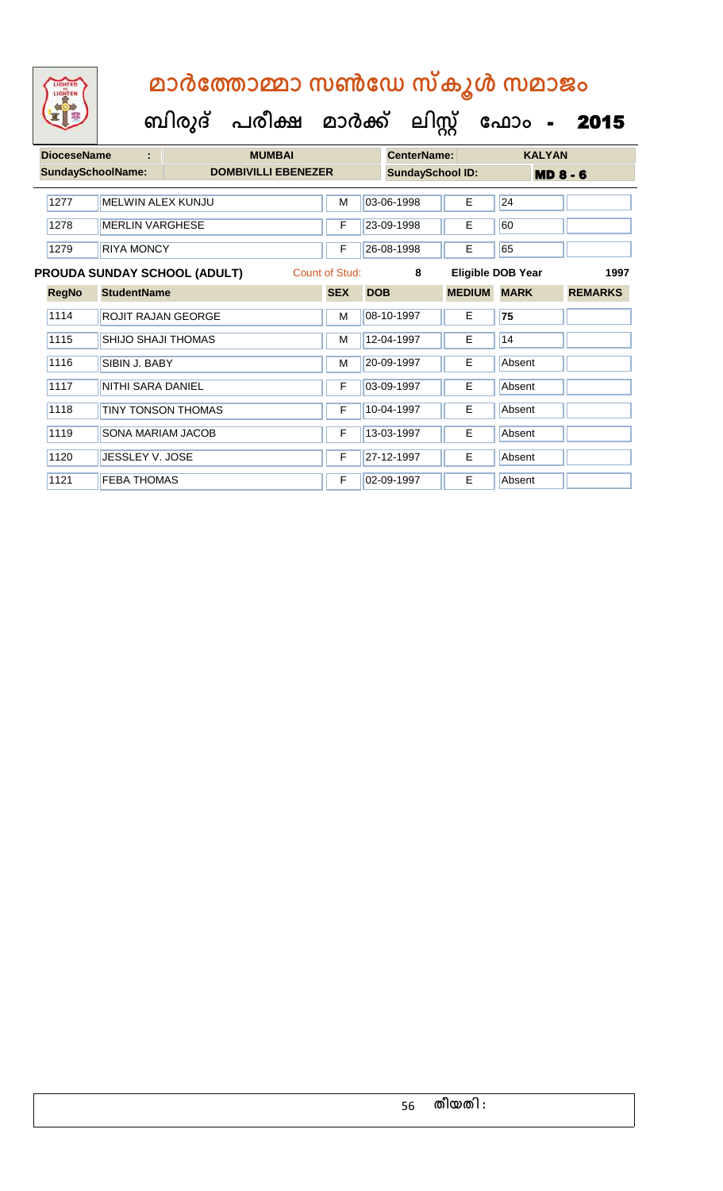| <b>DioceseName</b><br><b>MUMBAI</b><br>÷ |                          |                          |                                     |                |            | <b>CenterName:</b>      |                    | <b>KALYAN</b>     |                |
|------------------------------------------|--------------------------|--------------------------|-------------------------------------|----------------|------------|-------------------------|--------------------|-------------------|----------------|
|                                          | <b>SundaySchoolName:</b> |                          | <b>DOMBIVILLI EBENEZER</b>          |                |            | <b>SundaySchool ID:</b> |                    | <b>MD 8 - 6</b>   |                |
|                                          | 1277                     | MELWIN ALEX KUNJU        |                                     | M              |            | 03-06-1998              | Е                  | 24                |                |
|                                          | 1278                     | <b>MERLIN VARGHESE</b>   |                                     | F              |            | 23-09-1998              | Е                  | 60                |                |
|                                          | 1279                     | <b>RIYA MONCY</b>        |                                     | F              |            | 26-08-1998              | E                  | 65                |                |
|                                          |                          |                          | <b>PROUDA SUNDAY SCHOOL (ADULT)</b> | Count of Stud: |            | 8                       |                    | Eligible DOB Year | 1997           |
|                                          | <b>RegNo</b>             | <b>StudentName</b>       |                                     | <b>SEX</b>     | <b>DOB</b> |                         | <b>MEDIUM MARK</b> |                   | <b>REMARKS</b> |
|                                          | 1114                     | ROJIT RAJAN GEORGE       |                                     | M              |            | 08-10-1997              | Е                  | 75                |                |
|                                          | 1115                     | SHIJO SHAJI THOMAS       |                                     | M              |            | 12-04-1997              | E                  | 14                |                |
|                                          | 1116                     | SIBIN J. BABY            |                                     | M              |            | 20-09-1997              | E                  | Absent            |                |
|                                          | 1117                     | <b>NITHI SARA DANIEL</b> |                                     | F              |            | 03-09-1997              | E                  | Absent            |                |
|                                          | 1118                     | TINY TONSON THOMAS       |                                     | F              |            | 10-04-1997              | E                  | Absent            |                |
|                                          | 1119                     | SONA MARIAM JACOB        |                                     | F              |            | 13-03-1997              | E                  | Absent            |                |
|                                          | 1120                     | <b>JESSLEY V. JOSE</b>   |                                     | F              |            | 27-12-1997              | E.                 | Absent            |                |
|                                          | 1121                     | <b>FEBA THOMAS</b>       |                                     | F              |            | 02-09-1997              | E                  | Absent            |                |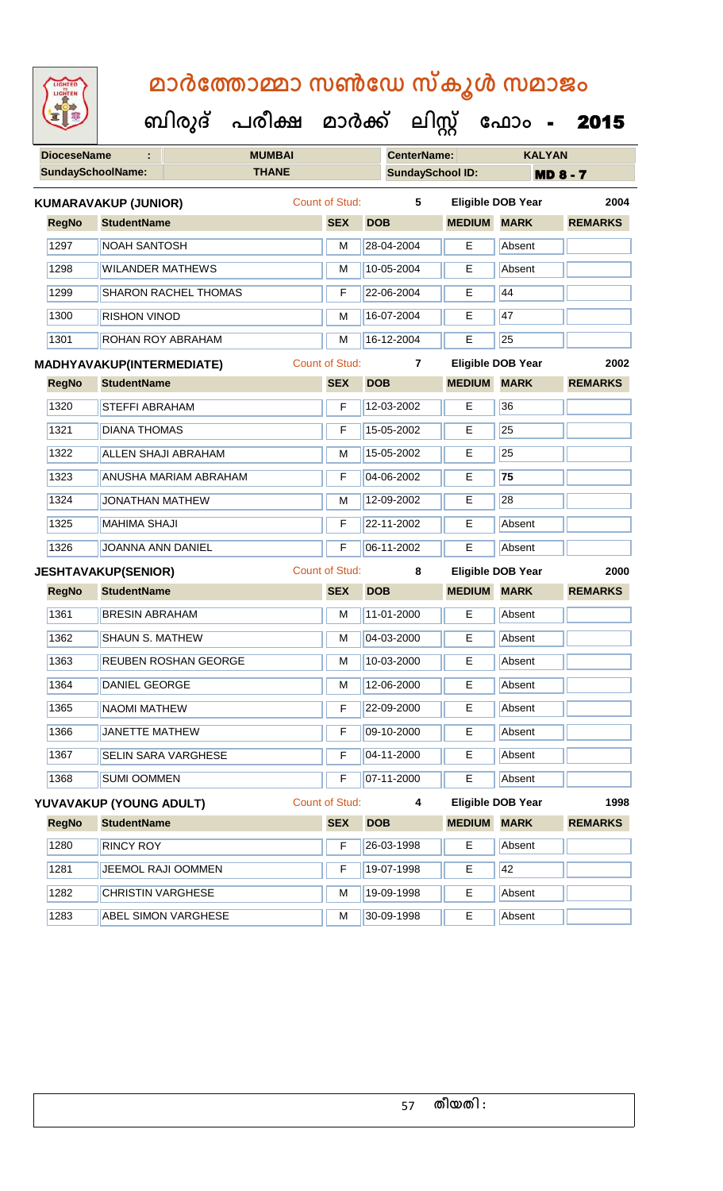| <b>IGHTED</b> |
|---------------|
|               |
|               |
|               |

**DioceseName : MUMBAI CenterName: KALYAN SundaySchoolName: THANE SundaySchool ID: MD 8 - 7 ബിരുദ് പരീക്ഷ മാര്ക് ക ലിസ്റ്റ ക ഫ ാോം** - 2015 **RegNo StudentName SEX DOB MEDIUM MARK REMARKS KUMARAVAKUP (JUNIOR)** Count of Stud: **5 Eligible DOB Year 2004** 1297 NOAH SANTOSH M 28-04-2004 E Absent 1298 WILANDER MATHEWS M 10-05-2004 E Absent 1299 SHARON RACHEL THOMAS F 22-06-2004 E 44 1300 RISHON VINOD M 16-07-2004 E 47 1301 ROHAN ROY ABRAHAM M 16-12-2004 E 25 **RegNo StudentName SEX DOB MEDIUM MARK REMARKS MADHYAVAKUP(INTERMEDIATE)** Count of Stud: **7 Eligible DOB Year 2002** 1320 STEFFI ABRAHAM F 12-03-2002 E 36 1321 DIANA THOMAS F 15-05-2002 E 25 1322 ALLEN SHAJI ABRAHAM M M 15-05-2002 E 25 1323 ANUSHA MARIAM ABRAHAM F 04-06-2002 E **75** 1324 JONATHAN MATHEW M M 12-09-2002 E 28 1325 MAHIMA SHAJI F 22-11-2002 E Absent 1326 JOANNA ANN DANIEL F 06-11-2002 E Absent **RegNo StudentName SEX DOB MEDIUM MARK REMARKS JESHTAVAKUP(SENIOR)** Count of Stud: **8 Eligible DOB Year 2000** 1361 BRESIN ABRAHAM **M** 11-01-2000 **E** Absent |1362 || SHAUN S. MATHEW || M || M || 04-03-2000 || E || Absent 1363 REUBEN ROSHAN GEORGE M M 10-03-2000 E Absent 1364 DANIEL GEORGE M 12-06-2000 E Absent 1365 NAOMI MATHEW F 22-09-2000 E Absent 1366 JANETTE MATHEW F 09-10-2000 E Absent 1367 SELIN SARA VARGHESE F 104-11-2000 E Absent 1368 SUMI OOMMEN F 07-11-2000 E Absent **RegNo StudentName SEX DOB MEDIUM MARK REMARKS YUVAVAKUP (YOUNG ADULT)** Count of Stud: **4 Eligible DOB Year 1998** 1280 RINCY ROY **F 26-03-1998** E Absent 1281 JEEMOL RAJI OOMMEN F 19-07-1998 E 42 1282 CHRISTIN VARGHESE M 19-09-1998 E Absent 1283 **ABEL SIMON VARGHESE** M 30-09-1998 **E** Absent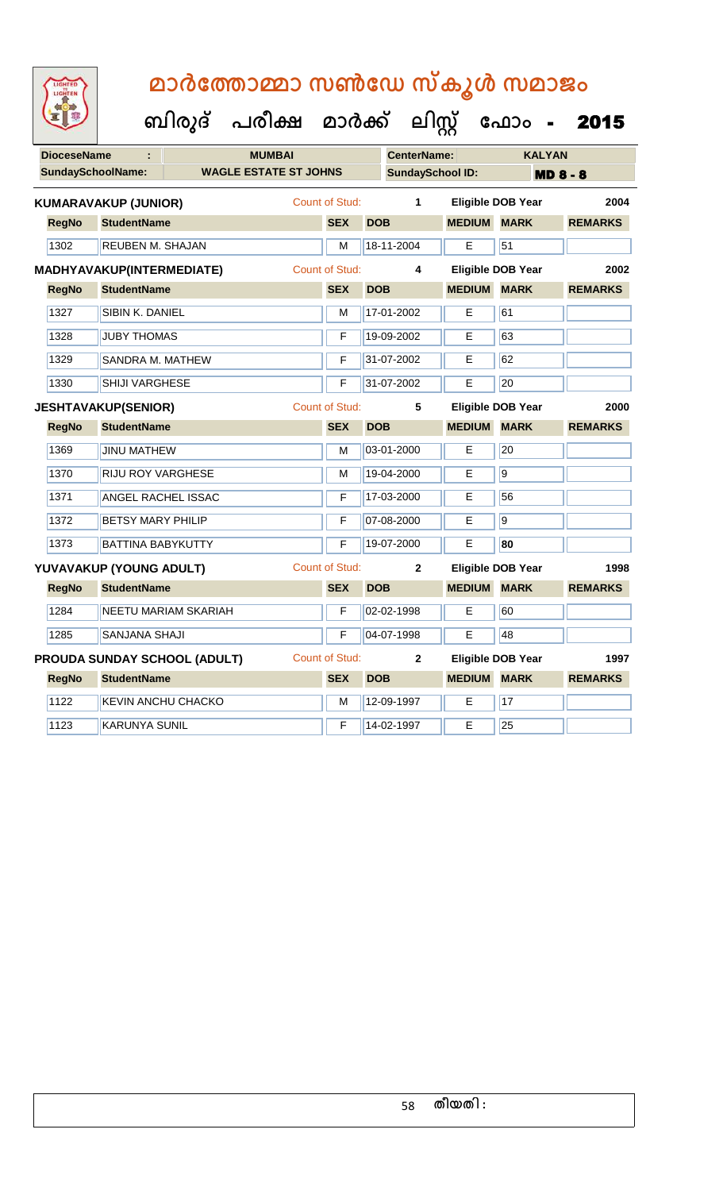| LIGHTED<br>LIGHTEN       |                              | മാർത്തോമ്മാ സൺഡേ സ്കൂൾ സമാജം   |                       |                         |                    |                          |                   |
|--------------------------|------------------------------|--------------------------------|-----------------------|-------------------------|--------------------|--------------------------|-------------------|
|                          |                              | ബിരുദ് പരീക്ഷ മാർക്ക് ലിസ്റ്റ് |                       |                         |                    |                          | <b>ഫോം - 2015</b> |
| <b>DioceseName</b>       | t                            | <b>MUMBAI</b>                  |                       | <b>CenterName:</b>      |                    | <b>KALYAN</b>            |                   |
| <b>SundaySchoolName:</b> |                              | <b>WAGLE ESTATE ST JOHNS</b>   |                       | <b>SundaySchool ID:</b> |                    |                          | <b>MD 8 - 8</b>   |
|                          | <b>KUMARAVAKUP (JUNIOR)</b>  |                                | Count of Stud:        | 1                       |                    | Eligible DOB Year        | 2004              |
| <b>RegNo</b>             | <b>StudentName</b>           |                                | <b>SEX</b>            | <b>DOB</b>              | <b>MEDIUM</b>      | <b>MARK</b>              | <b>REMARKS</b>    |
| 1302                     | REUBEN M. SHAJAN             |                                | M                     | 18-11-2004              | E                  | 51                       |                   |
|                          | MADHYAVAKUP(INTERMEDIATE)    |                                | <b>Count of Stud:</b> | 4                       |                    | <b>Eligible DOB Year</b> | 2002              |
| <b>RegNo</b>             | <b>StudentName</b>           |                                | <b>SEX</b>            | <b>DOB</b>              | <b>MEDIUM</b>      | <b>MARK</b>              | <b>REMARKS</b>    |
| 1327                     | SIBIN K. DANIEL              |                                | M                     | 17-01-2002              | E                  | 61                       |                   |
| 1328                     | <b>JUBY THOMAS</b>           |                                | F                     | 19-09-2002              | Е                  | 63                       |                   |
| 1329                     | SANDRA M. MATHEW             |                                | F                     | 31-07-2002              | E                  | 62                       |                   |
| 1330                     | <b>SHIJI VARGHESE</b>        |                                | F                     | 31-07-2002              | Е                  | 20                       |                   |
|                          | <b>JESHTAVAKUP(SENIOR)</b>   |                                | <b>Count of Stud:</b> | 5                       |                    | <b>Eligible DOB Year</b> | 2000              |
|                          |                              |                                |                       |                         |                    |                          |                   |
| <b>RegNo</b>             | <b>StudentName</b>           |                                | <b>SEX</b>            | <b>DOB</b>              | <b>MEDIUM</b>      | <b>MARK</b>              | <b>REMARKS</b>    |
| 1369                     | <b>JINU MATHEW</b>           |                                | M                     | 03-01-2000              | Е                  | 20                       |                   |
| 1370                     | <b>RIJU ROY VARGHESE</b>     |                                | М                     | 19-04-2000              | E                  | $\overline{9}$           |                   |
| 1371                     | ANGEL RACHEL ISSAC           |                                | F                     | 17-03-2000              | E                  | 56                       |                   |
| 1372                     | <b>BETSY MARY PHILIP</b>     |                                | F                     | 07-08-2000              | Е                  | $\overline{9}$           |                   |
| 1373                     | <b>BATTINA BABYKUTTY</b>     |                                | F                     | 19-07-2000              | E                  | 80                       |                   |
|                          | YUVAVAKUP (YOUNG ADULT)      |                                | <b>Count of Stud:</b> | $\mathbf{2}$            |                    | Eligible DOB Year        | 1998              |
| <b>RegNo</b>             | <b>StudentName</b>           |                                | <b>SEX</b>            | <b>DOB</b>              | <b>MEDIUM MARK</b> |                          | <b>REMARKS</b>    |
| 1284                     | NEETU MARIAM SKARIAH         |                                | F                     | 02-02-1998              | E                  | 60                       |                   |
| 1285                     | SANJANA SHAJI                |                                | F                     | 04-07-1998              | E                  | 48                       |                   |
|                          | PROUDA SUNDAY SCHOOL (ADULT) |                                | Count of Stud:        | $\mathbf{2}$            |                    | <b>Eligible DOB Year</b> | 1997              |
| <b>RegNo</b>             | <b>StudentName</b>           |                                | <b>SEX</b>            | <b>DOB</b>              | <b>MEDIUM</b>      | <b>MARK</b>              | <b>REMARKS</b>    |
| 1122                     | KEVIN ANCHU CHACKO           |                                | M                     | 12-09-1997              | Е                  | 17                       |                   |